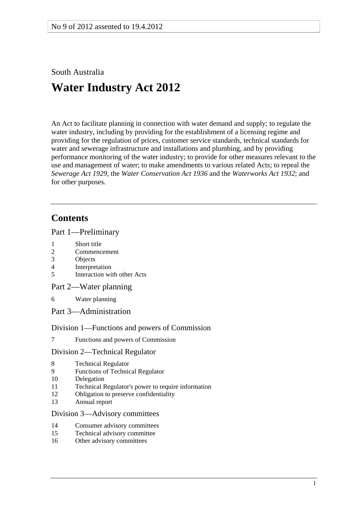## <span id="page-0-0"></span>South Australia

# **Water Industry Act 2012**

An Act to facilitate planning in connection with water demand and supply; to regulate the water industry, including by providing for the establishment of a licensing regime and providing for the regulation of prices, customer service standards, technical standards for water and sewerage infrastructure and installations and plumbing, and by providing performance monitoring of the water industry; to provide for other measures relevant to the use and management of water; to make amendments to various related Acts; to repeal the *[Sewerage Act 1929](http://www.legislation.sa.gov.au/index.aspx?action=legref&type=act&legtitle=Sewerage%20Act%201929)*, the *[Water Conservation Act 1936](http://www.legislation.sa.gov.au/index.aspx?action=legref&type=act&legtitle=Water%20Conservation%20Act%201936)* and the *[Waterworks Act 1932](http://www.legislation.sa.gov.au/index.aspx?action=legref&type=act&legtitle=Waterworks%20Act%201932)*; and for other purposes.

## **Contents**

#### [Part 1—Preliminary](#page-5-0)

- [1 Short title](#page-5-0)
- [2 Commencement](#page-5-0)
- [3 Objects](#page-5-0)
- [4 Interpretation](#page-6-0)
- [5 Interaction with other Acts](#page-10-0)
- [Part 2—Water planning](#page-11-0)
- [6 Water planning](#page-11-0)
- [Part 3—Administration](#page-13-0)

## [Division 1—Functions and powers of Commission](#page-13-0)

[7 Functions and powers of Commission](#page-13-0) 

## [Division 2—Technical Regulator](#page-13-0)

- [8 Technical Regulator](#page-13-0)
- [9 Functions of Technical Regulator](#page-13-0)
- [10 Delegation](#page-14-0)
- [11 Technical Regulator's power to require information](#page-14-0)
- [12 Obligation to preserve confidentiality](#page-14-0)
- [13 Annual report](#page-15-0)

#### [Division 3—Advisory committees](#page-15-0)

- [14 Consumer advisory committees](#page-15-0)
- [15 Technical advisory committee](#page-16-0)
- [16 Other advisory committees](#page-16-0)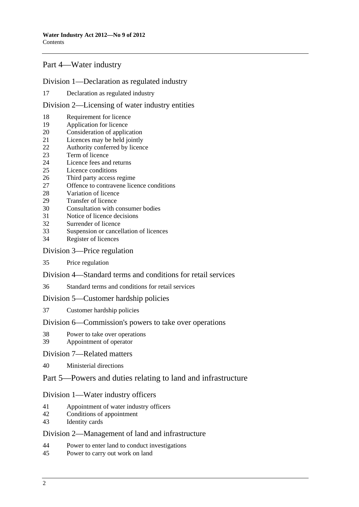## [Part 4—Water industry](#page-16-0)

## [Division 1—Declaration as regulated industry](#page-16-0)

[17 Declaration as regulated industry](#page-16-0)

#### [Division 2—Licensing of water industry entities](#page-16-0)

- [18 Requirement for licence](#page-16-0)
- [19 Application for licence](#page-17-0)
- [20 Consideration of application](#page-17-0)
- [21 Licences may be held jointly](#page-18-0)
- 22 Authority conferred by licence<br>23 Term of licence
- Term of licence
- 24 Licence fees and returns
- [25 Licence conditions](#page-20-0)
- [26 Third party access regime](#page-22-0)
- [27 Offence to contravene licence conditions](#page-22-0)
- [28 Variation of licence](#page-22-0)
- [29 Transfer of licence](#page-23-0)
- [30 Consultation with consumer bodies](#page-23-0)
- [31 Notice of licence decisions](#page-23-0)
- [32 Surrender of licence](#page-23-0)
- [33 Suspension or cancellation of licences](#page-23-0)
- [34 Register of licences](#page-24-0)

#### [Division 3—Price regulation](#page-24-0)

[35 Price regulation](#page-24-0) 

### [Division 4—Standard terms and conditions for retail services](#page-25-0)

[36 Standard terms and conditions for retail services](#page-25-0)

#### [Division 5—Customer hardship policies](#page-26-0)

[37 Customer hardship policies](#page-26-0) 

#### [Division 6—Commission's powers to take over operations](#page-26-0)

- [38 Power to take over operations](#page-26-0)
- [39 Appointment of operator](#page-27-0)

#### [Division 7—Related matters](#page-27-0)

[40 Ministerial directions](#page-27-0)

## [Part 5—Powers and duties relating to land and infrastructure](#page-28-0)

#### [Division 1—Water industry officers](#page-28-0)

- [41 Appointment of water industry officers](#page-28-0)
- [42 Conditions of appointment](#page-28-0)
- [43 Identity cards](#page-28-0)

#### [Division 2—Management of land and infrastructure](#page-29-0)

- [44 Power to enter land to conduct investigations](#page-29-0)
- [45 Power to carry out work on land](#page-29-0)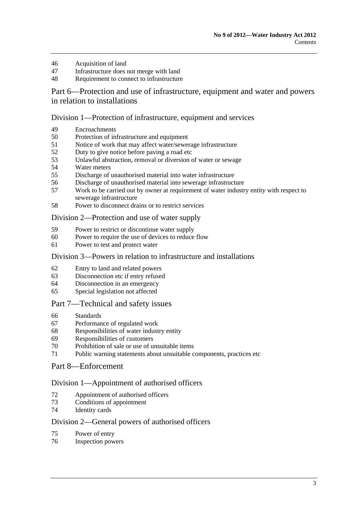- [46 Acquisition of land](#page-32-0)
- [47 Infrastructure does not merge with land](#page-32-0)
- [48 Requirement to connect to infrastructure](#page-32-0)

[Part 6—Protection and use of infrastructure, equipment and water and powers](#page-34-0)  [in relation to installations](#page-34-0) 

#### [Division 1—Protection of infrastructure, equipment and services](#page-34-0)

- [49 Encroachments](#page-34-0)
- [50 Protection of infrastructure and equipment](#page-35-0)
- [51 Notice of work that may affect water/sewerage infrastructure](#page-36-0)
- [52 Duty to give notice before paving a road etc](#page-36-0)
- [53 Unlawful abstraction, removal or diversion of water or sewage](#page-37-0)
- [54 Water meters](#page-38-0)
- [55 Discharge of unauthorised material into water infrastructure](#page-39-0)
- [56 Discharge of unauthorised material into sewerage infrastructure](#page-40-0)
- [57 Work to be carried out by owner at requirement of water industry entity with respect to](#page-41-0)  [sewerage infrastructure](#page-41-0)
- [58 Power to disconnect drains or to restrict services](#page-42-0)

#### [Division 2—Protection and use of water supply](#page-42-0)

- [59 Power to restrict or discontinue water supply](#page-42-0)
- [60 Power to require the use of devices to reduce flow](#page-43-0)
- [61 Power to test and protect water](#page-44-0)

#### [Division 3—Powers in relation to infrastructure and installations](#page-45-0)

- [62 Entry to land and related powers](#page-45-0)
- [63 Disconnection etc if entry refused](#page-46-0)
- [64 Disconnection in an emergency](#page-47-0)
- [65 Special legislation not affected](#page-47-0)

#### [Part 7—Technical and safety issues](#page-47-0)

- [66 Standards](#page-47-0)
- [67 Performance of regulated work](#page-49-0)
- [68 Responsibilities of water industry entity](#page-50-0)
- [69 Responsibilities of customers](#page-51-0)
- [70 Prohibition of sale or use of unsuitable items](#page-51-0)
- [71 Public warning statements about unsuitable components, practices etc](#page-52-0)

## [Part 8—Enforcement](#page-53-0)

#### [Division 1—Appointment of authorised officers](#page-53-0)

- [72 Appointment of authorised officers](#page-53-0)
- [73 Conditions of appointment](#page-53-0)
- [74 Identity cards](#page-53-0)

#### [Division 2—General powers of authorised officers](#page-54-0)

- [75 Power of entry](#page-54-0)
- [76 Inspection powers](#page-54-0)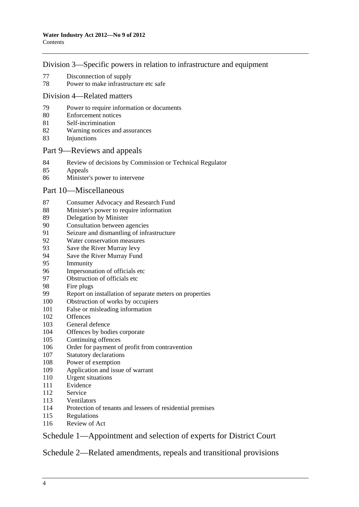### [Division 3—Specific powers in relation to infrastructure and equipment](#page-55-0)

- [77 Disconnection of supply](#page-55-0)
- [78 Power to make infrastructure etc safe](#page-56-0)

#### [Division 4—Related matters](#page-56-0)

- [79 Power to require information or documents](#page-56-0)
- [80 Enforcement notices](#page-57-0)
- [81 Self-incrimination](#page-59-0)
- [82 Warning notices and assurances](#page-59-0)
- [83 Injunctions](#page-60-0)

#### [Part 9—Reviews and appeals](#page-61-0)

- [84 Review of decisions by Commission or Technical Regulator](#page-61-0)<br>85 Appeals
- **Appeals**
- [86 Minister's power to intervene](#page-63-0)

### [Part 10—Miscellaneous](#page-63-0)

- [87 Consumer Advocacy and Research Fund](#page-63-0)
- [88 Minister's power to require information](#page-64-0)
- [89 Delegation by Minister](#page-65-0)
- [90 Consultation between agencies](#page-65-0)
- [91 Seizure and dismantling of infrastructure](#page-65-0)
- [92 Water conservation measures](#page-66-0)
- [93 Save the River Murray levy](#page-67-0)
- [94 Save the River Murray Fund](#page-69-0)
- [95 Immunity](#page-70-0)
- [96 Impersonation of officials etc](#page-71-0)
- [97 Obstruction of officials etc](#page-71-0)
- [98 Fire plugs](#page-71-0)
- [99 Report on installation of separate meters on properties](#page-71-0)
- [100 Obstruction of works by occupiers](#page-72-0)
- [101 False or misleading information](#page-72-0)
- [102 Offences](#page-72-0)
- [103 General defence](#page-73-0)
- [104 Offences by bodies corporate](#page-73-0)
- [105 Continuing offences](#page-73-0)
- [106 Order for payment of profit from contravention](#page-73-0)
- [107 Statutory declarations](#page-73-0)
- [108 Power of exemption](#page-74-0)
- [109 Application and issue of warrant](#page-74-0)
- [110 Urgent situations](#page-75-0)
- [111 Evidence](#page-76-0)
- [112 Service](#page-77-0)
- [113 Ventilators](#page-77-0)
- [114 Protection of tenants and lessees of residential premises](#page-77-0)
- [115 Regulations](#page-77-0)
- [116 Review of Act](#page-79-0)

## [Schedule 1—Appointment and selection of experts for District Court](#page-79-0)

[Schedule 2—Related amendments, repeals and transitional provisions](#page-80-0)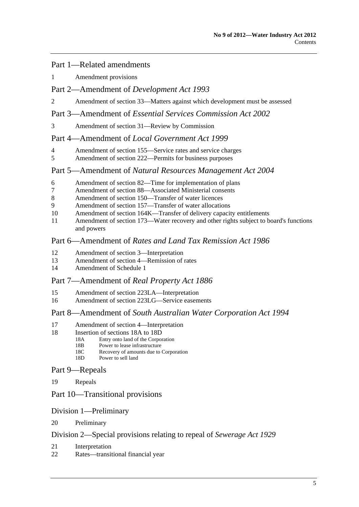#### [Part 1—Related amendments](#page-0-0)

[1 Amendment provisions](#page-80-0) 

## [Part 2—Amendment of](#page-0-0) *Development Act 1993*

[2 Amendment of section 33—Matters against which development must be assessed](#page-80-0) 

#### Part 3—Amendment of *[Essential Services Commission Act 2002](#page-0-0)*

[3 Amendment of section 31—Review by Commission](#page-80-0) 

### Part 4—Amendment of *[Local Government Act 1999](#page-0-0)*

- [4 Amendment of section 155—Service rates and service charges](#page-81-0)
- [5 Amendment of section 222—Permits for business purposes](#page-81-0)

#### Part 5—Amendment of *[Natural Resources Management Act 2004](#page-0-0)*

- [6 Amendment of section 82—Time for implementation of plans](#page-81-0)
- [7 Amendment of section 88—Associated Ministerial consents](#page-81-0)
- [8 Amendment of section 150—Transfer of water licences](#page-82-0)
- [9 Amendment of section 157—Transfer of water allocations](#page-82-0)
- [10 Amendment of section 164K—Transfer of delivery capacity entitlements](#page-82-0)
- [11 Amendment of section 173—Water recovery and other rights subject to board's functions](#page-82-0)  [and powers](#page-82-0)

### Part 6—Amendment of *[Rates and Land Tax Remission Act 1986](#page-0-0)*

- [12 Amendment of section 3—Interpretation](#page-82-0)
- [13 Amendment of section 4—Remission of rates](#page-82-0)
- [14 Amendment of Schedule 1](#page-82-0)

#### [Part 7—Amendment of](#page-0-0) *Real Property Act 1886*

- [15 Amendment of section 223LA—Interpretation](#page-82-0)
- [16 Amendment of section 223LG—Service easements](#page-83-0)

#### Part 8—Amendment of *[South Australian Water Corporation Act 1994](#page-0-0)*

- [17 Amendment of section 4—Interpretation](#page-83-0)
- 18 Insertion of sections 18A to 18D
	- [18A Entry onto land of the Corporation](#page-0-0)<br>18B Power to lease infrastructure
	- 18B Power to lease infrastructure<br>18C Recovery of amounts due to
	- Recovery of amounts due to Corporation
	- [18D Power to sell land](#page-0-0)

#### [Part 9—Repeals](#page-0-0)

[19 Repeals](#page-88-0) 

## [Part 10—Transitional provisions](#page-0-0)

#### [Division 1—Preliminary](#page-0-0)

[20 Preliminary](#page-88-0) 

#### [Division 2—Special provisions relating to repeal of](#page-0-0) *Sewerage Act 1929*

- [21 Interpretation](#page-88-0)
- [22 Rates—transitional financial year](#page-88-0)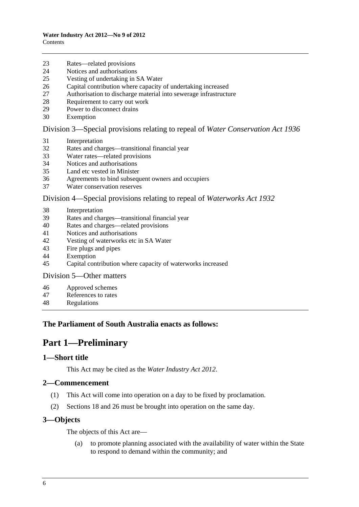- <span id="page-5-0"></span>[23 Rates—related provisions](#page-89-0)
- [24 Notices and authorisations](#page-90-0)
- [25 Vesting of undertaking in SA Water](#page-90-0)
- [26 Capital contribution where capacity of undertaking increased](#page-90-0)
- [27 Authorisation to discharge material into sewerage infrastructure](#page-91-0)
- [28 Requirement to carry out work](#page-91-0)
- [29 Power to disconnect drains](#page-91-0)
- [30 Exemption](#page-91-0)

[Division 3—Special provisions relating to repeal of](#page-0-0) *Water Conservation Act 1936*

- [31 Interpretation](#page-91-0)
- [32 Rates and charges—transitional financial year](#page-91-0)
- [33 Water rates—related provisions](#page-92-0)
- [34 Notices and authorisations](#page-92-0)
- [35 Land etc vested in Minister](#page-93-0)
- [36 Agreements to bind subsequent owners and occupiers](#page-93-0)
- [37 Water conservation reserves](#page-93-0)

#### [Division 4—Special provisions relating to repeal of](#page-0-0) *Waterworks Act 1932*

- [38 Interpretation](#page-93-0)
- [39 Rates and charges—transitional financial year](#page-94-0)
- [40 Rates and charges—related provisions](#page-95-0)
- [41 Notices and authorisations](#page-95-0)
- [42 Vesting of waterworks etc in SA Water](#page-96-0)
- [43 Fire plugs and pipes](#page-96-0)
- [44 Exemption](#page-96-0)
- [45 Capital contribution where capacity of waterworks increased](#page-96-0)

[Division 5—Other matters](#page-0-0) 

- [46 Approved schemes](#page-96-0)
- [47 References to rates](#page-97-0)
- [48 Regulations](#page-97-0)

## **The Parliament of South Australia enacts as follows:**

## **Part 1—Preliminary**

#### **1—Short title**

This Act may be cited as the *Water Industry Act 2012*.

#### **2—Commencement**

- (1) This Act will come into operation on a day to be fixed by proclamation.
- (2) Sections 18 and 26 must be brought into operation on the same day.

#### **3—Objects**

The objects of this Act are—

 (a) to promote planning associated with the availability of water within the State to respond to demand within the community; and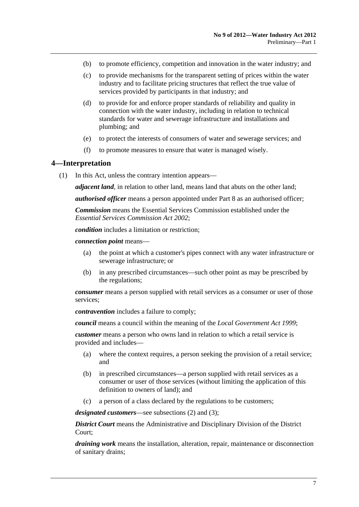- <span id="page-6-0"></span>(b) to promote efficiency, competition and innovation in the water industry; and
- (c) to provide mechanisms for the transparent setting of prices within the water industry and to facilitate pricing structures that reflect the true value of services provided by participants in that industry; and
- (d) to provide for and enforce proper standards of reliability and quality in connection with the water industry, including in relation to technical standards for water and sewerage infrastructure and installations and plumbing; and
- (e) to protect the interests of consumers of water and sewerage services; and
- (f) to promote measures to ensure that water is managed wisely.

#### **4—Interpretation**

(1) In this Act, unless the contrary intention appears—

*adjacent land*, in relation to other land, means land that abuts on the other land;

*authorised officer* means a person appointed under [Part 8](#page-53-0) as an authorised officer;

*Commission* means the Essential Services Commission established under the *[Essential Services Commission Act 2002](http://www.legislation.sa.gov.au/index.aspx?action=legref&type=act&legtitle=Essential%20Services%20Commission%20Act%202002)*;

*condition* includes a limitation or restriction;

*connection point* means—

- (a) the point at which a customer's pipes connect with any water infrastructure or sewerage infrastructure; or
- (b) in any prescribed circumstances—such other point as may be prescribed by the regulations;

*consumer* means a person supplied with retail services as a consumer or user of those services;

*contravention* includes a failure to comply;

*council* means a council within the meaning of the *[Local Government Act 1999](http://www.legislation.sa.gov.au/index.aspx?action=legref&type=act&legtitle=Local%20Government%20Act%201999)*;

*customer* means a person who owns land in relation to which a retail service is provided and includes—

- (a) where the context requires, a person seeking the provision of a retail service; and
- (b) in prescribed circumstances—a person supplied with retail services as a consumer or user of those services (without limiting the application of this definition to owners of land); and
- (c) a person of a class declared by the regulations to be customers;

*designated customers*—see [subsections \(2\)](#page-10-0) and [\(3\)](#page-10-0);

*District Court* means the Administrative and Disciplinary Division of the District Court;

*draining work* means the installation, alteration, repair, maintenance or disconnection of sanitary drains;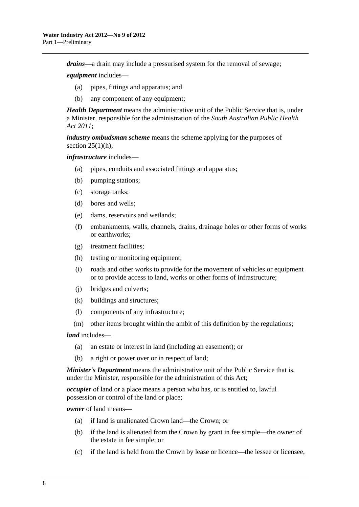*drains*—a drain may include a pressurised system for the removal of sewage;

*equipment* includes—

- (a) pipes, fittings and apparatus; and
- (b) any component of any equipment;

*Health Department* means the administrative unit of the Public Service that is, under a Minister, responsible for the administration of the *[South Australian Public Health](http://www.legislation.sa.gov.au/index.aspx?action=legref&type=act&legtitle=South%20Australian%20Public%20Health%20Act%202011)  [Act 2011](http://www.legislation.sa.gov.au/index.aspx?action=legref&type=act&legtitle=South%20Australian%20Public%20Health%20Act%202011)*;

*industry ombudsman scheme* means the scheme applying for the purposes of section  $25(1)(h)$ ;

*infrastructure* includes—

- (a) pipes, conduits and associated fittings and apparatus;
- (b) pumping stations;
- (c) storage tanks;
- (d) bores and wells;
- (e) dams, reservoirs and wetlands;
- (f) embankments, walls, channels, drains, drainage holes or other forms of works or earthworks;
- (g) treatment facilities;
- (h) testing or monitoring equipment;
- (i) roads and other works to provide for the movement of vehicles or equipment or to provide access to land, works or other forms of infrastructure;
- (j) bridges and culverts;
- (k) buildings and structures;
- (l) components of any infrastructure;
- (m) other items brought within the ambit of this definition by the regulations;

*land* includes—

- (a) an estate or interest in land (including an easement); or
- (b) a right or power over or in respect of land;

*Minister's Department* means the administrative unit of the Public Service that is, under the Minister, responsible for the administration of this Act;

*occupier* of land or a place means a person who has, or is entitled to, lawful possession or control of the land or place;

*owner* of land means—

- (a) if land is unalienated Crown land—the Crown; or
- (b) if the land is alienated from the Crown by grant in fee simple—the owner of the estate in fee simple; or
- (c) if the land is held from the Crown by lease or licence—the lessee or licensee,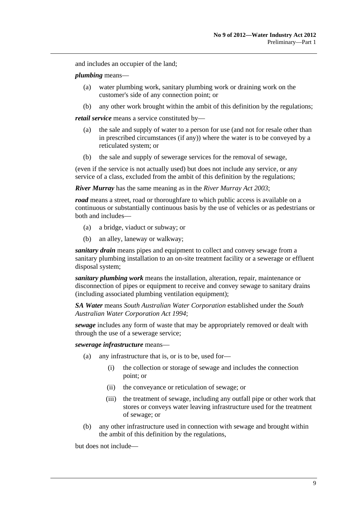and includes an occupier of the land;

#### *plumbing* means—

- (a) water plumbing work, sanitary plumbing work or draining work on the customer's side of any connection point; or
- (b) any other work brought within the ambit of this definition by the regulations;

*retail service* means a service constituted by—

- (a) the sale and supply of water to a person for use (and not for resale other than in prescribed circumstances (if any)) where the water is to be conveyed by a reticulated system; or
- (b) the sale and supply of sewerage services for the removal of sewage,

(even if the service is not actually used) but does not include any service, or any service of a class, excluded from the ambit of this definition by the regulations;

*River Murray* has the same meaning as in the *[River Murray Act 2003](http://www.legislation.sa.gov.au/index.aspx?action=legref&type=act&legtitle=River%20Murray%20Act%202003)*;

*road* means a street, road or thoroughfare to which public access is available on a continuous or substantially continuous basis by the use of vehicles or as pedestrians or both and includes—

- (a) a bridge, viaduct or subway; or
- (b) an alley, laneway or walkway;

*sanitary drain* means pipes and equipment to collect and convey sewage from a sanitary plumbing installation to an on-site treatment facility or a sewerage or effluent disposal system;

*sanitary plumbing work* means the installation, alteration, repair, maintenance or disconnection of pipes or equipment to receive and convey sewage to sanitary drains (including associated plumbing ventilation equipment);

*SA Water* means *South Australian Water Corporation* established under the *[South](http://www.legislation.sa.gov.au/index.aspx?action=legref&type=act&legtitle=South%20Australian%20Water%20Corporation%20Act%201994)  [Australian Water Corporation Act 1994](http://www.legislation.sa.gov.au/index.aspx?action=legref&type=act&legtitle=South%20Australian%20Water%20Corporation%20Act%201994)*;

*sewage* includes any form of waste that may be appropriately removed or dealt with through the use of a sewerage service;

*sewerage infrastructure* means—

- (a) any infrastructure that is, or is to be, used for—
	- (i) the collection or storage of sewage and includes the connection point; or
	- (ii) the conveyance or reticulation of sewage; or
	- (iii) the treatment of sewage, including any outfall pipe or other work that stores or conveys water leaving infrastructure used for the treatment of sewage; or
- (b) any other infrastructure used in connection with sewage and brought within the ambit of this definition by the regulations,

but does not include—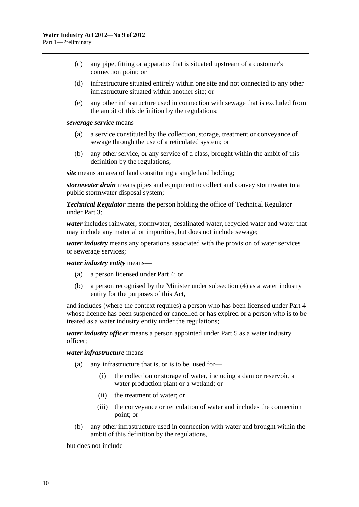- (c) any pipe, fitting or apparatus that is situated upstream of a customer's connection point; or
- (d) infrastructure situated entirely within one site and not connected to any other infrastructure situated within another site; or
- (e) any other infrastructure used in connection with sewage that is excluded from the ambit of this definition by the regulations;

*sewerage service* means—

- (a) a service constituted by the collection, storage, treatment or conveyance of sewage through the use of a reticulated system; or
- (b) any other service, or any service of a class, brought within the ambit of this definition by the regulations;

*site* means an area of land constituting a single land holding;

*stormwater drain* means pipes and equipment to collect and convey stormwater to a public stormwater disposal system;

*Technical Regulator* means the person holding the office of Technical Regulator under [Part 3;](#page-13-0)

*water* includes rainwater, stormwater, desalinated water, recycled water and water that may include any material or impurities, but does not include sewage;

*water industry* means any operations associated with the provision of water services or sewerage services;

*water industry entity* means—

- (a) a person licensed under [Part 4;](#page-16-0) or
- (b) a person recognised by the Minister under [subsection \(4\)](#page-10-0) as a water industry entity for the purposes of this Act,

and includes (where the context requires) a person who has been licensed under [Part 4](#page-16-0) whose licence has been suspended or cancelled or has expired or a person who is to be treated as a water industry entity under the regulations;

*water industry officer* means a person appointed under [Part 5](#page-28-0) as a water industry officer;

*water infrastructure* means—

- (a) any infrastructure that is, or is to be, used for—
	- (i) the collection or storage of water, including a dam or reservoir, a water production plant or a wetland; or
	- (ii) the treatment of water; or
	- (iii) the conveyance or reticulation of water and includes the connection point; or
- (b) any other infrastructure used in connection with water and brought within the ambit of this definition by the regulations,

but does not include—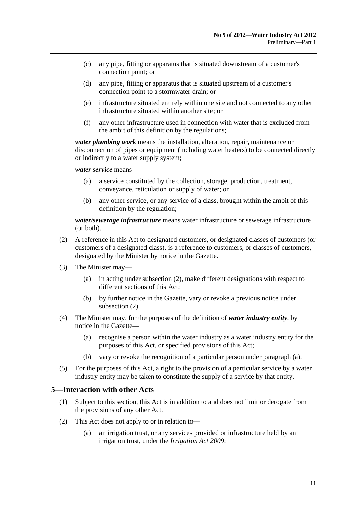- <span id="page-10-0"></span> (c) any pipe, fitting or apparatus that is situated downstream of a customer's connection point; or
- (d) any pipe, fitting or apparatus that is situated upstream of a customer's connection point to a stormwater drain; or
- (e) infrastructure situated entirely within one site and not connected to any other infrastructure situated within another site; or
- (f) any other infrastructure used in connection with water that is excluded from the ambit of this definition by the regulations;

*water plumbing work* means the installation, alteration, repair, maintenance or disconnection of pipes or equipment (including water heaters) to be connected directly or indirectly to a water supply system;

*water service* means—

- (a) a service constituted by the collection, storage, production, treatment, conveyance, reticulation or supply of water; or
- (b) any other service, or any service of a class, brought within the ambit of this definition by the regulation;

*water/sewerage infrastructure* means water infrastructure or sewerage infrastructure (or both).

- (2) A reference in this Act to designated customers, or designated classes of customers (or customers of a designated class), is a reference to customers, or classes of customers, designated by the Minister by notice in the Gazette.
- (3) The Minister may—
	- (a) in acting under [subsection \(2\)](#page-10-0), make different designations with respect to different sections of this Act;
	- (b) by further notice in the Gazette, vary or revoke a previous notice under [subsection \(2\)](#page-10-0).
- (4) The Minister may, for the purposes of the definition of *water industry entity*, by notice in the Gazette—
	- (a) recognise a person within the water industry as a water industry entity for the purposes of this Act, or specified provisions of this Act;
	- (b) vary or revoke the recognition of a particular person under [paragraph \(a\)](#page-10-0).
- (5) For the purposes of this Act, a right to the provision of a particular service by a water industry entity may be taken to constitute the supply of a service by that entity.

#### **5—Interaction with other Acts**

- (1) Subject to this section, this Act is in addition to and does not limit or derogate from the provisions of any other Act.
- (2) This Act does not apply to or in relation to—
	- (a) an irrigation trust, or any services provided or infrastructure held by an irrigation trust, under the *[Irrigation Act 2009](http://www.legislation.sa.gov.au/index.aspx?action=legref&type=act&legtitle=Irrigation%20Act%202009)*;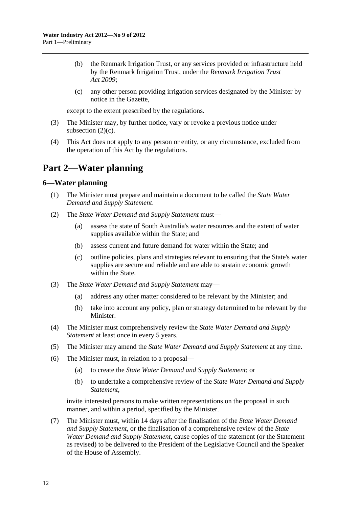- <span id="page-11-0"></span> (b) the Renmark Irrigation Trust, or any services provided or infrastructure held by the Renmark Irrigation Trust, under the *[Renmark Irrigation Trust](http://www.legislation.sa.gov.au/index.aspx?action=legref&type=act&legtitle=Renmark%20Irrigation%20Trust%20Act%202009)  [Act 2009](http://www.legislation.sa.gov.au/index.aspx?action=legref&type=act&legtitle=Renmark%20Irrigation%20Trust%20Act%202009)*;
- (c) any other person providing irrigation services designated by the Minister by notice in the Gazette,

except to the extent prescribed by the regulations.

- (3) The Minister may, by further notice, vary or revoke a previous notice under subsection  $(2)(c)$ .
- (4) This Act does not apply to any person or entity, or any circumstance, excluded from the operation of this Act by the regulations.

## **Part 2—Water planning**

#### **6—Water planning**

- (1) The Minister must prepare and maintain a document to be called the *State Water Demand and Supply Statement*.
- (2) The *State Water Demand and Supply Statement* must—
	- (a) assess the state of South Australia's water resources and the extent of water supplies available within the State; and
	- (b) assess current and future demand for water within the State; and
	- (c) outline policies, plans and strategies relevant to ensuring that the State's water supplies are secure and reliable and are able to sustain economic growth within the State.
- (3) The *State Water Demand and Supply Statement* may—
	- (a) address any other matter considered to be relevant by the Minister; and
	- (b) take into account any policy, plan or strategy determined to be relevant by the Minister.
- (4) The Minister must comprehensively review the *State Water Demand and Supply Statement* at least once in every 5 years.
- (5) The Minister may amend the *State Water Demand and Supply Statement* at any time.
- (6) The Minister must, in relation to a proposal—
	- (a) to create the *State Water Demand and Supply Statement*; or
	- (b) to undertake a comprehensive review of the *State Water Demand and Supply Statement*,

invite interested persons to make written representations on the proposal in such manner, and within a period, specified by the Minister.

 (7) The Minister must, within 14 days after the finalisation of the *State Water Demand and Supply Statement*, or the finalisation of a comprehensive review of the *State Water Demand and Supply Statement*, cause copies of the statement (or the Statement as revised) to be delivered to the President of the Legislative Council and the Speaker of the House of Assembly.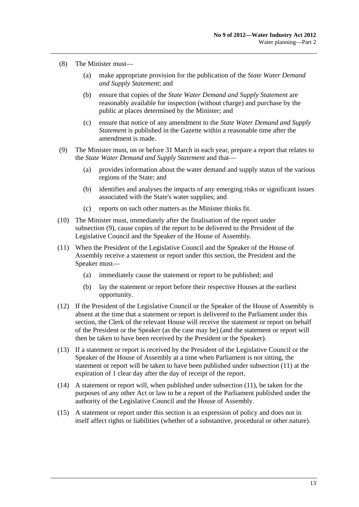- <span id="page-12-0"></span> (8) The Minister must—
	- (a) make appropriate provision for the publication of the *State Water Demand and Supply Statement*; and
	- (b) ensure that copies of the *State Water Demand and Supply Statement* are reasonably available for inspection (without charge) and purchase by the public at places determined by the Minister; and
	- (c) ensure that notice of any amendment to the *State Water Demand and Supply Statement* is published in the Gazette within a reasonable time after the amendment is made.
- (9) The Minister must, on or before 31 March in each year, prepare a report that relates to the *State Water Demand and Supply Statement* and that—
	- (a) provides information about the water demand and supply status of the various regions of the State; and
	- (b) identifies and analyses the impacts of any emerging risks or significant issues associated with the State's water supplies; and
	- (c) reports on such other matters as the Minister thinks fit.
- (10) The Minister must, immediately after the finalisation of the report under [subsection \(9\),](#page-12-0) cause copies of the report to be delivered to the President of the Legislative Council and the Speaker of the House of Assembly.
- (11) When the President of the Legislative Council and the Speaker of the House of Assembly receive a statement or report under this section, the President and the Speaker must—
	- (a) immediately cause the statement or report to be published; and
	- (b) lay the statement or report before their respective Houses at the earliest opportunity.
- (12) If the President of the Legislative Council or the Speaker of the House of Assembly is absent at the time that a statement or report is delivered to the Parliament under this section, the Clerk of the relevant House will receive the statement or report on behalf of the President or the Speaker (as the case may be) (and the statement or report will then be taken to have been received by the President or the Speaker).
- (13) If a statement or report is received by the President of the Legislative Council or the Speaker of the House of Assembly at a time when Parliament is not sitting, the statement or report will be taken to have been published under [subsection \(11\)](#page-12-0) at the expiration of 1 clear day after the day of receipt of the report.
- (14) A statement or report will, when published under [subsection \(11\)](#page-12-0), be taken for the purposes of any other Act or law to be a report of the Parliament published under the authority of the Legislative Council and the House of Assembly.
- (15) A statement or report under this section is an expression of policy and does not in itself affect rights or liabilities (whether of a substantive, procedural or other nature).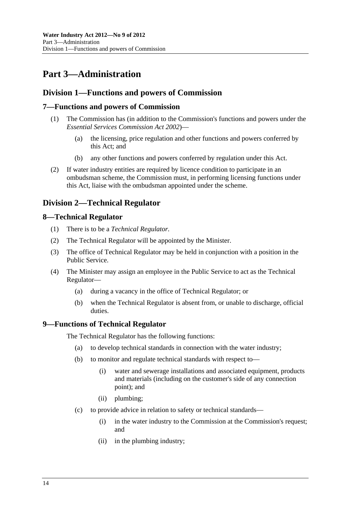## <span id="page-13-0"></span>**Part 3—Administration**

## **Division 1—Functions and powers of Commission**

## **7—Functions and powers of Commission**

- (1) The Commission has (in addition to the Commission's functions and powers under the *[Essential Services Commission Act 2002](http://www.legislation.sa.gov.au/index.aspx?action=legref&type=act&legtitle=Essential%20Services%20Commission%20Act%202002)*)—
	- (a) the licensing, price regulation and other functions and powers conferred by this Act; and
	- (b) any other functions and powers conferred by regulation under this Act.
- (2) If water industry entities are required by licence condition to participate in an ombudsman scheme, the Commission must, in performing licensing functions under this Act, liaise with the ombudsman appointed under the scheme.

## **Division 2—Technical Regulator**

#### **8—Technical Regulator**

- (1) There is to be a *Technical Regulator.*
- (2) The Technical Regulator will be appointed by the Minister.
- (3) The office of Technical Regulator may be held in conjunction with a position in the Public Service.
- (4) The Minister may assign an employee in the Public Service to act as the Technical Regulator—
	- (a) during a vacancy in the office of Technical Regulator; or
	- (b) when the Technical Regulator is absent from, or unable to discharge, official duties.

#### **9—Functions of Technical Regulator**

The Technical Regulator has the following functions:

- (a) to develop technical standards in connection with the water industry;
- (b) to monitor and regulate technical standards with respect to—
	- (i) water and sewerage installations and associated equipment, products and materials (including on the customer's side of any connection point); and
	- (ii) plumbing;
- (c) to provide advice in relation to safety or technical standards—
	- (i) in the water industry to the Commission at the Commission's request; and
	- (ii) in the plumbing industry;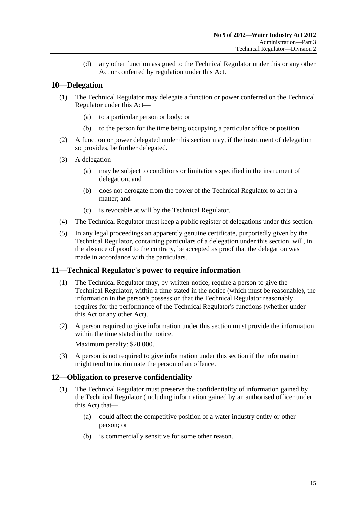(d) any other function assigned to the Technical Regulator under this or any other Act or conferred by regulation under this Act.

## <span id="page-14-0"></span>**10—Delegation**

- (1) The Technical Regulator may delegate a function or power conferred on the Technical Regulator under this Act—
	- (a) to a particular person or body; or
	- (b) to the person for the time being occupying a particular office or position.
- (2) A function or power delegated under this section may, if the instrument of delegation so provides, be further delegated.
- (3) A delegation—
	- (a) may be subject to conditions or limitations specified in the instrument of delegation; and
	- (b) does not derogate from the power of the Technical Regulator to act in a matter; and
	- (c) is revocable at will by the Technical Regulator.
- (4) The Technical Regulator must keep a public register of delegations under this section.
- (5) In any legal proceedings an apparently genuine certificate, purportedly given by the Technical Regulator, containing particulars of a delegation under this section, will, in the absence of proof to the contrary, be accepted as proof that the delegation was made in accordance with the particulars.

## **11—Technical Regulator's power to require information**

- (1) The Technical Regulator may, by written notice, require a person to give the Technical Regulator, within a time stated in the notice (which must be reasonable), the information in the person's possession that the Technical Regulator reasonably requires for the performance of the Technical Regulator's functions (whether under this Act or any other Act).
- (2) A person required to give information under this section must provide the information within the time stated in the notice. Maximum penalty: \$20 000.
- (3) A person is not required to give information under this section if the information might tend to incriminate the person of an offence.

## **12—Obligation to preserve confidentiality**

- (1) The Technical Regulator must preserve the confidentiality of information gained by the Technical Regulator (including information gained by an authorised officer under this Act) that—
	- (a) could affect the competitive position of a water industry entity or other person; or
	- (b) is commercially sensitive for some other reason.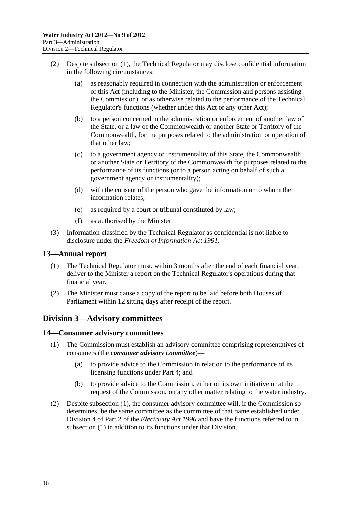- <span id="page-15-0"></span> (2) Despite [subsection \(1\)](#page-14-0), the Technical Regulator may disclose confidential information in the following circumstances:
	- (a) as reasonably required in connection with the administration or enforcement of this Act (including to the Minister, the Commission and persons assisting the Commission), or as otherwise related to the performance of the Technical Regulator's functions (whether under this Act or any other Act);
	- (b) to a person concerned in the administration or enforcement of another law of the State, or a law of the Commonwealth or another State or Territory of the Commonwealth, for the purposes related to the administration or operation of that other law;
	- (c) to a government agency or instrumentality of this State, the Commonwealth or another State or Territory of the Commonwealth for purposes related to the performance of its functions (or to a person acting on behalf of such a government agency or instrumentality);
	- (d) with the consent of the person who gave the information or to whom the information relates;
	- (e) as required by a court or tribunal constituted by law;
	- (f) as authorised by the Minister.
- (3) Information classified by the Technical Regulator as confidential is not liable to disclosure under the *[Freedom of Information Act 1991](http://www.legislation.sa.gov.au/index.aspx?action=legref&type=act&legtitle=Freedom%20of%20Information%20Act%201991)*.

#### **13—Annual report**

- (1) The Technical Regulator must, within 3 months after the end of each financial year, deliver to the Minister a report on the Technical Regulator's operations during that financial year.
- (2) The Minister must cause a copy of the report to be laid before both Houses of Parliament within 12 sitting days after receipt of the report.

## **Division 3—Advisory committees**

#### **14—Consumer advisory committees**

- (1) The Commission must establish an advisory committee comprising representatives of consumers (the *consumer advisory committee*)—
	- (a) to provide advice to the Commission in relation to the performance of its licensing functions under [Part 4;](#page-16-0) and
	- (b) to provide advice to the Commission, either on its own initiative or at the request of the Commission, on any other matter relating to the water industry.
- (2) Despite [subsection \(1\)](#page-15-0), the consumer advisory committee will, if the Commission so determines, be the same committee as the committee of that name established under Division 4 of Part 2 of the *[Electricity Act 1996](http://www.legislation.sa.gov.au/index.aspx?action=legref&type=act&legtitle=Electricity%20Act%201996)* and have the functions referred to in [subsection \(1\)](#page-15-0) in addition to its functions under that Division.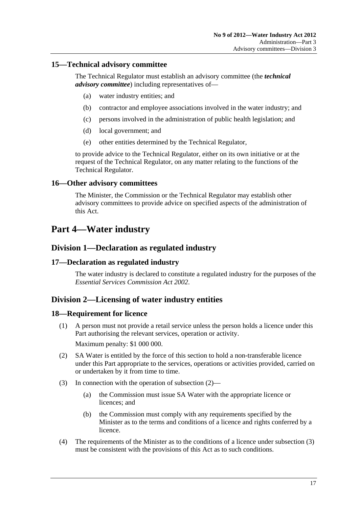## <span id="page-16-0"></span>**15—Technical advisory committee**

The Technical Regulator must establish an advisory committee (the *technical advisory committee*) including representatives of—

- (a) water industry entities; and
- (b) contractor and employee associations involved in the water industry; and
- (c) persons involved in the administration of public health legislation; and
- (d) local government; and
- (e) other entities determined by the Technical Regulator,

to provide advice to the Technical Regulator, either on its own initiative or at the request of the Technical Regulator, on any matter relating to the functions of the Technical Regulator.

#### **16—Other advisory committees**

The Minister, the Commission or the Technical Regulator may establish other advisory committees to provide advice on specified aspects of the administration of this Act.

## **Part 4—Water industry**

## **Division 1—Declaration as regulated industry**

#### **17—Declaration as regulated industry**

The water industry is declared to constitute a regulated industry for the purposes of the *[Essential Services Commission Act 2002](http://www.legislation.sa.gov.au/index.aspx?action=legref&type=act&legtitle=Essential%20Services%20Commission%20Act%202002)*.

## **Division 2—Licensing of water industry entities**

#### **18—Requirement for licence**

- (1) A person must not provide a retail service unless the person holds a licence under this Part authorising the relevant services, operation or activity. Maximum penalty: \$1 000 000.
- (2) SA Water is entitled by the force of this section to hold a non-transferable licence under this Part appropriate to the services, operations or activities provided, carried on or undertaken by it from time to time.
- (3) In connection with the operation of [subsection \(2\)](#page-16-0)
	- (a) the Commission must issue SA Water with the appropriate licence or licences; and
	- (b) the Commission must comply with any requirements specified by the Minister as to the terms and conditions of a licence and rights conferred by a licence.
- (4) The requirements of the Minister as to the conditions of a licence under [subsection \(3\)](#page-16-0) must be consistent with the provisions of this Act as to such conditions.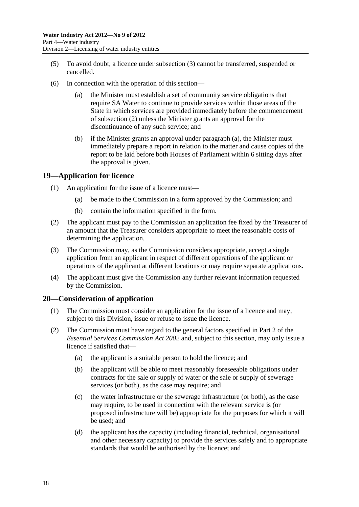- <span id="page-17-0"></span> (5) To avoid doubt, a licence under [subsection \(3\)](#page-16-0) cannot be transferred, suspended or cancelled.
- (6) In connection with the operation of this section—
	- (a) the Minister must establish a set of community service obligations that require SA Water to continue to provide services within those areas of the State in which services are provided immediately before the commencement of [subsection \(2\)](#page-16-0) unless the Minister grants an approval for the discontinuance of any such service; and
	- (b) if the Minister grants an approval under [paragraph \(a\),](#page-17-0) the Minister must immediately prepare a report in relation to the matter and cause copies of the report to be laid before both Houses of Parliament within 6 sitting days after the approval is given.

#### **19—Application for licence**

- (1) An application for the issue of a licence must—
	- (a) be made to the Commission in a form approved by the Commission; and
	- (b) contain the information specified in the form.
- (2) The applicant must pay to the Commission an application fee fixed by the Treasurer of an amount that the Treasurer considers appropriate to meet the reasonable costs of determining the application.
- (3) The Commission may, as the Commission considers appropriate, accept a single application from an applicant in respect of different operations of the applicant or operations of the applicant at different locations or may require separate applications.
- (4) The applicant must give the Commission any further relevant information requested by the Commission.

#### **20—Consideration of application**

- (1) The Commission must consider an application for the issue of a licence and may, subject to this Division, issue or refuse to issue the licence.
- (2) The Commission must have regard to the general factors specified in Part 2 of the *[Essential Services Commission Act 2002](http://www.legislation.sa.gov.au/index.aspx?action=legref&type=act&legtitle=Essential%20Services%20Commission%20Act%202002)* and, subject to this section, may only issue a licence if satisfied that—
	- (a) the applicant is a suitable person to hold the licence; and
	- (b) the applicant will be able to meet reasonably foreseeable obligations under contracts for the sale or supply of water or the sale or supply of sewerage services (or both), as the case may require; and
	- (c) the water infrastructure or the sewerage infrastructure (or both), as the case may require, to be used in connection with the relevant service is (or proposed infrastructure will be) appropriate for the purposes for which it will be used; and
	- (d) the applicant has the capacity (including financial, technical, organisational and other necessary capacity) to provide the services safely and to appropriate standards that would be authorised by the licence; and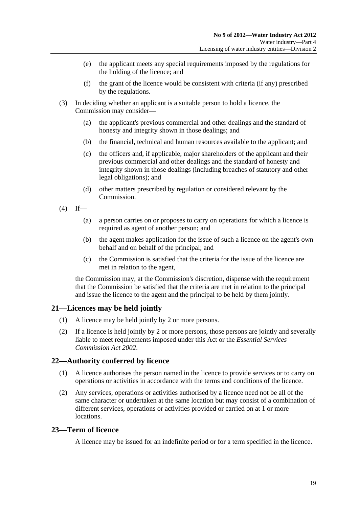- <span id="page-18-0"></span> (e) the applicant meets any special requirements imposed by the regulations for the holding of the licence; and
- (f) the grant of the licence would be consistent with criteria (if any) prescribed by the regulations.
- (3) In deciding whether an applicant is a suitable person to hold a licence, the Commission may consider—
	- (a) the applicant's previous commercial and other dealings and the standard of honesty and integrity shown in those dealings; and
	- (b) the financial, technical and human resources available to the applicant; and
	- (c) the officers and, if applicable, major shareholders of the applicant and their previous commercial and other dealings and the standard of honesty and integrity shown in those dealings (including breaches of statutory and other legal obligations); and
	- (d) other matters prescribed by regulation or considered relevant by the Commission.
- $(4)$  If—
	- (a) a person carries on or proposes to carry on operations for which a licence is required as agent of another person; and
	- (b) the agent makes application for the issue of such a licence on the agent's own behalf and on behalf of the principal; and
	- (c) the Commission is satisfied that the criteria for the issue of the licence are met in relation to the agent,

the Commission may, at the Commission's discretion, dispense with the requirement that the Commission be satisfied that the criteria are met in relation to the principal and issue the licence to the agent and the principal to be held by them jointly.

## **21—Licences may be held jointly**

- (1) A licence may be held jointly by 2 or more persons.
- (2) If a licence is held jointly by 2 or more persons, those persons are jointly and severally liable to meet requirements imposed under this Act or the *[Essential Services](http://www.legislation.sa.gov.au/index.aspx?action=legref&type=act&legtitle=Essential%20Services%20Commission%20Act%202002)  [Commission Act 2002](http://www.legislation.sa.gov.au/index.aspx?action=legref&type=act&legtitle=Essential%20Services%20Commission%20Act%202002)*.

## **22—Authority conferred by licence**

- (1) A licence authorises the person named in the licence to provide services or to carry on operations or activities in accordance with the terms and conditions of the licence.
- (2) Any services, operations or activities authorised by a licence need not be all of the same character or undertaken at the same location but may consist of a combination of different services, operations or activities provided or carried on at 1 or more locations.

#### **23—Term of licence**

A licence may be issued for an indefinite period or for a term specified in the licence.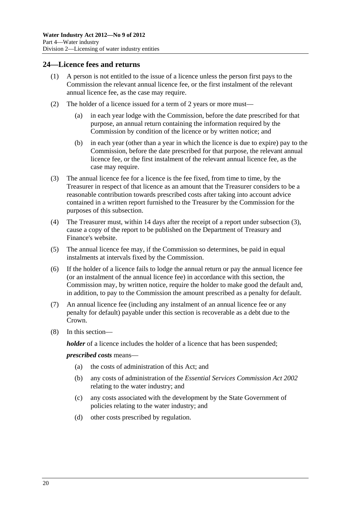### <span id="page-19-0"></span>**24—Licence fees and returns**

- (1) A person is not entitled to the issue of a licence unless the person first pays to the Commission the relevant annual licence fee, or the first instalment of the relevant annual licence fee, as the case may require.
- (2) The holder of a licence issued for a term of 2 years or more must—
	- (a) in each year lodge with the Commission, before the date prescribed for that purpose, an annual return containing the information required by the Commission by condition of the licence or by written notice; and
	- (b) in each year (other than a year in which the licence is due to expire) pay to the Commission, before the date prescribed for that purpose, the relevant annual licence fee, or the first instalment of the relevant annual licence fee, as the case may require.
- (3) The annual licence fee for a licence is the fee fixed, from time to time, by the Treasurer in respect of that licence as an amount that the Treasurer considers to be a reasonable contribution towards prescribed costs after taking into account advice contained in a written report furnished to the Treasurer by the Commission for the purposes of this subsection.
- (4) The Treasurer must, within 14 days after the receipt of a report under [subsection \(3\),](#page-19-0) cause a copy of the report to be published on the Department of Treasury and Finance's website.
- (5) The annual licence fee may, if the Commission so determines, be paid in equal instalments at intervals fixed by the Commission.
- (6) If the holder of a licence fails to lodge the annual return or pay the annual licence fee (or an instalment of the annual licence fee) in accordance with this section, the Commission may, by written notice, require the holder to make good the default and, in addition, to pay to the Commission the amount prescribed as a penalty for default.
- (7) An annual licence fee (including any instalment of an annual licence fee or any penalty for default) payable under this section is recoverable as a debt due to the Crown.
- (8) In this section—

*holder* of a licence includes the holder of a licence that has been suspended;

#### *prescribed costs* means—

- (a) the costs of administration of this Act; and
- (b) any costs of administration of the *[Essential Services Commission Act 2002](http://www.legislation.sa.gov.au/index.aspx?action=legref&type=act&legtitle=Essential%20Services%20Commission%20Act%202002)* relating to the water industry; and
- (c) any costs associated with the development by the State Government of policies relating to the water industry; and
- (d) other costs prescribed by regulation.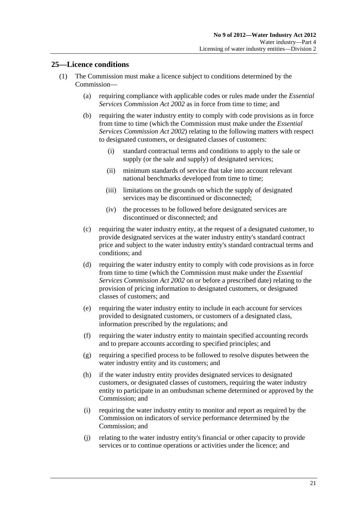## <span id="page-20-0"></span>**25—Licence conditions**

- (1) The Commission must make a licence subject to conditions determined by the Commission—
	- (a) requiring compliance with applicable codes or rules made under the *[Essential](http://www.legislation.sa.gov.au/index.aspx?action=legref&type=act&legtitle=Essential%20Services%20Commission%20Act%202002)  [Services Commission Act 2002](http://www.legislation.sa.gov.au/index.aspx?action=legref&type=act&legtitle=Essential%20Services%20Commission%20Act%202002)* as in force from time to time; and
	- (b) requiring the water industry entity to comply with code provisions as in force from time to time (which the Commission must make under the *[Essential](http://www.legislation.sa.gov.au/index.aspx?action=legref&type=act&legtitle=Essential%20Services%20Commission%20Act%202002)  [Services Commission Act 2002](http://www.legislation.sa.gov.au/index.aspx?action=legref&type=act&legtitle=Essential%20Services%20Commission%20Act%202002)*) relating to the following matters with respect to designated customers, or designated classes of customers:
		- (i) standard contractual terms and conditions to apply to the sale or supply (or the sale and supply) of designated services;
		- (ii) minimum standards of service that take into account relevant national benchmarks developed from time to time;
		- (iii) limitations on the grounds on which the supply of designated services may be discontinued or disconnected;
		- (iv) the processes to be followed before designated services are discontinued or disconnected; and
	- (c) requiring the water industry entity, at the request of a designated customer, to provide designated services at the water industry entity's standard contract price and subject to the water industry entity's standard contractual terms and conditions; and
	- (d) requiring the water industry entity to comply with code provisions as in force from time to time (which the Commission must make under the *[Essential](http://www.legislation.sa.gov.au/index.aspx?action=legref&type=act&legtitle=Essential%20Services%20Commission%20Act%202002)  [Services Commission Act 2002](http://www.legislation.sa.gov.au/index.aspx?action=legref&type=act&legtitle=Essential%20Services%20Commission%20Act%202002)* on or before a prescribed date) relating to the provision of pricing information to designated customers, or designated classes of customers; and
	- (e) requiring the water industry entity to include in each account for services provided to designated customers, or customers of a designated class, information prescribed by the regulations; and
	- (f) requiring the water industry entity to maintain specified accounting records and to prepare accounts according to specified principles; and
	- (g) requiring a specified process to be followed to resolve disputes between the water industry entity and its customers; and
	- (h) if the water industry entity provides designated services to designated customers, or designated classes of customers, requiring the water industry entity to participate in an ombudsman scheme determined or approved by the Commission; and
	- (i) requiring the water industry entity to monitor and report as required by the Commission on indicators of service performance determined by the Commission; and
	- (j) relating to the water industry entity's financial or other capacity to provide services or to continue operations or activities under the licence; and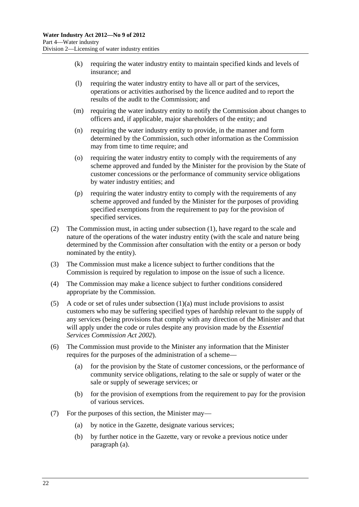- <span id="page-21-0"></span> (k) requiring the water industry entity to maintain specified kinds and levels of insurance; and
- (l) requiring the water industry entity to have all or part of the services, operations or activities authorised by the licence audited and to report the results of the audit to the Commission; and
- (m) requiring the water industry entity to notify the Commission about changes to officers and, if applicable, major shareholders of the entity; and
- (n) requiring the water industry entity to provide, in the manner and form determined by the Commission, such other information as the Commission may from time to time require; and
- (o) requiring the water industry entity to comply with the requirements of any scheme approved and funded by the Minister for the provision by the State of customer concessions or the performance of community service obligations by water industry entities; and
- (p) requiring the water industry entity to comply with the requirements of any scheme approved and funded by the Minister for the purposes of providing specified exemptions from the requirement to pay for the provision of specified services.
- (2) The Commission must, in acting under [subsection \(1\)](#page-20-0), have regard to the scale and nature of the operations of the water industry entity (with the scale and nature being determined by the Commission after consultation with the entity or a person or body nominated by the entity).
- (3) The Commission must make a licence subject to further conditions that the Commission is required by regulation to impose on the issue of such a licence.
- (4) The Commission may make a licence subject to further conditions considered appropriate by the Commission.
- (5) A code or set of rules under subsection  $(1)(a)$  must include provisions to assist customers who may be suffering specified types of hardship relevant to the supply of any services (being provisions that comply with any direction of the Minister and that will apply under the code or rules despite any provision made by the *[Essential](http://www.legislation.sa.gov.au/index.aspx?action=legref&type=act&legtitle=Essential%20Services%20Commission%20Act%202002)  [Services Commission Act 2002](http://www.legislation.sa.gov.au/index.aspx?action=legref&type=act&legtitle=Essential%20Services%20Commission%20Act%202002)*).
- (6) The Commission must provide to the Minister any information that the Minister requires for the purposes of the administration of a scheme—
	- (a) for the provision by the State of customer concessions, or the performance of community service obligations, relating to the sale or supply of water or the sale or supply of sewerage services; or
	- (b) for the provision of exemptions from the requirement to pay for the provision of various services.
- (7) For the purposes of this section, the Minister may—
	- (a) by notice in the Gazette, designate various services;
	- (b) by further notice in the Gazette, vary or revoke a previous notice under [paragraph \(a\).](#page-21-0)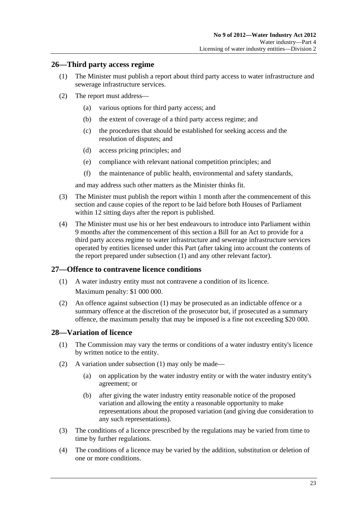## <span id="page-22-0"></span>**26—Third party access regime**

- (1) The Minister must publish a report about third party access to water infrastructure and sewerage infrastructure services.
- (2) The report must address—
	- (a) various options for third party access; and
	- (b) the extent of coverage of a third party access regime; and
	- (c) the procedures that should be established for seeking access and the resolution of disputes; and
	- (d) access pricing principles; and
	- (e) compliance with relevant national competition principles; and
	- (f) the maintenance of public health, environmental and safety standards,

and may address such other matters as the Minister thinks fit.

- (3) The Minister must publish the report within 1 month after the commencement of this section and cause copies of the report to be laid before both Houses of Parliament within 12 sitting days after the report is published.
- (4) The Minister must use his or her best endeavours to introduce into Parliament within 9 months after the commencement of this section a Bill for an Act to provide for a third party access regime to water infrastructure and sewerage infrastructure services operated by entities licensed under this Part (after taking into account the contents of the report prepared under [subsection \(1\)](#page-22-0) and any other relevant factor).

## **27—Offence to contravene licence conditions**

- (1) A water industry entity must not contravene a condition of its licence. Maximum penalty: \$1 000 000.
- (2) An offence against [subsection \(1\)](#page-22-0) may be prosecuted as an indictable offence or a summary offence at the discretion of the prosecutor but, if prosecuted as a summary offence, the maximum penalty that may be imposed is a fine not exceeding \$20 000.

## **28—Variation of licence**

- (1) The Commission may vary the terms or conditions of a water industry entity's licence by written notice to the entity.
- (2) A variation under [subsection \(1\)](#page-22-0) may only be made—
	- (a) on application by the water industry entity or with the water industry entity's agreement; or
	- (b) after giving the water industry entity reasonable notice of the proposed variation and allowing the entity a reasonable opportunity to make representations about the proposed variation (and giving due consideration to any such representations).
- (3) The conditions of a licence prescribed by the regulations may be varied from time to time by further regulations.
- (4) The conditions of a licence may be varied by the addition, substitution or deletion of one or more conditions.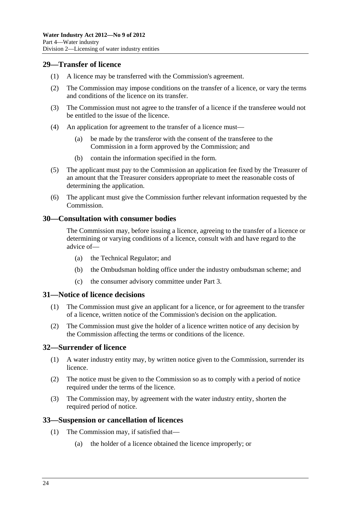### <span id="page-23-0"></span>**29—Transfer of licence**

- (1) A licence may be transferred with the Commission's agreement.
- (2) The Commission may impose conditions on the transfer of a licence, or vary the terms and conditions of the licence on its transfer.
- (3) The Commission must not agree to the transfer of a licence if the transferee would not be entitled to the issue of the licence.
- (4) An application for agreement to the transfer of a licence must—
	- (a) be made by the transferor with the consent of the transferee to the Commission in a form approved by the Commission; and
	- (b) contain the information specified in the form.
- (5) The applicant must pay to the Commission an application fee fixed by the Treasurer of an amount that the Treasurer considers appropriate to meet the reasonable costs of determining the application.
- (6) The applicant must give the Commission further relevant information requested by the Commission.

#### **30—Consultation with consumer bodies**

The Commission may, before issuing a licence, agreeing to the transfer of a licence or determining or varying conditions of a licence, consult with and have regard to the advice of—

- (a) the Technical Regulator; and
- (b) the Ombudsman holding office under the industry ombudsman scheme; and
- (c) the consumer advisory committee under [Part 3.](#page-13-0)

#### **31—Notice of licence decisions**

- (1) The Commission must give an applicant for a licence, or for agreement to the transfer of a licence, written notice of the Commission's decision on the application.
- (2) The Commission must give the holder of a licence written notice of any decision by the Commission affecting the terms or conditions of the licence.

## **32—Surrender of licence**

- (1) A water industry entity may, by written notice given to the Commission, surrender its licence.
- (2) The notice must be given to the Commission so as to comply with a period of notice required under the terms of the licence.
- (3) The Commission may, by agreement with the water industry entity, shorten the required period of notice.

#### **33—Suspension or cancellation of licences**

- (1) The Commission may, if satisfied that—
	- (a) the holder of a licence obtained the licence improperly; or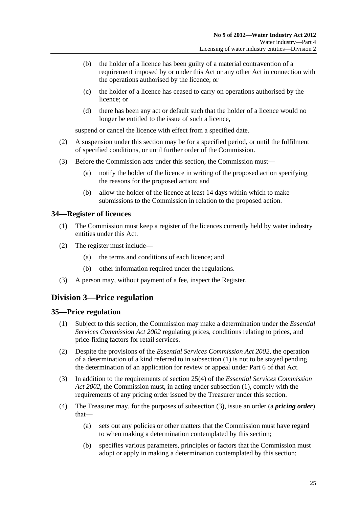- <span id="page-24-0"></span> (b) the holder of a licence has been guilty of a material contravention of a requirement imposed by or under this Act or any other Act in connection with the operations authorised by the licence; or
- (c) the holder of a licence has ceased to carry on operations authorised by the licence; or
- (d) there has been any act or default such that the holder of a licence would no longer be entitled to the issue of such a licence,

suspend or cancel the licence with effect from a specified date.

- (2) A suspension under this section may be for a specified period, or until the fulfilment of specified conditions, or until further order of the Commission.
- (3) Before the Commission acts under this section, the Commission must—
	- (a) notify the holder of the licence in writing of the proposed action specifying the reasons for the proposed action; and
	- (b) allow the holder of the licence at least 14 days within which to make submissions to the Commission in relation to the proposed action.

#### **34—Register of licences**

- (1) The Commission must keep a register of the licences currently held by water industry entities under this Act.
- (2) The register must include—
	- (a) the terms and conditions of each licence; and
	- (b) other information required under the regulations.
- (3) A person may, without payment of a fee, inspect the Register.

## **Division 3—Price regulation**

#### **35—Price regulation**

- (1) Subject to this section, the Commission may make a determination under the *[Essential](http://www.legislation.sa.gov.au/index.aspx?action=legref&type=act&legtitle=Essential%20Services%20Commission%20Act%202002)  [Services Commission Act 2002](http://www.legislation.sa.gov.au/index.aspx?action=legref&type=act&legtitle=Essential%20Services%20Commission%20Act%202002)* regulating prices, conditions relating to prices, and price-fixing factors for retail services.
- (2) Despite the provisions of the *[Essential Services Commission Act 2002](http://www.legislation.sa.gov.au/index.aspx?action=legref&type=act&legtitle=Essential%20Services%20Commission%20Act%202002)*, the operation of a determination of a kind referred to in [subsection \(1\)](#page-24-0) is not to be stayed pending the determination of an application for review or appeal under Part 6 of that Act.
- (3) In addition to the requirements of section 25(4) of the *[Essential Services Commission](http://www.legislation.sa.gov.au/index.aspx?action=legref&type=act&legtitle=Essential%20Services%20Commission%20Act%202002)  [Act 2002](http://www.legislation.sa.gov.au/index.aspx?action=legref&type=act&legtitle=Essential%20Services%20Commission%20Act%202002)*, the Commission must, in acting under [subsection \(1\),](#page-24-0) comply with the requirements of any pricing order issued by the Treasurer under this section.
- (4) The Treasurer may, for the purposes of [subsection \(3\)](#page-24-0), issue an order (a *pricing order*) that—
	- (a) sets out any policies or other matters that the Commission must have regard to when making a determination contemplated by this section;
	- (b) specifies various parameters, principles or factors that the Commission must adopt or apply in making a determination contemplated by this section;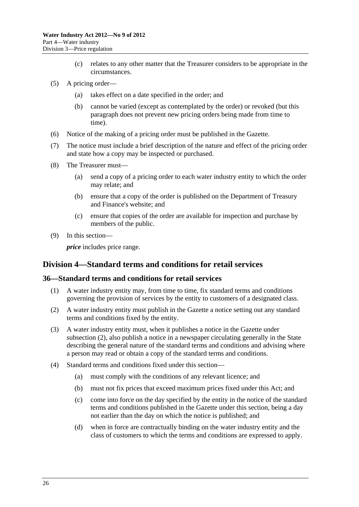- (c) relates to any other matter that the Treasurer considers to be appropriate in the circumstances.
- <span id="page-25-0"></span> (5) A pricing order—
	- (a) takes effect on a date specified in the order; and
	- (b) cannot be varied (except as contemplated by the order) or revoked (but this paragraph does not prevent new pricing orders being made from time to time).
- (6) Notice of the making of a pricing order must be published in the Gazette.
- (7) The notice must include a brief description of the nature and effect of the pricing order and state how a copy may be inspected or purchased.
- (8) The Treasurer must—
	- (a) send a copy of a pricing order to each water industry entity to which the order may relate; and
	- (b) ensure that a copy of the order is published on the Department of Treasury and Finance's website; and
	- (c) ensure that copies of the order are available for inspection and purchase by members of the public.
- (9) In this section—

*price* includes price range.

## **Division 4—Standard terms and conditions for retail services**

#### **36—Standard terms and conditions for retail services**

- (1) A water industry entity may, from time to time, fix standard terms and conditions governing the provision of services by the entity to customers of a designated class.
- (2) A water industry entity must publish in the Gazette a notice setting out any standard terms and conditions fixed by the entity.
- (3) A water industry entity must, when it publishes a notice in the Gazette under [subsection \(2\)](#page-25-0), also publish a notice in a newspaper circulating generally in the State describing the general nature of the standard terms and conditions and advising where a person may read or obtain a copy of the standard terms and conditions.
- (4) Standard terms and conditions fixed under this section—
	- (a) must comply with the conditions of any relevant licence; and
	- (b) must not fix prices that exceed maximum prices fixed under this Act; and
	- (c) come into force on the day specified by the entity in the notice of the standard terms and conditions published in the Gazette under this section, being a day not earlier than the day on which the notice is published; and
	- (d) when in force are contractually binding on the water industry entity and the class of customers to which the terms and conditions are expressed to apply.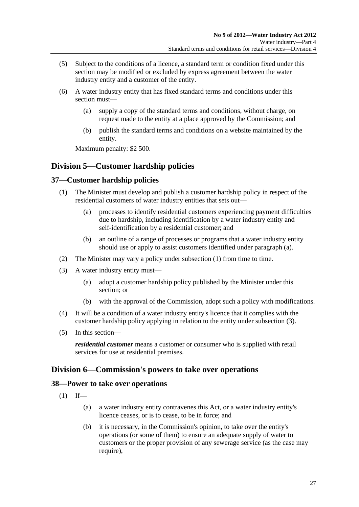- <span id="page-26-0"></span> (5) Subject to the conditions of a licence, a standard term or condition fixed under this section may be modified or excluded by express agreement between the water industry entity and a customer of the entity.
- (6) A water industry entity that has fixed standard terms and conditions under this section must—
	- (a) supply a copy of the standard terms and conditions, without charge, on request made to the entity at a place approved by the Commission; and
	- (b) publish the standard terms and conditions on a website maintained by the entity.

Maximum penalty: \$2 500.

## **Division 5—Customer hardship policies**

## **37—Customer hardship policies**

- (1) The Minister must develop and publish a customer hardship policy in respect of the residential customers of water industry entities that sets out—
	- (a) processes to identify residential customers experiencing payment difficulties due to hardship, including identification by a water industry entity and self-identification by a residential customer; and
	- (b) an outline of a range of processes or programs that a water industry entity should use or apply to assist customers identified under [paragraph \(a\).](#page-26-0)
- (2) The Minister may vary a policy under [subsection \(1\)](#page-26-0) from time to time.
- (3) A water industry entity must—
	- (a) adopt a customer hardship policy published by the Minister under this section; or
	- (b) with the approval of the Commission, adopt such a policy with modifications.
- (4) It will be a condition of a water industry entity's licence that it complies with the customer hardship policy applying in relation to the entity under [subsection \(3\).](#page-26-0)
- (5) In this section—

*residential customer* means a customer or consumer who is supplied with retail services for use at residential premises.

## **Division 6—Commission's powers to take over operations**

#### **38—Power to take over operations**

 $(1)$  If—

- (a) a water industry entity contravenes this Act, or a water industry entity's licence ceases, or is to cease, to be in force; and
- (b) it is necessary, in the Commission's opinion, to take over the entity's operations (or some of them) to ensure an adequate supply of water to customers or the proper provision of any sewerage service (as the case may require),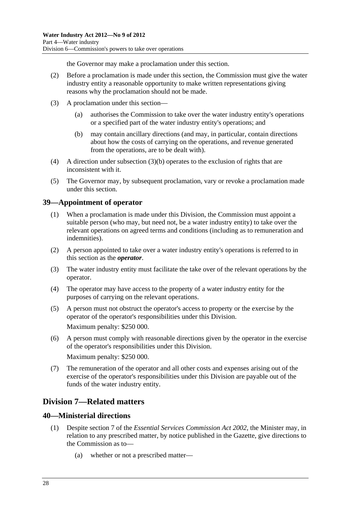the Governor may make a proclamation under this section.

- <span id="page-27-0"></span> (2) Before a proclamation is made under this section, the Commission must give the water industry entity a reasonable opportunity to make written representations giving reasons why the proclamation should not be made.
- (3) A proclamation under this section—
	- (a) authorises the Commission to take over the water industry entity's operations or a specified part of the water industry entity's operations; and
	- (b) may contain ancillary directions (and may, in particular, contain directions about how the costs of carrying on the operations, and revenue generated from the operations, are to be dealt with).
- (4) A direction under subsection  $(3)(b)$  operates to the exclusion of rights that are inconsistent with it.
- (5) The Governor may, by subsequent proclamation, vary or revoke a proclamation made under this section.

## **39—Appointment of operator**

- (1) When a proclamation is made under this Division, the Commission must appoint a suitable person (who may, but need not, be a water industry entity) to take over the relevant operations on agreed terms and conditions (including as to remuneration and indemnities).
- (2) A person appointed to take over a water industry entity's operations is referred to in this section as the *operator*.
- (3) The water industry entity must facilitate the take over of the relevant operations by the operator.
- (4) The operator may have access to the property of a water industry entity for the purposes of carrying on the relevant operations.
- (5) A person must not obstruct the operator's access to property or the exercise by the operator of the operator's responsibilities under this Division. Maximum penalty: \$250 000.
- (6) A person must comply with reasonable directions given by the operator in the exercise of the operator's responsibilities under this Division. Maximum penalty: \$250 000.
- (7) The remuneration of the operator and all other costs and expenses arising out of the exercise of the operator's responsibilities under this Division are payable out of the funds of the water industry entity.

## **Division 7—Related matters**

## **40—Ministerial directions**

- (1) Despite section 7 of the *[Essential Services Commission Act 2002](http://www.legislation.sa.gov.au/index.aspx?action=legref&type=act&legtitle=Essential%20Services%20Commission%20Act%202002)*, the Minister may, in relation to any prescribed matter, by notice published in the Gazette, give directions to the Commission as to—
	- (a) whether or not a prescribed matter—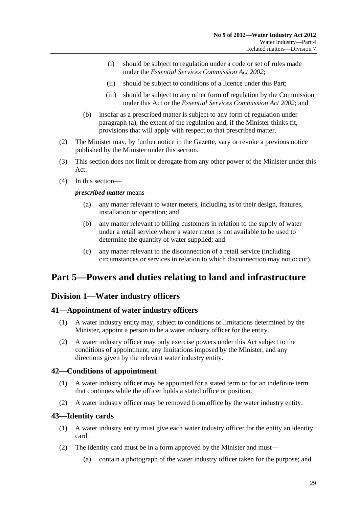- <span id="page-28-0"></span> (i) should be subject to regulation under a code or set of rules made under the *[Essential Services Commission Act 2002](http://www.legislation.sa.gov.au/index.aspx?action=legref&type=act&legtitle=Essential%20Services%20Commission%20Act%202002)*;
- (ii) should be subject to conditions of a licence under this Part;
- (iii) should be subject to any other form of regulation by the Commission under this Act or the *[Essential Services Commission Act 2002](http://www.legislation.sa.gov.au/index.aspx?action=legref&type=act&legtitle=Essential%20Services%20Commission%20Act%202002)*; and
- (b) insofar as a prescribed matter is subject to any form of regulation under [paragraph \(a\)](#page-27-0), the extent of the regulation and, if the Minister thinks fit, provisions that will apply with respect to that prescribed matter.
- (2) The Minister may, by further notice in the Gazette, vary or revoke a previous notice published by the Minister under this section.
- (3) This section does not limit or derogate from any other power of the Minister under this Act.
- (4) In this section—

*prescribed matter* means—

- (a) any matter relevant to water meters, including as to their design, features, installation or operation; and
- (b) any matter relevant to billing customers in relation to the supply of water under a retail service where a water meter is not available to be used to determine the quantity of water supplied; and
- (c) any matter relevant to the disconnection of a retail service (including circumstances or services in relation to which disconnection may not occur).

## **Part 5—Powers and duties relating to land and infrastructure**

## **Division 1—Water industry officers**

#### **41—Appointment of water industry officers**

- (1) A water industry entity may, subject to conditions or limitations determined by the Minister, appoint a person to be a water industry officer for the entity.
- (2) A water industry officer may only exercise powers under this Act subject to the conditions of appointment, any limitations imposed by the Minister, and any directions given by the relevant water industry entity.

#### **42—Conditions of appointment**

- (1) A water industry officer may be appointed for a stated term or for an indefinite term that continues while the officer holds a stated office or position.
- (2) A water industry officer may be removed from office by the water industry entity.

#### **43—Identity cards**

- (1) A water industry entity must give each water industry officer for the entity an identity card.
- (2) The identity card must be in a form approved by the Minister and must—
	- (a) contain a photograph of the water industry officer taken for the purpose; and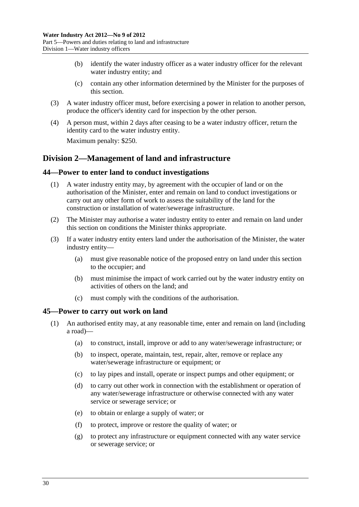- <span id="page-29-0"></span> (b) identify the water industry officer as a water industry officer for the relevant water industry entity; and
- (c) contain any other information determined by the Minister for the purposes of this section.
- (3) A water industry officer must, before exercising a power in relation to another person, produce the officer's identity card for inspection by the other person.
- (4) A person must, within 2 days after ceasing to be a water industry officer, return the identity card to the water industry entity.

Maximum penalty: \$250.

## **Division 2—Management of land and infrastructure**

#### **44—Power to enter land to conduct investigations**

- (1) A water industry entity may, by agreement with the occupier of land or on the authorisation of the Minister, enter and remain on land to conduct investigations or carry out any other form of work to assess the suitability of the land for the construction or installation of water/sewerage infrastructure.
- (2) The Minister may authorise a water industry entity to enter and remain on land under this section on conditions the Minister thinks appropriate.
- (3) If a water industry entity enters land under the authorisation of the Minister, the water industry entity—
	- (a) must give reasonable notice of the proposed entry on land under this section to the occupier; and
	- (b) must minimise the impact of work carried out by the water industry entity on activities of others on the land; and
	- (c) must comply with the conditions of the authorisation.

#### **45—Power to carry out work on land**

- (1) An authorised entity may, at any reasonable time, enter and remain on land (including a road)—
	- (a) to construct, install, improve or add to any water/sewerage infrastructure; or
	- (b) to inspect, operate, maintain, test, repair, alter, remove or replace any water/sewerage infrastructure or equipment; or
	- (c) to lay pipes and install, operate or inspect pumps and other equipment; or
	- (d) to carry out other work in connection with the establishment or operation of any water/sewerage infrastructure or otherwise connected with any water service or sewerage service; or
	- (e) to obtain or enlarge a supply of water; or
	- (f) to protect, improve or restore the quality of water; or
	- (g) to protect any infrastructure or equipment connected with any water service or sewerage service; or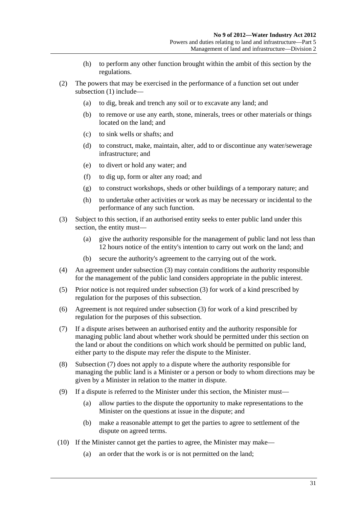- (h) to perform any other function brought within the ambit of this section by the regulations.
- <span id="page-30-0"></span> (2) The powers that may be exercised in the performance of a function set out under [subsection \(1\)](#page-29-0) include—
	- (a) to dig, break and trench any soil or to excavate any land; and
	- (b) to remove or use any earth, stone, minerals, trees or other materials or things located on the land; and
	- (c) to sink wells or shafts; and
	- (d) to construct, make, maintain, alter, add to or discontinue any water/sewerage infrastructure; and
	- (e) to divert or hold any water; and
	- (f) to dig up, form or alter any road; and
	- (g) to construct workshops, sheds or other buildings of a temporary nature; and
	- (h) to undertake other activities or work as may be necessary or incidental to the performance of any such function.
- (3) Subject to this section, if an authorised entity seeks to enter public land under this section, the entity must—
	- (a) give the authority responsible for the management of public land not less than 12 hours notice of the entity's intention to carry out work on the land; and
	- (b) secure the authority's agreement to the carrying out of the work.
- (4) An agreement under [subsection \(3\)](#page-30-0) may contain conditions the authority responsible for the management of the public land considers appropriate in the public interest.
- (5) Prior notice is not required under [subsection \(3\)](#page-30-0) for work of a kind prescribed by regulation for the purposes of this subsection.
- (6) Agreement is not required under [subsection \(3\)](#page-30-0) for work of a kind prescribed by regulation for the purposes of this subsection.
- (7) If a dispute arises between an authorised entity and the authority responsible for managing public land about whether work should be permitted under this section on the land or about the conditions on which work should be permitted on public land, either party to the dispute may refer the dispute to the Minister.
- (8) [Subsection \(7\)](#page-30-0) does not apply to a dispute where the authority responsible for managing the public land is a Minister or a person or body to whom directions may be given by a Minister in relation to the matter in dispute.
- (9) If a dispute is referred to the Minister under this section, the Minister must—
	- (a) allow parties to the dispute the opportunity to make representations to the Minister on the questions at issue in the dispute; and
	- (b) make a reasonable attempt to get the parties to agree to settlement of the dispute on agreed terms.
- (10) If the Minister cannot get the parties to agree, the Minister may make—
	- (a) an order that the work is or is not permitted on the land;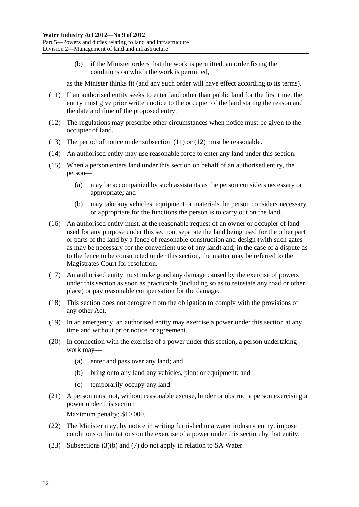<span id="page-31-0"></span> (b) if the Minister orders that the work is permitted, an order fixing the conditions on which the work is permitted,

as the Minister thinks fit (and any such order will have effect according to its terms).

- (11) If an authorised entity seeks to enter land other than public land for the first time, the entity must give prior written notice to the occupier of the land stating the reason and the date and time of the proposed entry.
- (12) The regulations may prescribe other circumstances when notice must be given to the occupier of land.
- (13) The period of notice under [subsection \(11\)](#page-31-0) or [\(12\)](#page-31-0) must be reasonable.
- (14) An authorised entity may use reasonable force to enter any land under this section.
- (15) When a person enters land under this section on behalf of an authorised entity, the person—
	- (a) may be accompanied by such assistants as the person considers necessary or appropriate; and
	- (b) may take any vehicles, equipment or materials the person considers necessary or appropriate for the functions the person is to carry out on the land.
- (16) An authorised entity must, at the reasonable request of an owner or occupier of land used for any purpose under this section, separate the land being used for the other part or parts of the land by a fence of reasonable construction and design (with such gates as may be necessary for the convenient use of any land) and, in the case of a dispute as to the fence to be constructed under this section, the matter may be referred to the Magistrates Court for resolution.
- (17) An authorised entity must make good any damage caused by the exercise of powers under this section as soon as practicable (including so as to reinstate any road or other place) or pay reasonable compensation for the damage.
- (18) This section does not derogate from the obligation to comply with the provisions of any other Act.
- (19) In an emergency, an authorised entity may exercise a power under this section at any time and without prior notice or agreement.
- (20) In connection with the exercise of a power under this section, a person undertaking work may—
	- (a) enter and pass over any land; and
	- (b) bring onto any land any vehicles, plant or equipment; and
	- (c) temporarily occupy any land.
- (21) A person must not, without reasonable excuse, hinder or obstruct a person exercising a power under this section

Maximum penalty: \$10 000.

- (22) The Minister may, by notice in writing furnished to a water industry entity, impose conditions or limitations on the exercise of a power under this section by that entity.
- (23) [Subsections \(3\)\(b\)](#page-30-0) and [\(7\)](#page-30-0) do not apply in relation to SA Water.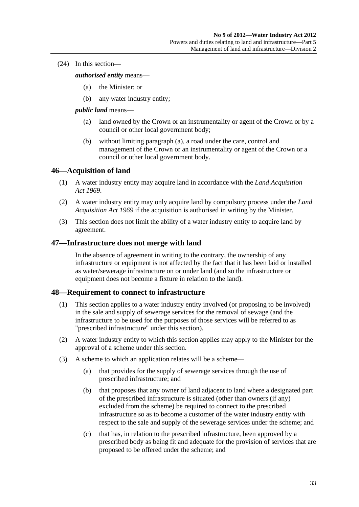<span id="page-32-0"></span>(24) In this section—

#### *authorised entity* means—

- (a) the Minister; or
- (b) any water industry entity;

#### *public land* means—

- (a) land owned by the Crown or an instrumentality or agent of the Crown or by a council or other local government body;
- (b) without limiting [paragraph \(a\)](#page-32-0), a road under the care, control and management of the Crown or an instrumentality or agent of the Crown or a council or other local government body.

#### **46—Acquisition of land**

- (1) A water industry entity may acquire land in accordance with the *[Land Acquisition](http://www.legislation.sa.gov.au/index.aspx?action=legref&type=act&legtitle=Land%20Acquisition%20Act%201969)  [Act 1969](http://www.legislation.sa.gov.au/index.aspx?action=legref&type=act&legtitle=Land%20Acquisition%20Act%201969)*.
- (2) A water industry entity may only acquire land by compulsory process under the *[Land](http://www.legislation.sa.gov.au/index.aspx?action=legref&type=act&legtitle=Land%20Acquisition%20Act%201969)  [Acquisition Act 1969](http://www.legislation.sa.gov.au/index.aspx?action=legref&type=act&legtitle=Land%20Acquisition%20Act%201969)* if the acquisition is authorised in writing by the Minister.
- (3) This section does not limit the ability of a water industry entity to acquire land by agreement.

#### **47—Infrastructure does not merge with land**

In the absence of agreement in writing to the contrary, the ownership of any infrastructure or equipment is not affected by the fact that it has been laid or installed as water/sewerage infrastructure on or under land (and so the infrastructure or equipment does not become a fixture in relation to the land).

#### **48—Requirement to connect to infrastructure**

- (1) This section applies to a water industry entity involved (or proposing to be involved) in the sale and supply of sewerage services for the removal of sewage (and the infrastructure to be used for the purposes of those services will be referred to as "prescribed infrastructure" under this section).
- (2) A water industry entity to which this section applies may apply to the Minister for the approval of a scheme under this section.
- (3) A scheme to which an application relates will be a scheme—
	- (a) that provides for the supply of sewerage services through the use of prescribed infrastructure; and
	- (b) that proposes that any owner of land adjacent to land where a designated part of the prescribed infrastructure is situated (other than owners (if any) excluded from the scheme) be required to connect to the prescribed infrastructure so as to become a customer of the water industry entity with respect to the sale and supply of the sewerage services under the scheme; and
	- (c) that has, in relation to the prescribed infrastructure, been approved by a prescribed body as being fit and adequate for the provision of services that are proposed to be offered under the scheme; and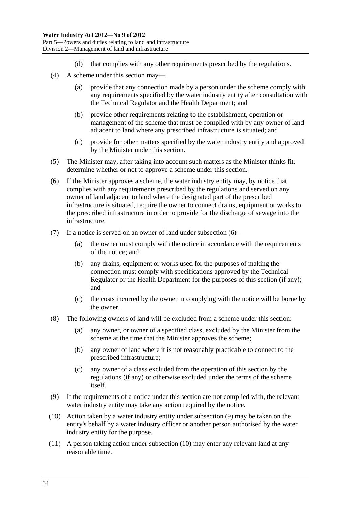- (d) that complies with any other requirements prescribed by the regulations.
- <span id="page-33-0"></span> (4) A scheme under this section may—
	- (a) provide that any connection made by a person under the scheme comply with any requirements specified by the water industry entity after consultation with the Technical Regulator and the Health Department; and
	- (b) provide other requirements relating to the establishment, operation or management of the scheme that must be complied with by any owner of land adjacent to land where any prescribed infrastructure is situated; and
	- (c) provide for other matters specified by the water industry entity and approved by the Minister under this section.
- (5) The Minister may, after taking into account such matters as the Minister thinks fit, determine whether or not to approve a scheme under this section.
- (6) If the Minister approves a scheme, the water industry entity may, by notice that complies with any requirements prescribed by the regulations and served on any owner of land adjacent to land where the designated part of the prescribed infrastructure is situated, require the owner to connect drains, equipment or works to the prescribed infrastructure in order to provide for the discharge of sewage into the infrastructure.
- (7) If a notice is served on an owner of land under [subsection \(6\)](#page-33-0)
	- (a) the owner must comply with the notice in accordance with the requirements of the notice; and
	- (b) any drains, equipment or works used for the purposes of making the connection must comply with specifications approved by the Technical Regulator or the Health Department for the purposes of this section (if any); and
	- (c) the costs incurred by the owner in complying with the notice will be borne by the owner.
- (8) The following owners of land will be excluded from a scheme under this section:
	- (a) any owner, or owner of a specified class, excluded by the Minister from the scheme at the time that the Minister approves the scheme;
	- (b) any owner of land where it is not reasonably practicable to connect to the prescribed infrastructure;
	- (c) any owner of a class excluded from the operation of this section by the regulations (if any) or otherwise excluded under the terms of the scheme itself.
- (9) If the requirements of a notice under this section are not complied with, the relevant water industry entity may take any action required by the notice.
- (10) Action taken by a water industry entity under [subsection \(9\)](#page-33-0) may be taken on the entity's behalf by a water industry officer or another person authorised by the water industry entity for the purpose.
- (11) A person taking action under [subsection \(10\)](#page-33-0) may enter any relevant land at any reasonable time.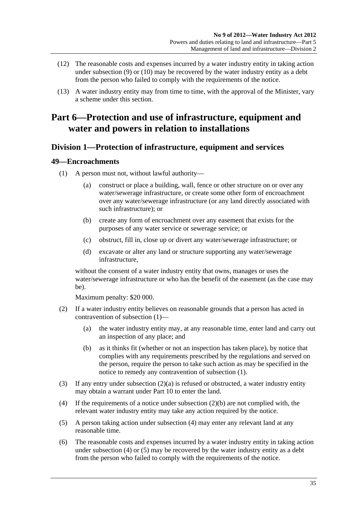- <span id="page-34-0"></span> (12) The reasonable costs and expenses incurred by a water industry entity in taking action under [subsection \(9\)](#page-33-0) or [\(10\)](#page-33-0) may be recovered by the water industry entity as a debt from the person who failed to comply with the requirements of the notice.
- (13) A water industry entity may from time to time, with the approval of the Minister, vary a scheme under this section.

## **Part 6—Protection and use of infrastructure, equipment and water and powers in relation to installations**

## **Division 1—Protection of infrastructure, equipment and services**

## **49—Encroachments**

- (1) A person must not, without lawful authority—
	- (a) construct or place a building, wall, fence or other structure on or over any water/sewerage infrastructure, or create some other form of encroachment over any water/sewerage infrastructure (or any land directly associated with such infrastructure); or
	- (b) create any form of encroachment over any easement that exists for the purposes of any water service or sewerage service; or
	- (c) obstruct, fill in, close up or divert any water/sewerage infrastructure; or
	- (d) excavate or alter any land or structure supporting any water/sewerage infrastructure,

without the consent of a water industry entity that owns, manages or uses the water/sewerage infrastructure or who has the benefit of the easement (as the case may be).

Maximum penalty: \$20 000.

- (2) If a water industry entity believes on reasonable grounds that a person has acted in contravention of [subsection \(1\)](#page-34-0)—
	- (a) the water industry entity may, at any reasonable time, enter land and carry out an inspection of any place; and
	- (b) as it thinks fit (whether or not an inspection has taken place), by notice that complies with any requirements prescribed by the regulations and served on the person, require the person to take such action as may be specified in the notice to remedy any contravention of [subsection \(1\)](#page-34-0).
- (3) If any entry under [subsection \(2\)\(a\)](#page-34-0) is refused or obstructed, a water industry entity may obtain a warrant under [Part 10](#page-63-0) to enter the land.
- (4) If the requirements of a notice under [subsection \(2\)\(b\)](#page-34-0) are not complied with, the relevant water industry entity may take any action required by the notice.
- (5) A person taking action under [subsection \(4\)](#page-34-0) may enter any relevant land at any reasonable time.
- (6) The reasonable costs and expenses incurred by a water industry entity in taking action under [subsection \(4\)](#page-34-0) or [\(5\)](#page-34-0) may be recovered by the water industry entity as a debt from the person who failed to comply with the requirements of the notice.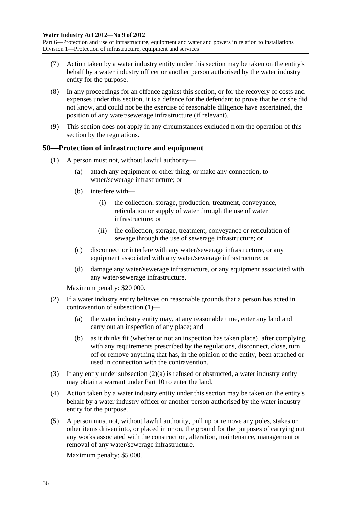<span id="page-35-0"></span>Part 6—Protection and use of infrastructure, equipment and water and powers in relation to installations Division 1—Protection of infrastructure, equipment and services

- (7) Action taken by a water industry entity under this section may be taken on the entity's behalf by a water industry officer or another person authorised by the water industry entity for the purpose.
- (8) In any proceedings for an offence against this section, or for the recovery of costs and expenses under this section, it is a defence for the defendant to prove that he or she did not know, and could not be the exercise of reasonable diligence have ascertained, the position of any water/sewerage infrastructure (if relevant).
- (9) This section does not apply in any circumstances excluded from the operation of this section by the regulations.

#### **50—Protection of infrastructure and equipment**

- (1) A person must not, without lawful authority—
	- (a) attach any equipment or other thing, or make any connection, to water/sewerage infrastructure; or
	- (b) interfere with—
		- (i) the collection, storage, production, treatment, conveyance, reticulation or supply of water through the use of water infrastructure; or
		- (ii) the collection, storage, treatment, conveyance or reticulation of sewage through the use of sewerage infrastructure; or
	- (c) disconnect or interfere with any water/sewerage infrastructure, or any equipment associated with any water/sewerage infrastructure; or
	- (d) damage any water/sewerage infrastructure, or any equipment associated with any water/sewerage infrastructure.

Maximum penalty: \$20 000.

- (2) If a water industry entity believes on reasonable grounds that a person has acted in contravention of [subsection \(1\)](#page-35-0)—
	- (a) the water industry entity may, at any reasonable time, enter any land and carry out an inspection of any place; and
	- (b) as it thinks fit (whether or not an inspection has taken place), after complying with any requirements prescribed by the regulations, disconnect, close, turn off or remove anything that has, in the opinion of the entity, been attached or used in connection with the contravention.
- (3) If any entry under [subsection \(2\)\(a\)](#page-35-0) is refused or obstructed, a water industry entity may obtain a warrant under [Part 10](#page-63-0) to enter the land.
- (4) Action taken by a water industry entity under this section may be taken on the entity's behalf by a water industry officer or another person authorised by the water industry entity for the purpose.
- (5) A person must not, without lawful authority, pull up or remove any poles, stakes or other items driven into, or placed in or on, the ground for the purposes of carrying out any works associated with the construction, alteration, maintenance, management or removal of any water/sewerage infrastructure.

Maximum penalty: \$5 000.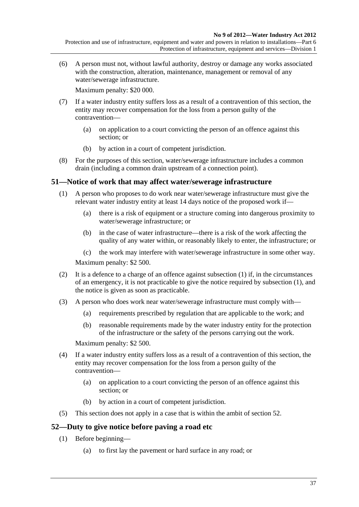<span id="page-36-0"></span> (6) A person must not, without lawful authority, destroy or damage any works associated with the construction, alteration, maintenance, management or removal of any water/sewerage infrastructure.

Maximum penalty: \$20 000.

- (7) If a water industry entity suffers loss as a result of a contravention of this section, the entity may recover compensation for the loss from a person guilty of the contravention—
	- (a) on application to a court convicting the person of an offence against this section; or
	- (b) by action in a court of competent jurisdiction.
- (8) For the purposes of this section, water/sewerage infrastructure includes a common drain (including a common drain upstream of a connection point).

### **51—Notice of work that may affect water/sewerage infrastructure**

- (1) A person who proposes to do work near water/sewerage infrastructure must give the relevant water industry entity at least 14 days notice of the proposed work if—
	- (a) there is a risk of equipment or a structure coming into dangerous proximity to water/sewerage infrastructure; or
	- (b) in the case of water infrastructure—there is a risk of the work affecting the quality of any water within, or reasonably likely to enter, the infrastructure; or
	- (c) the work may interfere with water/sewerage infrastructure in some other way.

Maximum penalty: \$2 500.

- (2) It is a defence to a charge of an offence against [subsection \(1\)](#page-36-0) if, in the circumstances of an emergency, it is not practicable to give the notice required by [subsection \(1\),](#page-36-0) and the notice is given as soon as practicable.
- (3) A person who does work near water/sewerage infrastructure must comply with—
	- (a) requirements prescribed by regulation that are applicable to the work; and
	- (b) reasonable requirements made by the water industry entity for the protection of the infrastructure or the safety of the persons carrying out the work.

Maximum penalty: \$2 500.

- (4) If a water industry entity suffers loss as a result of a contravention of this section, the entity may recover compensation for the loss from a person guilty of the contravention—
	- (a) on application to a court convicting the person of an offence against this section; or
	- (b) by action in a court of competent jurisdiction.
- (5) This section does not apply in a case that is within the ambit of [section 52](#page-36-0).

### **52—Duty to give notice before paving a road etc**

- (1) Before beginning—
	- (a) to first lay the pavement or hard surface in any road; or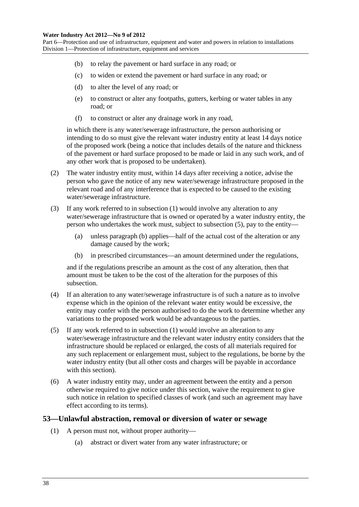<span id="page-37-0"></span>Part 6—Protection and use of infrastructure, equipment and water and powers in relation to installations Division 1—Protection of infrastructure, equipment and services

- (b) to relay the pavement or hard surface in any road; or
- (c) to widen or extend the pavement or hard surface in any road; or
- (d) to alter the level of any road; or
- (e) to construct or alter any footpaths, gutters, kerbing or water tables in any road; or
- (f) to construct or alter any drainage work in any road,

in which there is any water/sewerage infrastructure, the person authorising or intending to do so must give the relevant water industry entity at least 14 days notice of the proposed work (being a notice that includes details of the nature and thickness of the pavement or hard surface proposed to be made or laid in any such work, and of any other work that is proposed to be undertaken).

- (2) The water industry entity must, within 14 days after receiving a notice, advise the person who gave the notice of any new water/sewerage infrastructure proposed in the relevant road and of any interference that is expected to be caused to the existing water/sewerage infrastructure.
- (3) If any work referred to in [subsection \(1\)](#page-36-0) would involve any alteration to any water/sewerage infrastructure that is owned or operated by a water industry entity, the person who undertakes the work must, subject to [subsection \(5\)](#page-37-0), pay to the entity—
	- (a) unless [paragraph \(b\)](#page-37-0) applies—half of the actual cost of the alteration or any damage caused by the work;
	- (b) in prescribed circumstances—an amount determined under the regulations,

and if the regulations prescribe an amount as the cost of any alteration, then that amount must be taken to be the cost of the alteration for the purposes of this subsection.

- (4) If an alteration to any water/sewerage infrastructure is of such a nature as to involve expense which in the opinion of the relevant water entity would be excessive, the entity may confer with the person authorised to do the work to determine whether any variations to the proposed work would be advantageous to the parties.
- (5) If any work referred to in [subsection \(1\)](#page-36-0) would involve an alteration to any water/sewerage infrastructure and the relevant water industry entity considers that the infrastructure should be replaced or enlarged, the costs of all materials required for any such replacement or enlargement must, subject to the regulations, be borne by the water industry entity (but all other costs and charges will be payable in accordance with this section).
- (6) A water industry entity may, under an agreement between the entity and a person otherwise required to give notice under this section, waive the requirement to give such notice in relation to specified classes of work (and such an agreement may have effect according to its terms).

#### **53—Unlawful abstraction, removal or diversion of water or sewage**

- (1) A person must not, without proper authority—
	- (a) abstract or divert water from any water infrastructure; or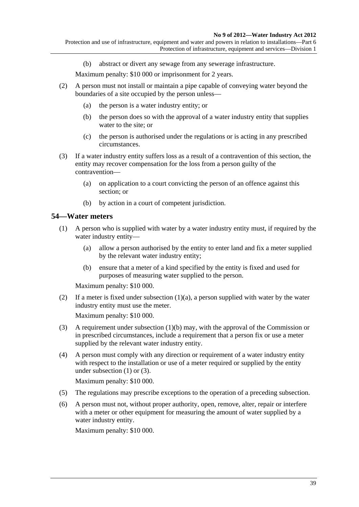(b) abstract or divert any sewage from any sewerage infrastructure.

Maximum penalty: \$10 000 or imprisonment for 2 years.

- <span id="page-38-0"></span> (2) A person must not install or maintain a pipe capable of conveying water beyond the boundaries of a site occupied by the person unless—
	- (a) the person is a water industry entity; or
	- (b) the person does so with the approval of a water industry entity that supplies water to the site; or
	- (c) the person is authorised under the regulations or is acting in any prescribed circumstances.
- (3) If a water industry entity suffers loss as a result of a contravention of this section, the entity may recover compensation for the loss from a person guilty of the contravention—
	- (a) on application to a court convicting the person of an offence against this section; or
	- (b) by action in a court of competent jurisdiction.

### **54—Water meters**

- (1) A person who is supplied with water by a water industry entity must, if required by the water industry entity—
	- (a) allow a person authorised by the entity to enter land and fix a meter supplied by the relevant water industry entity;
	- (b) ensure that a meter of a kind specified by the entity is fixed and used for purposes of measuring water supplied to the person.

Maximum penalty: \$10 000.

(2) If a meter is fixed under subsection  $(1)(a)$ , a person supplied with water by the water industry entity must use the meter.

Maximum penalty: \$10 000.

- (3) A requirement under [subsection \(1\)\(b\)](#page-38-0) may, with the approval of the Commission or in prescribed circumstances, include a requirement that a person fix or use a meter supplied by the relevant water industry entity.
- (4) A person must comply with any direction or requirement of a water industry entity with respect to the installation or use of a meter required or supplied by the entity under [subsection \(1\)](#page-38-0) or [\(3\)](#page-38-0).

Maximum penalty: \$10 000.

- (5) The regulations may prescribe exceptions to the operation of a preceding subsection.
- (6) A person must not, without proper authority, open, remove, alter, repair or interfere with a meter or other equipment for measuring the amount of water supplied by a water industry entity.

Maximum penalty: \$10 000.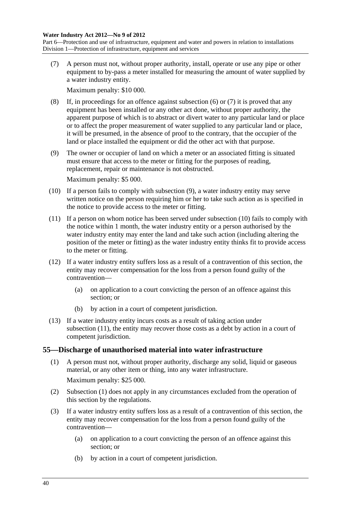<span id="page-39-0"></span>Part 6—Protection and use of infrastructure, equipment and water and powers in relation to installations Division 1—Protection of infrastructure, equipment and services

 (7) A person must not, without proper authority, install, operate or use any pipe or other equipment to by-pass a meter installed for measuring the amount of water supplied by a water industry entity.

Maximum penalty: \$10 000.

- (8) If, in proceedings for an offence against [subsection \(6\)](#page-38-0) or [\(7\)](#page-39-0) it is proved that any equipment has been installed or any other act done, without proper authority, the apparent purpose of which is to abstract or divert water to any particular land or place or to affect the proper measurement of water supplied to any particular land or place, it will be presumed, in the absence of proof to the contrary, that the occupier of the land or place installed the equipment or did the other act with that purpose.
- (9) The owner or occupier of land on which a meter or an associated fitting is situated must ensure that access to the meter or fitting for the purposes of reading, replacement, repair or maintenance is not obstructed.

Maximum penalty: \$5 000.

- (10) If a person fails to comply with [subsection \(9\),](#page-39-0) a water industry entity may serve written notice on the person requiring him or her to take such action as is specified in the notice to provide access to the meter or fitting.
- (11) If a person on whom notice has been served under [subsection \(10\)](#page-39-0) fails to comply with the notice within 1 month, the water industry entity or a person authorised by the water industry entity may enter the land and take such action (including altering the position of the meter or fitting) as the water industry entity thinks fit to provide access to the meter or fitting.
- (12) If a water industry entity suffers loss as a result of a contravention of this section, the entity may recover compensation for the loss from a person found guilty of the contravention—
	- (a) on application to a court convicting the person of an offence against this section; or
	- (b) by action in a court of competent jurisdiction.
- (13) If a water industry entity incurs costs as a result of taking action under [subsection \(11\)](#page-39-0), the entity may recover those costs as a debt by action in a court of competent jurisdiction.

### **55—Discharge of unauthorised material into water infrastructure**

- (1) A person must not, without proper authority, discharge any solid, liquid or gaseous material, or any other item or thing, into any water infrastructure. Maximum penalty: \$25 000.
- (2) [Subsection \(1\)](#page-39-0) does not apply in any circumstances excluded from the operation of this section by the regulations.
- (3) If a water industry entity suffers loss as a result of a contravention of this section, the entity may recover compensation for the loss from a person found guilty of the contravention—
	- (a) on application to a court convicting the person of an offence against this section; or
	- (b) by action in a court of competent jurisdiction.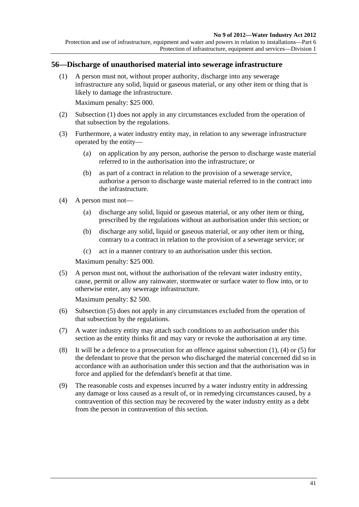<span id="page-40-0"></span>Protection and use of infrastructure, equipment and water and powers in relation to installations—Part 6 Protection of infrastructure, equipment and services—Division 1

#### **56—Discharge of unauthorised material into sewerage infrastructure**

 (1) A person must not, without proper authority, discharge into any sewerage infrastructure any solid, liquid or gaseous material, or any other item or thing that is likely to damage the infrastructure.

Maximum penalty: \$25 000.

- (2) [Subsection \(1\)](#page-40-0) does not apply in any circumstances excluded from the operation of that subsection by the regulations.
- (3) Furthermore, a water industry entity may, in relation to any sewerage infrastructure operated by the entity—
	- (a) on application by any person, authorise the person to discharge waste material referred to in the authorisation into the infrastructure; or
	- (b) as part of a contract in relation to the provision of a sewerage service, authorise a person to discharge waste material referred to in the contract into the infrastructure.
- (4) A person must not—
	- (a) discharge any solid, liquid or gaseous material, or any other item or thing, prescribed by the regulations without an authorisation under this section; or
	- (b) discharge any solid, liquid or gaseous material, or any other item or thing, contrary to a contract in relation to the provision of a sewerage service; or
	- (c) act in a manner contrary to an authorisation under this section.

Maximum penalty: \$25 000.

 (5) A person must not, without the authorisation of the relevant water industry entity, cause, permit or allow any rainwater, stormwater or surface water to flow into, or to otherwise enter, any sewerage infrastructure.

Maximum penalty: \$2 500.

- (6) [Subsection \(5\)](#page-40-0) does not apply in any circumstances excluded from the operation of that subsection by the regulations.
- (7) A water industry entity may attach such conditions to an authorisation under this section as the entity thinks fit and may vary or revoke the authorisation at any time.
- (8) It will be a defence to a prosecution for an offence against [subsection \(1\),](#page-40-0) [\(4\)](#page-40-0) or [\(5\)](#page-40-0) for the defendant to prove that the person who discharged the material concerned did so in accordance with an authorisation under this section and that the authorisation was in force and applied for the defendant's benefit at that time.
- (9) The reasonable costs and expenses incurred by a water industry entity in addressing any damage or loss caused as a result of, or in remedying circumstances caused, by a contravention of this section may be recovered by the water industry entity as a debt from the person in contravention of this section.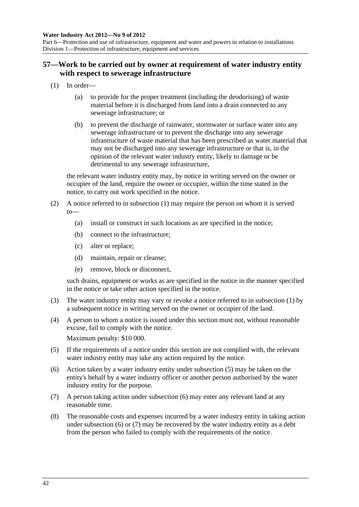<span id="page-41-0"></span>Part 6—Protection and use of infrastructure, equipment and water and powers in relation to installations Division 1—Protection of infrastructure, equipment and services

### **57—Work to be carried out by owner at requirement of water industry entity with respect to sewerage infrastructure**

- (1) In order—
	- (a) to provide for the proper treatment (including the deodorising) of waste material before it is discharged from land into a drain connected to any sewerage infrastructure; or
	- (b) to prevent the discharge of rainwater, stormwater or surface water into any sewerage infrastructure or to prevent the discharge into any sewerage infrastructure of waste material that has been prescribed as water material that may not be discharged into any sewerage infrastructure or that is, in the opinion of the relevant water industry entity, likely to damage or be detrimental to any sewerage infrastructure,

the relevant water industry entity may, by notice in writing served on the owner or occupier of the land, require the owner or occupier, within the time stated in the notice, to carry out work specified in the notice.

- (2) A notice referred to in [subsection \(1\)](#page-41-0) may require the person on whom it is served to—
	- (a) install or construct in such locations as are specified in the notice;
	- (b) connect to the infrastructure;
	- (c) alter or replace;
	- (d) maintain, repair or cleanse;
	- (e) remove, block or disconnect,

such drains, equipment or works as are specified in the notice in the manner specified in the notice or take other action specified in the notice.

- (3) The water industry entity may vary or revoke a notice referred to in [subsection \(1\)](#page-41-0) by a subsequent notice in writing served on the owner or occupier of the land.
- (4) A person to whom a notice is issued under this section must not, without reasonable excuse, fail to comply with the notice.

Maximum penalty: \$10 000.

- (5) If the requirements of a notice under this section are not complied with, the relevant water industry entity may take any action required by the notice.
- (6) Action taken by a water industry entity under [subsection \(5\)](#page-41-0) may be taken on the entity's behalf by a water industry officer or another person authorised by the water industry entity for the purpose.
- (7) A person taking action under [subsection \(6\)](#page-41-0) may enter any relevant land at any reasonable time.
- (8) The reasonable costs and expenses incurred by a water industry entity in taking action under [subsection \(6\)](#page-41-0) or [\(7\)](#page-41-0) may be recovered by the water industry entity as a debt from the person who failed to comply with the requirements of the notice.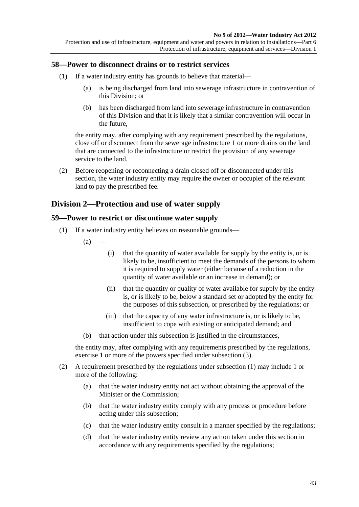#### <span id="page-42-0"></span>**58—Power to disconnect drains or to restrict services**

- (1) If a water industry entity has grounds to believe that material—
	- (a) is being discharged from land into sewerage infrastructure in contravention of this Division; or
	- (b) has been discharged from land into sewerage infrastructure in contravention of this Division and that it is likely that a similar contravention will occur in the future,

the entity may, after complying with any requirement prescribed by the regulations, close off or disconnect from the sewerage infrastructure 1 or more drains on the land that are connected to the infrastructure or restrict the provision of any sewerage service to the land.

 (2) Before reopening or reconnecting a drain closed off or disconnected under this section, the water industry entity may require the owner or occupier of the relevant land to pay the prescribed fee.

### **Division 2—Protection and use of water supply**

#### **59—Power to restrict or discontinue water supply**

- (1) If a water industry entity believes on reasonable grounds—
	- $(a)$
- (i) that the quantity of water available for supply by the entity is, or is likely to be, insufficient to meet the demands of the persons to whom it is required to supply water (either because of a reduction in the quantity of water available or an increase in demand); or
- (ii) that the quantity or quality of water available for supply by the entity is, or is likely to be, below a standard set or adopted by the entity for the purposes of this subsection, or prescribed by the regulations; or
- (iii) that the capacity of any water infrastructure is, or is likely to be, insufficient to cope with existing or anticipated demand; and
- (b) that action under this subsection is justified in the circumstances,

the entity may, after complying with any requirements prescribed by the regulations, exercise 1 or more of the powers specified under [subsection \(3\).](#page-43-0)

- (2) A requirement prescribed by the regulations under [subsection \(1\)](#page-42-0) may include 1 or more of the following:
	- (a) that the water industry entity not act without obtaining the approval of the Minister or the Commission;
	- (b) that the water industry entity comply with any process or procedure before acting under this subsection;
	- (c) that the water industry entity consult in a manner specified by the regulations;
	- (d) that the water industry entity review any action taken under this section in accordance with any requirements specified by the regulations;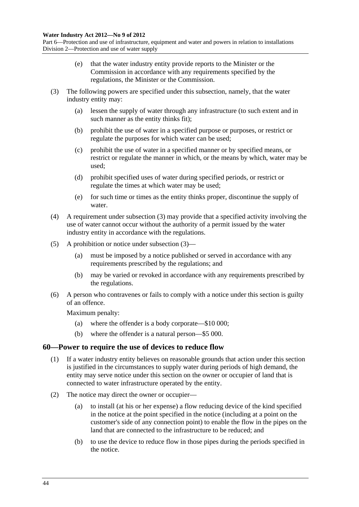<span id="page-43-0"></span>Part 6—Protection and use of infrastructure, equipment and water and powers in relation to installations Division 2—Protection and use of water supply

- (e) that the water industry entity provide reports to the Minister or the Commission in accordance with any requirements specified by the regulations, the Minister or the Commission.
- (3) The following powers are specified under this subsection, namely, that the water industry entity may:
	- (a) lessen the supply of water through any infrastructure (to such extent and in such manner as the entity thinks fit);
	- (b) prohibit the use of water in a specified purpose or purposes, or restrict or regulate the purposes for which water can be used;
	- (c) prohibit the use of water in a specified manner or by specified means, or restrict or regulate the manner in which, or the means by which, water may be used;
	- (d) prohibit specified uses of water during specified periods, or restrict or regulate the times at which water may be used;
	- (e) for such time or times as the entity thinks proper, discontinue the supply of water.
- (4) A requirement under [subsection \(3\)](#page-43-0) may provide that a specified activity involving the use of water cannot occur without the authority of a permit issued by the water industry entity in accordance with the regulations.
- (5) A prohibition or notice under [subsection \(3\)](#page-43-0)
	- (a) must be imposed by a notice published or served in accordance with any requirements prescribed by the regulations; and
	- (b) may be varied or revoked in accordance with any requirements prescribed by the regulations.
- (6) A person who contravenes or fails to comply with a notice under this section is guilty of an offence.

Maximum penalty:

- (a) where the offender is a body corporate—\$10 000;
- (b) where the offender is a natural person—\$5 000.

### **60—Power to require the use of devices to reduce flow**

- (1) If a water industry entity believes on reasonable grounds that action under this section is justified in the circumstances to supply water during periods of high demand, the entity may serve notice under this section on the owner or occupier of land that is connected to water infrastructure operated by the entity.
- (2) The notice may direct the owner or occupier—
	- (a) to install (at his or her expense) a flow reducing device of the kind specified in the notice at the point specified in the notice (including at a point on the customer's side of any connection point) to enable the flow in the pipes on the land that are connected to the infrastructure to be reduced; and
	- (b) to use the device to reduce flow in those pipes during the periods specified in the notice.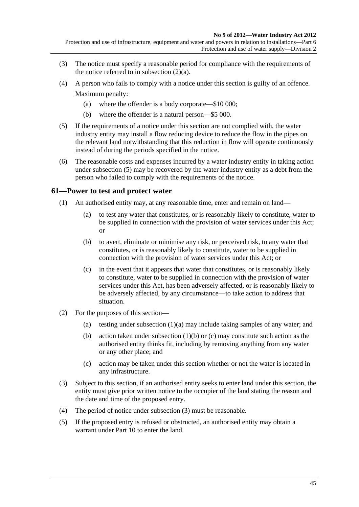<span id="page-44-0"></span>Protection and use of infrastructure, equipment and water and powers in relation to installations—Part 6 Protection and use of water supply—Division 2

- (3) The notice must specify a reasonable period for compliance with the requirements of the notice referred to in subsection  $(2)(a)$ .
- (4) A person who fails to comply with a notice under this section is guilty of an offence. Maximum penalty:
	- (a) where the offender is a body corporate—\$10 000;
	- (b) where the offender is a natural person—\$5 000.
- (5) If the requirements of a notice under this section are not complied with, the water industry entity may install a flow reducing device to reduce the flow in the pipes on the relevant land notwithstanding that this reduction in flow will operate continuously instead of during the periods specified in the notice.
- (6) The reasonable costs and expenses incurred by a water industry entity in taking action under [subsection \(5\)](#page-44-0) may be recovered by the water industry entity as a debt from the person who failed to comply with the requirements of the notice.

#### **61—Power to test and protect water**

- (1) An authorised entity may, at any reasonable time, enter and remain on land—
	- (a) to test any water that constitutes, or is reasonably likely to constitute, water to be supplied in connection with the provision of water services under this Act; or
	- (b) to avert, eliminate or minimise any risk, or perceived risk, to any water that constitutes, or is reasonably likely to constitute, water to be supplied in connection with the provision of water services under this Act; or
	- (c) in the event that it appears that water that constitutes, or is reasonably likely to constitute, water to be supplied in connection with the provision of water services under this Act, has been adversely affected, or is reasonably likely to be adversely affected, by any circumstance—to take action to address that situation.
- (2) For the purposes of this section—
	- (a) testing under [subsection \(1\)\(a\)](#page-44-0) may include taking samples of any water; and
	- (b) action taken under [subsection \(1\)\(b\)](#page-44-0) or [\(c\)](#page-44-0) may constitute such action as the authorised entity thinks fit, including by removing anything from any water or any other place; and
	- (c) action may be taken under this section whether or not the water is located in any infrastructure.
- (3) Subject to this section, if an authorised entity seeks to enter land under this section, the entity must give prior written notice to the occupier of the land stating the reason and the date and time of the proposed entry.
- (4) The period of notice under [subsection \(3\)](#page-44-0) must be reasonable.
- (5) If the proposed entry is refused or obstructed, an authorised entity may obtain a warrant under [Part 10](#page-63-0) to enter the land.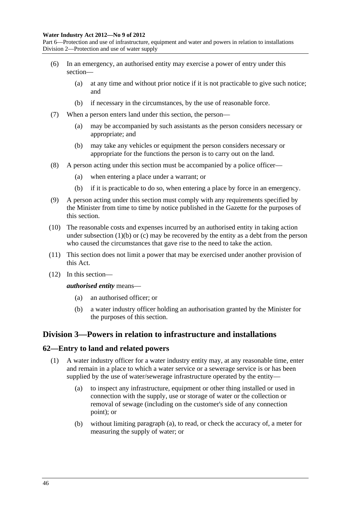#### <span id="page-45-0"></span>**Water Industry Act 2012—No 9 of 2012**

Part 6—Protection and use of infrastructure, equipment and water and powers in relation to installations Division 2—Protection and use of water supply

- (6) In an emergency, an authorised entity may exercise a power of entry under this section—
	- (a) at any time and without prior notice if it is not practicable to give such notice; and
	- (b) if necessary in the circumstances, by the use of reasonable force.
- (7) When a person enters land under this section, the person—
	- (a) may be accompanied by such assistants as the person considers necessary or appropriate; and
	- (b) may take any vehicles or equipment the person considers necessary or appropriate for the functions the person is to carry out on the land.
- (8) A person acting under this section must be accompanied by a police officer—
	- (a) when entering a place under a warrant; or
	- (b) if it is practicable to do so, when entering a place by force in an emergency.
- (9) A person acting under this section must comply with any requirements specified by the Minister from time to time by notice published in the Gazette for the purposes of this section.
- (10) The reasonable costs and expenses incurred by an authorised entity in taking action under subsection  $(1)(b)$  or  $(c)$  may be recovered by the entity as a debt from the person who caused the circumstances that gave rise to the need to take the action.
- (11) This section does not limit a power that may be exercised under another provision of this Act.
- (12) In this section—

*authorised entity* means—

- (a) an authorised officer; or
- (b) a water industry officer holding an authorisation granted by the Minister for the purposes of this section.

### **Division 3—Powers in relation to infrastructure and installations**

### **62—Entry to land and related powers**

- (1) A water industry officer for a water industry entity may, at any reasonable time, enter and remain in a place to which a water service or a sewerage service is or has been supplied by the use of water/sewerage infrastructure operated by the entity—
	- (a) to inspect any infrastructure, equipment or other thing installed or used in connection with the supply, use or storage of water or the collection or removal of sewage (including on the customer's side of any connection point); or
	- (b) without limiting [paragraph \(a\)](#page-45-0), to read, or check the accuracy of, a meter for measuring the supply of water; or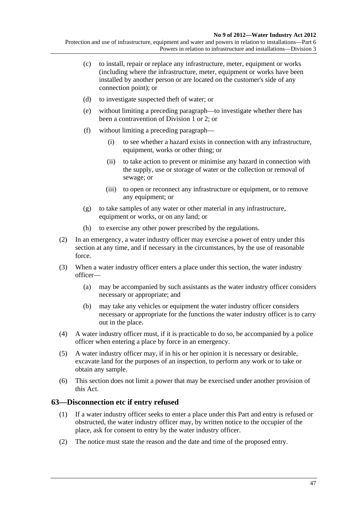Protection and use of infrastructure, equipment and water and powers in relation to installations—Part 6 Powers in relation to infrastructure and installations—Division 3

- (c) to install, repair or replace any infrastructure, meter, equipment or works (including where the infrastructure, meter, equipment or works have been installed by another person or are located on the customer's side of any connection point); or
- (d) to investigate suspected theft of water; or
- (e) without limiting a preceding paragraph—to investigate whether there has been a contravention of [Division 1](#page-34-0) or 2; or
- (f) without limiting a preceding paragraph—
	- (i) to see whether a hazard exists in connection with any infrastructure, equipment, works or other thing; or
	- (ii) to take action to prevent or minimise any hazard in connection with the supply, use or storage of water or the collection or removal of sewage; or
	- (iii) to open or reconnect any infrastructure or equipment, or to remove any equipment; or
- (g) to take samples of any water or other material in any infrastructure, equipment or works, or on any land; or
- (h) to exercise any other power prescribed by the regulations.
- (2) In an emergency, a water industry officer may exercise a power of entry under this section at any time, and if necessary in the circumstances, by the use of reasonable force.
- (3) When a water industry officer enters a place under this section, the water industry officer—
	- (a) may be accompanied by such assistants as the water industry officer considers necessary or appropriate; and
	- (b) may take any vehicles or equipment the water industry officer considers necessary or appropriate for the functions the water industry officer is to carry out in the place.
- (4) A water industry officer must, if it is practicable to do so, be accompanied by a police officer when entering a place by force in an emergency.
- (5) A water industry officer may, if in his or her opinion it is necessary or desirable, excavate land for the purposes of an inspection, to perform any work or to take or obtain any sample.
- (6) This section does not limit a power that may be exercised under another provision of this Act.

### **63—Disconnection etc if entry refused**

- (1) If a water industry officer seeks to enter a place under this Part and entry is refused or obstructed, the water industry officer may, by written notice to the occupier of the place, ask for consent to entry by the water industry officer.
- (2) The notice must state the reason and the date and time of the proposed entry.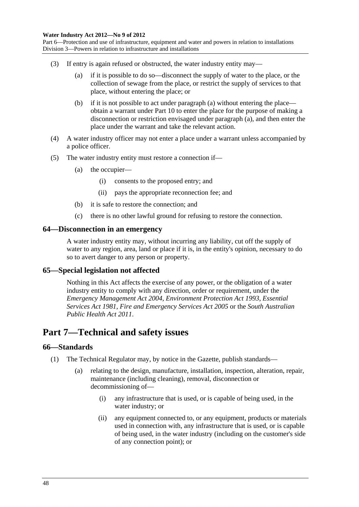<span id="page-47-0"></span>Part 6—Protection and use of infrastructure, equipment and water and powers in relation to installations Division 3—Powers in relation to infrastructure and installations

- (3) If entry is again refused or obstructed, the water industry entity may—
	- (a) if it is possible to do so—disconnect the supply of water to the place, or the collection of sewage from the place, or restrict the supply of services to that place, without entering the place; or
	- (b) if it is not possible to act under [paragraph \(a\)](#page-47-0) without entering the place obtain a warrant under [Part 10](#page-63-0) to enter the place for the purpose of making a disconnection or restriction envisaged under [paragraph \(a\),](#page-47-0) and then enter the place under the warrant and take the relevant action.
- (4) A water industry officer may not enter a place under a warrant unless accompanied by a police officer.
- (5) The water industry entity must restore a connection if—
	- (a) the occupier—
		- (i) consents to the proposed entry; and
		- (ii) pays the appropriate reconnection fee; and
	- (b) it is safe to restore the connection; and
	- (c) there is no other lawful ground for refusing to restore the connection.

#### **64—Disconnection in an emergency**

A water industry entity may, without incurring any liability, cut off the supply of water to any region, area, land or place if it is, in the entity's opinion, necessary to do so to avert danger to any person or property.

#### **65—Special legislation not affected**

Nothing in this Act affects the exercise of any power, or the obligation of a water industry entity to comply with any direction, order or requirement, under the *[Emergency Management Act 2004](http://www.legislation.sa.gov.au/index.aspx?action=legref&type=act&legtitle=Emergency%20Management%20Act%202004)*, *[Environment Protection Act 1993](http://www.legislation.sa.gov.au/index.aspx?action=legref&type=act&legtitle=Environment%20Protection%20Act%201993)*, *[Essential](http://www.legislation.sa.gov.au/index.aspx?action=legref&type=act&legtitle=Essential%20Services%20Act%201981)  [Services Act 1981](http://www.legislation.sa.gov.au/index.aspx?action=legref&type=act&legtitle=Essential%20Services%20Act%201981)*, *[Fire and Emergency Services Act 2005](http://www.legislation.sa.gov.au/index.aspx?action=legref&type=act&legtitle=Fire%20and%20Emergency%20Services%20Act%202005)* or the *[South Australian](http://www.legislation.sa.gov.au/index.aspx?action=legref&type=act&legtitle=South%20Australian%20Public%20Health%20Act%202011)  [Public Health Act 2011](http://www.legislation.sa.gov.au/index.aspx?action=legref&type=act&legtitle=South%20Australian%20Public%20Health%20Act%202011)*.

## **Part 7—Technical and safety issues**

### **66—Standards**

- (1) The Technical Regulator may, by notice in the Gazette, publish standards—
	- (a) relating to the design, manufacture, installation, inspection, alteration, repair, maintenance (including cleaning), removal, disconnection or decommissioning of—
		- (i) any infrastructure that is used, or is capable of being used, in the water industry; or
		- (ii) any equipment connected to, or any equipment, products or materials used in connection with, any infrastructure that is used, or is capable of being used, in the water industry (including on the customer's side of any connection point); or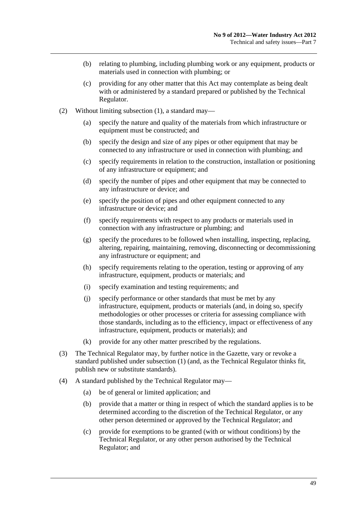- (b) relating to plumbing, including plumbing work or any equipment, products or materials used in connection with plumbing; or
- (c) providing for any other matter that this Act may contemplate as being dealt with or administered by a standard prepared or published by the Technical Regulator.
- (2) Without limiting [subsection \(1\),](#page-47-0) a standard may—
	- (a) specify the nature and quality of the materials from which infrastructure or equipment must be constructed; and
	- (b) specify the design and size of any pipes or other equipment that may be connected to any infrastructure or used in connection with plumbing; and
	- (c) specify requirements in relation to the construction, installation or positioning of any infrastructure or equipment; and
	- (d) specify the number of pipes and other equipment that may be connected to any infrastructure or device; and
	- (e) specify the position of pipes and other equipment connected to any infrastructure or device; and
	- (f) specify requirements with respect to any products or materials used in connection with any infrastructure or plumbing; and
	- (g) specify the procedures to be followed when installing, inspecting, replacing, altering, repairing, maintaining, removing, disconnecting or decommissioning any infrastructure or equipment; and
	- (h) specify requirements relating to the operation, testing or approving of any infrastructure, equipment, products or materials; and
	- (i) specify examination and testing requirements; and
	- (j) specify performance or other standards that must be met by any infrastructure, equipment, products or materials (and, in doing so, specify methodologies or other processes or criteria for assessing compliance with those standards, including as to the efficiency, impact or effectiveness of any infrastructure, equipment, products or materials); and
	- (k) provide for any other matter prescribed by the regulations.
- (3) The Technical Regulator may, by further notice in the Gazette, vary or revoke a standard published under [subsection \(1\)](#page-47-0) (and, as the Technical Regulator thinks fit, publish new or substitute standards).
- (4) A standard published by the Technical Regulator may—
	- (a) be of general or limited application; and
	- (b) provide that a matter or thing in respect of which the standard applies is to be determined according to the discretion of the Technical Regulator, or any other person determined or approved by the Technical Regulator; and
	- (c) provide for exemptions to be granted (with or without conditions) by the Technical Regulator, or any other person authorised by the Technical Regulator; and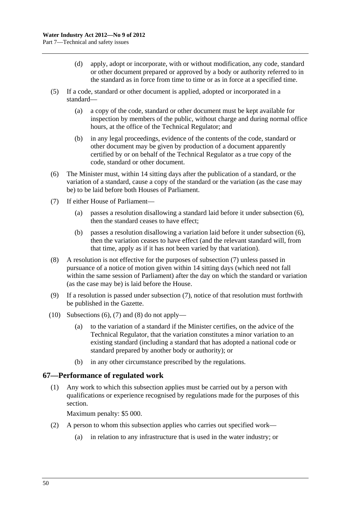- <span id="page-49-0"></span> (d) apply, adopt or incorporate, with or without modification, any code, standard or other document prepared or approved by a body or authority referred to in the standard as in force from time to time or as in force at a specified time.
- (5) If a code, standard or other document is applied, adopted or incorporated in a standard—
	- (a) a copy of the code, standard or other document must be kept available for inspection by members of the public, without charge and during normal office hours, at the office of the Technical Regulator; and
	- (b) in any legal proceedings, evidence of the contents of the code, standard or other document may be given by production of a document apparently certified by or on behalf of the Technical Regulator as a true copy of the code, standard or other document.
- (6) The Minister must, within 14 sitting days after the publication of a standard, or the variation of a standard, cause a copy of the standard or the variation (as the case may be) to be laid before both Houses of Parliament.
- (7) If either House of Parliament—
	- (a) passes a resolution disallowing a standard laid before it under [subsection \(6\)](#page-49-0), then the standard ceases to have effect;
	- (b) passes a resolution disallowing a variation laid before it under [subsection \(6\)](#page-49-0), then the variation ceases to have effect (and the relevant standard will, from that time, apply as if it has not been varied by that variation).
- (8) A resolution is not effective for the purposes of [subsection \(7\)](#page-49-0) unless passed in pursuance of a notice of motion given within 14 sitting days (which need not fall within the same session of Parliament) after the day on which the standard or variation (as the case may be) is laid before the House.
- (9) If a resolution is passed under [subsection \(7\),](#page-49-0) notice of that resolution must forthwith be published in the Gazette.
- (10) Subsections  $(6)$ ,  $(7)$  and  $(8)$  do not apply—
	- (a) to the variation of a standard if the Minister certifies, on the advice of the Technical Regulator, that the variation constitutes a minor variation to an existing standard (including a standard that has adopted a national code or standard prepared by another body or authority); or
	- (b) in any other circumstance prescribed by the regulations.

### **67—Performance of regulated work**

 (1) Any work to which this subsection applies must be carried out by a person with qualifications or experience recognised by regulations made for the purposes of this section.

Maximum penalty: \$5 000.

- (2) A person to whom this subsection applies who carries out specified work—
	- (a) in relation to any infrastructure that is used in the water industry; or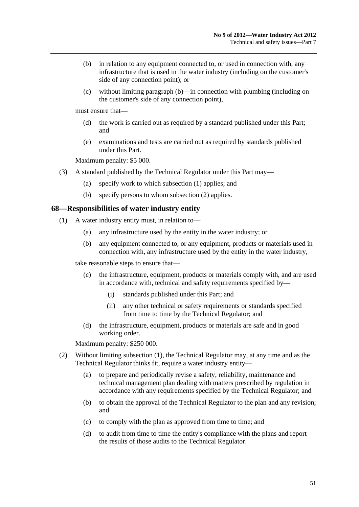- <span id="page-50-0"></span> (b) in relation to any equipment connected to, or used in connection with, any infrastructure that is used in the water industry (including on the customer's side of any connection point); or
- (c) without limiting [paragraph \(b\)](#page-50-0)—in connection with plumbing (including on the customer's side of any connection point),

must ensure that—

- (d) the work is carried out as required by a standard published under this Part; and
- (e) examinations and tests are carried out as required by standards published under this Part.

Maximum penalty: \$5 000.

- (3) A standard published by the Technical Regulator under this Part may—
	- (a) specify work to which [subsection \(1\)](#page-49-0) applies; and
	- (b) specify persons to whom [subsection \(2\)](#page-49-0) applies.

#### **68—Responsibilities of water industry entity**

- (1) A water industry entity must, in relation to—
	- (a) any infrastructure used by the entity in the water industry; or
	- (b) any equipment connected to, or any equipment, products or materials used in connection with, any infrastructure used by the entity in the water industry,

take reasonable steps to ensure that—

- (c) the infrastructure, equipment, products or materials comply with, and are used in accordance with, technical and safety requirements specified by—
	- (i) standards published under this Part; and
	- (ii) any other technical or safety requirements or standards specified from time to time by the Technical Regulator; and
- (d) the infrastructure, equipment, products or materials are safe and in good working order.

Maximum penalty: \$250 000.

- (2) Without limiting [subsection \(1\),](#page-50-0) the Technical Regulator may, at any time and as the Technical Regulator thinks fit, require a water industry entity—
	- (a) to prepare and periodically revise a safety, reliability, maintenance and technical management plan dealing with matters prescribed by regulation in accordance with any requirements specified by the Technical Regulator; and
	- (b) to obtain the approval of the Technical Regulator to the plan and any revision; and
	- (c) to comply with the plan as approved from time to time; and
	- (d) to audit from time to time the entity's compliance with the plans and report the results of those audits to the Technical Regulator.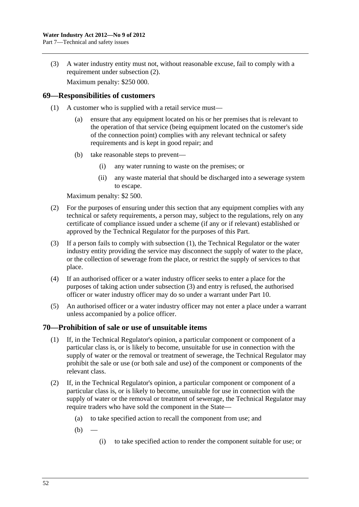<span id="page-51-0"></span> (3) A water industry entity must not, without reasonable excuse, fail to comply with a requirement under [subsection \(2\).](#page-50-0)

Maximum penalty: \$250 000.

### **69—Responsibilities of customers**

- (1) A customer who is supplied with a retail service must—
	- (a) ensure that any equipment located on his or her premises that is relevant to the operation of that service (being equipment located on the customer's side of the connection point) complies with any relevant technical or safety requirements and is kept in good repair; and
	- (b) take reasonable steps to prevent—
		- (i) any water running to waste on the premises; or
		- (ii) any waste material that should be discharged into a sewerage system to escape.

Maximum penalty: \$2 500.

- (2) For the purposes of ensuring under this section that any equipment complies with any technical or safety requirements, a person may, subject to the regulations, rely on any certificate of compliance issued under a scheme (if any or if relevant) established or approved by the Technical Regulator for the purposes of this Part.
- (3) If a person fails to comply with [subsection \(1\),](#page-51-0) the Technical Regulator or the water industry entity providing the service may disconnect the supply of water to the place, or the collection of sewerage from the place, or restrict the supply of services to that place.
- (4) If an authorised officer or a water industry officer seeks to enter a place for the purposes of taking action under [subsection \(3\)](#page-51-0) and entry is refused, the authorised officer or water industry officer may do so under a warrant under [Part 10](#page-63-0).
- (5) An authorised officer or a water industry officer may not enter a place under a warrant unless accompanied by a police officer.

### **70—Prohibition of sale or use of unsuitable items**

- (1) If, in the Technical Regulator's opinion, a particular component or component of a particular class is, or is likely to become, unsuitable for use in connection with the supply of water or the removal or treatment of sewerage, the Technical Regulator may prohibit the sale or use (or both sale and use) of the component or components of the relevant class.
- (2) If, in the Technical Regulator's opinion, a particular component or component of a particular class is, or is likely to become, unsuitable for use in connection with the supply of water or the removal or treatment of sewerage, the Technical Regulator may require traders who have sold the component in the State—
	- (a) to take specified action to recall the component from use; and
	- $(b)$
- (i) to take specified action to render the component suitable for use; or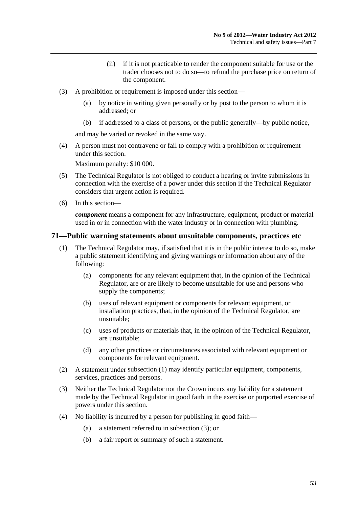- (ii) if it is not practicable to render the component suitable for use or the trader chooses not to do so—to refund the purchase price on return of the component.
- <span id="page-52-0"></span> (3) A prohibition or requirement is imposed under this section—
	- (a) by notice in writing given personally or by post to the person to whom it is addressed; or
	- (b) if addressed to a class of persons, or the public generally—by public notice,

and may be varied or revoked in the same way.

 (4) A person must not contravene or fail to comply with a prohibition or requirement under this section.

Maximum penalty: \$10 000.

- (5) The Technical Regulator is not obliged to conduct a hearing or invite submissions in connection with the exercise of a power under this section if the Technical Regulator considers that urgent action is required.
- (6) In this section—

*component* means a component for any infrastructure, equipment, product or material used in or in connection with the water industry or in connection with plumbing.

### **71—Public warning statements about unsuitable components, practices etc**

- (1) The Technical Regulator may, if satisfied that it is in the public interest to do so, make a public statement identifying and giving warnings or information about any of the following:
	- (a) components for any relevant equipment that, in the opinion of the Technical Regulator, are or are likely to become unsuitable for use and persons who supply the components;
	- (b) uses of relevant equipment or components for relevant equipment, or installation practices, that, in the opinion of the Technical Regulator, are unsuitable;
	- (c) uses of products or materials that, in the opinion of the Technical Regulator, are unsuitable;
	- (d) any other practices or circumstances associated with relevant equipment or components for relevant equipment.
- (2) A statement under [subsection \(1\)](#page-52-0) may identify particular equipment, components, services, practices and persons.
- (3) Neither the Technical Regulator nor the Crown incurs any liability for a statement made by the Technical Regulator in good faith in the exercise or purported exercise of powers under this section.
- (4) No liability is incurred by a person for publishing in good faith—
	- (a) a statement referred to in [subsection \(3\)](#page-52-0); or
	- (b) a fair report or summary of such a statement.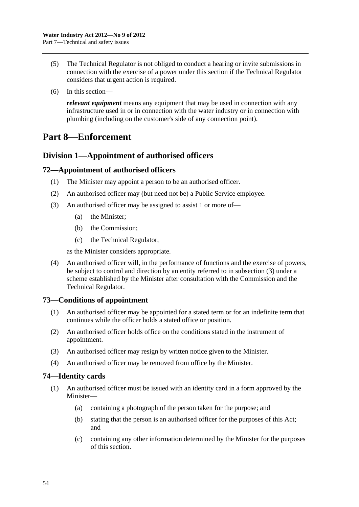- <span id="page-53-0"></span> (5) The Technical Regulator is not obliged to conduct a hearing or invite submissions in connection with the exercise of a power under this section if the Technical Regulator considers that urgent action is required.
- (6) In this section—

*relevant equipment* means any equipment that may be used in connection with any infrastructure used in or in connection with the water industry or in connection with plumbing (including on the customer's side of any connection point).

# **Part 8—Enforcement**

## **Division 1—Appointment of authorised officers**

### **72—Appointment of authorised officers**

- (1) The Minister may appoint a person to be an authorised officer.
- (2) An authorised officer may (but need not be) a Public Service employee.
- (3) An authorised officer may be assigned to assist 1 or more of—
	- (a) the Minister;
	- (b) the Commission:
	- (c) the Technical Regulator,

as the Minister considers appropriate.

 (4) An authorised officer will, in the performance of functions and the exercise of powers, be subject to control and direction by an entity referred to in [subsection \(3\)](#page-53-0) under a scheme established by the Minister after consultation with the Commission and the Technical Regulator.

### **73—Conditions of appointment**

- (1) An authorised officer may be appointed for a stated term or for an indefinite term that continues while the officer holds a stated office or position.
- (2) An authorised officer holds office on the conditions stated in the instrument of appointment.
- (3) An authorised officer may resign by written notice given to the Minister.
- (4) An authorised officer may be removed from office by the Minister.

### **74—Identity cards**

- (1) An authorised officer must be issued with an identity card in a form approved by the Minister—
	- (a) containing a photograph of the person taken for the purpose; and
	- (b) stating that the person is an authorised officer for the purposes of this Act; and
	- (c) containing any other information determined by the Minister for the purposes of this section.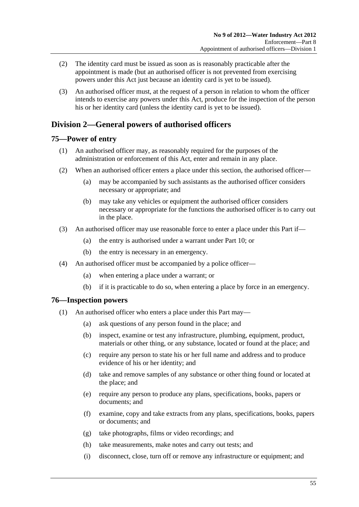- <span id="page-54-0"></span> (2) The identity card must be issued as soon as is reasonably practicable after the appointment is made (but an authorised officer is not prevented from exercising powers under this Act just because an identity card is yet to be issued).
- (3) An authorised officer must, at the request of a person in relation to whom the officer intends to exercise any powers under this Act, produce for the inspection of the person his or her identity card (unless the identity card is yet to be issued).

## **Division 2—General powers of authorised officers**

## **75—Power of entry**

- (1) An authorised officer may, as reasonably required for the purposes of the administration or enforcement of this Act, enter and remain in any place.
- (2) When an authorised officer enters a place under this section, the authorised officer—
	- (a) may be accompanied by such assistants as the authorised officer considers necessary or appropriate; and
	- (b) may take any vehicles or equipment the authorised officer considers necessary or appropriate for the functions the authorised officer is to carry out in the place.
- (3) An authorised officer may use reasonable force to enter a place under this Part if—
	- (a) the entry is authorised under a warrant under [Part 10](#page-63-0); or
	- (b) the entry is necessary in an emergency.
- (4) An authorised officer must be accompanied by a police officer—
	- (a) when entering a place under a warrant; or
	- (b) if it is practicable to do so, when entering a place by force in an emergency.

### **76—Inspection powers**

- (1) An authorised officer who enters a place under this Part may—
	- (a) ask questions of any person found in the place; and
	- (b) inspect, examine or test any infrastructure, plumbing, equipment, product, materials or other thing, or any substance, located or found at the place; and
	- (c) require any person to state his or her full name and address and to produce evidence of his or her identity; and
	- (d) take and remove samples of any substance or other thing found or located at the place; and
	- (e) require any person to produce any plans, specifications, books, papers or documents; and
	- (f) examine, copy and take extracts from any plans, specifications, books, papers or documents; and
	- (g) take photographs, films or video recordings; and
	- (h) take measurements, make notes and carry out tests; and
	- (i) disconnect, close, turn off or remove any infrastructure or equipment; and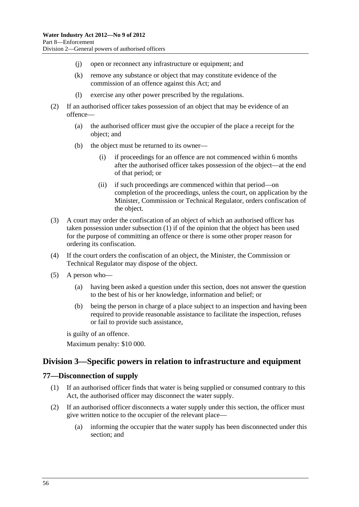- (j) open or reconnect any infrastructure or equipment; and
- (k) remove any substance or object that may constitute evidence of the commission of an offence against this Act; and
- (l) exercise any other power prescribed by the regulations.
- (2) If an authorised officer takes possession of an object that may be evidence of an offence—
	- (a) the authorised officer must give the occupier of the place a receipt for the object; and
	- (b) the object must be returned to its owner
		- if proceedings for an offence are not commenced within 6 months after the authorised officer takes possession of the object—at the end of that period; or
		- (ii) if such proceedings are commenced within that period—on completion of the proceedings, unless the court, on application by the Minister, Commission or Technical Regulator, orders confiscation of the object.
- (3) A court may order the confiscation of an object of which an authorised officer has taken possession under [subsection \(1\)](#page-54-0) if of the opinion that the object has been used for the purpose of committing an offence or there is some other proper reason for ordering its confiscation.
- (4) If the court orders the confiscation of an object, the Minister, the Commission or Technical Regulator may dispose of the object.
- (5) A person who—
	- (a) having been asked a question under this section, does not answer the question to the best of his or her knowledge, information and belief; or
	- (b) being the person in charge of a place subject to an inspection and having been required to provide reasonable assistance to facilitate the inspection, refuses or fail to provide such assistance,

is guilty of an offence.

Maximum penalty: \$10 000.

## **Division 3—Specific powers in relation to infrastructure and equipment**

### **77—Disconnection of supply**

- (1) If an authorised officer finds that water is being supplied or consumed contrary to this Act, the authorised officer may disconnect the water supply.
- (2) If an authorised officer disconnects a water supply under this section, the officer must give written notice to the occupier of the relevant place—
	- (a) informing the occupier that the water supply has been disconnected under this section; and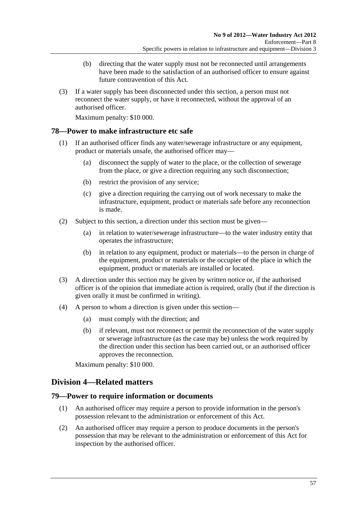- <span id="page-56-0"></span> (b) directing that the water supply must not be reconnected until arrangements have been made to the satisfaction of an authorised officer to ensure against future contravention of this Act.
- (3) If a water supply has been disconnected under this section, a person must not reconnect the water supply, or have it reconnected, without the approval of an authorised officer.

Maximum penalty: \$10 000.

## **78—Power to make infrastructure etc safe**

- (1) If an authorised officer finds any water/sewerage infrastructure or any equipment, product or materials unsafe, the authorised officer may—
	- (a) disconnect the supply of water to the place, or the collection of sewerage from the place, or give a direction requiring any such disconnection;
	- (b) restrict the provision of any service;
	- (c) give a direction requiring the carrying out of work necessary to make the infrastructure, equipment, product or materials safe before any reconnection is made.
- (2) Subject to this section, a direction under this section must be given—
	- (a) in relation to water/sewerage infrastructure—to the water industry entity that operates the infrastructure;
	- (b) in relation to any equipment, product or materials—to the person in charge of the equipment, product or materials or the occupier of the place in which the equipment, product or materials are installed or located.
- (3) A direction under this section may be given by written notice or, if the authorised officer is of the opinion that immediate action is required, orally (but if the direction is given orally it must be confirmed in writing).
- (4) A person to whom a direction is given under this section—
	- (a) must comply with the direction; and
	- (b) if relevant, must not reconnect or permit the reconnection of the water supply or sewerage infrastructure (as the case may be) unless the work required by the direction under this section has been carried out, or an authorised officer approves the reconnection.

Maximum penalty: \$10 000.

## **Division 4—Related matters**

### **79—Power to require information or documents**

- (1) An authorised officer may require a person to provide information in the person's possession relevant to the administration or enforcement of this Act.
- (2) An authorised officer may require a person to produce documents in the person's possession that may be relevant to the administration or enforcement of this Act for inspection by the authorised officer.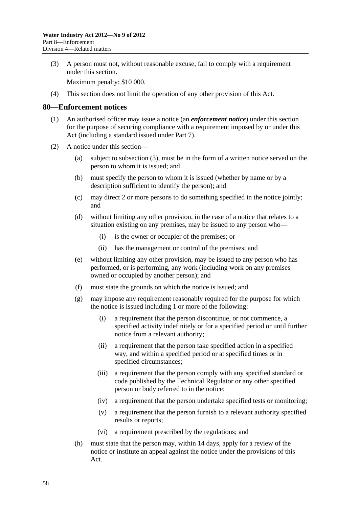<span id="page-57-0"></span> (3) A person must not, without reasonable excuse, fail to comply with a requirement under this section.

Maximum penalty: \$10 000.

(4) This section does not limit the operation of any other provision of this Act.

#### **80—Enforcement notices**

- (1) An authorised officer may issue a notice (an *enforcement notice*) under this section for the purpose of securing compliance with a requirement imposed by or under this Act (including a standard issued under [Part 7\)](#page-47-0).
- (2) A notice under this section—
	- (a) subject to [subsection \(3\)](#page-58-0), must be in the form of a written notice served on the person to whom it is issued; and
	- (b) must specify the person to whom it is issued (whether by name or by a description sufficient to identify the person); and
	- (c) may direct 2 or more persons to do something specified in the notice jointly; and
	- (d) without limiting any other provision, in the case of a notice that relates to a situation existing on any premises, may be issued to any person who—
		- (i) is the owner or occupier of the premises; or
		- (ii) has the management or control of the premises; and
	- (e) without limiting any other provision, may be issued to any person who has performed, or is performing, any work (including work on any premises owned or occupied by another person); and
	- (f) must state the grounds on which the notice is issued; and
	- (g) may impose any requirement reasonably required for the purpose for which the notice is issued including 1 or more of the following:
		- (i) a requirement that the person discontinue, or not commence, a specified activity indefinitely or for a specified period or until further notice from a relevant authority;
		- (ii) a requirement that the person take specified action in a specified way, and within a specified period or at specified times or in specified circumstances;
		- (iii) a requirement that the person comply with any specified standard or code published by the Technical Regulator or any other specified person or body referred to in the notice;
		- (iv) a requirement that the person undertake specified tests or monitoring;
		- (v) a requirement that the person furnish to a relevant authority specified results or reports;
		- (vi) a requirement prescribed by the regulations; and
	- (h) must state that the person may, within 14 days, apply for a review of the notice or institute an appeal against the notice under the provisions of this Act.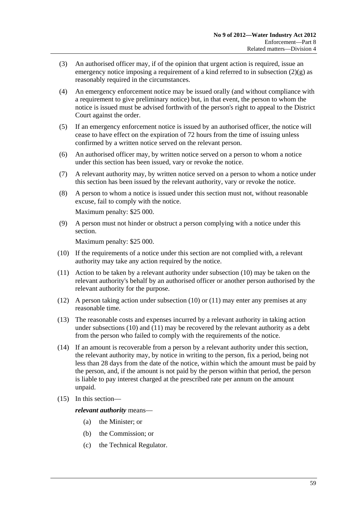- <span id="page-58-0"></span> (3) An authorised officer may, if of the opinion that urgent action is required, issue an emergency notice imposing a requirement of a kind referred to in subsection  $(2)(g)$  as reasonably required in the circumstances.
- (4) An emergency enforcement notice may be issued orally (and without compliance with a requirement to give preliminary notice) but, in that event, the person to whom the notice is issued must be advised forthwith of the person's right to appeal to the District Court against the order.
- (5) If an emergency enforcement notice is issued by an authorised officer, the notice will cease to have effect on the expiration of 72 hours from the time of issuing unless confirmed by a written notice served on the relevant person.
- (6) An authorised officer may, by written notice served on a person to whom a notice under this section has been issued, vary or revoke the notice.
- (7) A relevant authority may, by written notice served on a person to whom a notice under this section has been issued by the relevant authority, vary or revoke the notice.
- (8) A person to whom a notice is issued under this section must not, without reasonable excuse, fail to comply with the notice.

Maximum penalty: \$25 000.

 (9) A person must not hinder or obstruct a person complying with a notice under this section.

Maximum penalty: \$25 000.

- (10) If the requirements of a notice under this section are not complied with, a relevant authority may take any action required by the notice.
- (11) Action to be taken by a relevant authority under [subsection \(10\)](#page-58-0) may be taken on the relevant authority's behalf by an authorised officer or another person authorised by the relevant authority for the purpose.
- (12) A person taking action under [subsection \(10\)](#page-58-0) or [\(11\)](#page-58-0) may enter any premises at any reasonable time.
- (13) The reasonable costs and expenses incurred by a relevant authority in taking action under [subsections \(10\)](#page-58-0) and [\(11\)](#page-58-0) may be recovered by the relevant authority as a debt from the person who failed to comply with the requirements of the notice.
- (14) If an amount is recoverable from a person by a relevant authority under this section, the relevant authority may, by notice in writing to the person, fix a period, being not less than 28 days from the date of the notice, within which the amount must be paid by the person, and, if the amount is not paid by the person within that period, the person is liable to pay interest charged at the prescribed rate per annum on the amount unpaid.
- (15) In this section—

*relevant authority* means—

- (a) the Minister; or
- (b) the Commission; or
- (c) the Technical Regulator.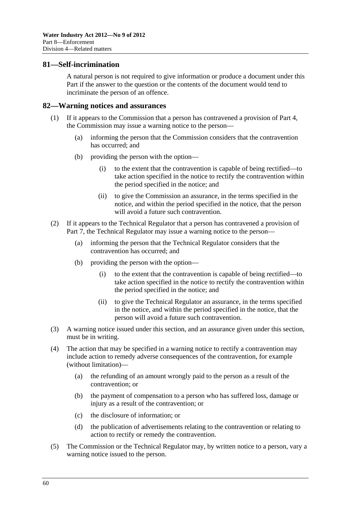### **81—Self-incrimination**

A natural person is not required to give information or produce a document under this Part if the answer to the question or the contents of the document would tend to incriminate the person of an offence.

#### **82—Warning notices and assurances**

- (1) If it appears to the Commission that a person has contravened a provision of [Part 4,](#page-16-0) the Commission may issue a warning notice to the person—
	- (a) informing the person that the Commission considers that the contravention has occurred; and
	- (b) providing the person with the option—
		- (i) to the extent that the contravention is capable of being rectified—to take action specified in the notice to rectify the contravention within the period specified in the notice; and
		- (ii) to give the Commission an assurance, in the terms specified in the notice, and within the period specified in the notice, that the person will avoid a future such contravention.
- (2) If it appears to the Technical Regulator that a person has contravened a provision of [Part 7,](#page-47-0) the Technical Regulator may issue a warning notice to the person—
	- (a) informing the person that the Technical Regulator considers that the contravention has occurred; and
	- (b) providing the person with the option—
		- (i) to the extent that the contravention is capable of being rectified—to take action specified in the notice to rectify the contravention within the period specified in the notice; and
		- (ii) to give the Technical Regulator an assurance, in the terms specified in the notice, and within the period specified in the notice, that the person will avoid a future such contravention.
- (3) A warning notice issued under this section, and an assurance given under this section, must be in writing.
- (4) The action that may be specified in a warning notice to rectify a contravention may include action to remedy adverse consequences of the contravention, for example (without limitation)—
	- (a) the refunding of an amount wrongly paid to the person as a result of the contravention; or
	- (b) the payment of compensation to a person who has suffered loss, damage or injury as a result of the contravention; or
	- (c) the disclosure of information; or
	- (d) the publication of advertisements relating to the contravention or relating to action to rectify or remedy the contravention.
- (5) The Commission or the Technical Regulator may, by written notice to a person, vary a warning notice issued to the person.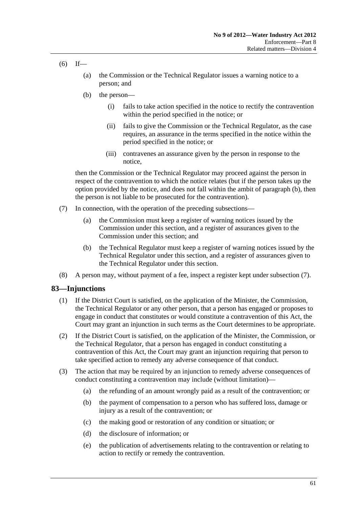- <span id="page-60-0"></span> $(6)$  If—
	- (a) the Commission or the Technical Regulator issues a warning notice to a person; and
	- (b) the person—
		- (i) fails to take action specified in the notice to rectify the contravention within the period specified in the notice; or
		- (ii) fails to give the Commission or the Technical Regulator, as the case requires, an assurance in the terms specified in the notice within the period specified in the notice; or
		- (iii) contravenes an assurance given by the person in response to the notice,

then the Commission or the Technical Regulator may proceed against the person in respect of the contravention to which the notice relates (but if the person takes up the option provided by the notice, and does not fall within the ambit of [paragraph \(b\)](#page-60-0), then the person is not liable to be prosecuted for the contravention).

- (7) In connection, with the operation of the preceding subsections—
	- (a) the Commission must keep a register of warning notices issued by the Commission under this section, and a register of assurances given to the Commission under this section; and
	- (b) the Technical Regulator must keep a register of warning notices issued by the Technical Regulator under this section, and a register of assurances given to the Technical Regulator under this section.
- (8) A person may, without payment of a fee, inspect a register kept under [subsection \(7\)](#page-60-0).

### **83—Injunctions**

- (1) If the District Court is satisfied, on the application of the Minister, the Commission, the Technical Regulator or any other person, that a person has engaged or proposes to engage in conduct that constitutes or would constitute a contravention of this Act, the Court may grant an injunction in such terms as the Court determines to be appropriate.
- (2) If the District Court is satisfied, on the application of the Minister, the Commission, or the Technical Regulator, that a person has engaged in conduct constituting a contravention of this Act, the Court may grant an injunction requiring that person to take specified action to remedy any adverse consequence of that conduct.
- (3) The action that may be required by an injunction to remedy adverse consequences of conduct constituting a contravention may include (without limitation)—
	- (a) the refunding of an amount wrongly paid as a result of the contravention; or
	- (b) the payment of compensation to a person who has suffered loss, damage or injury as a result of the contravention; or
	- (c) the making good or restoration of any condition or situation; or
	- (d) the disclosure of information; or
	- (e) the publication of advertisements relating to the contravention or relating to action to rectify or remedy the contravention.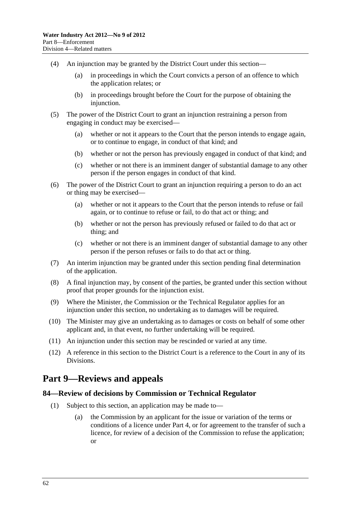- <span id="page-61-0"></span> (4) An injunction may be granted by the District Court under this section—
	- (a) in proceedings in which the Court convicts a person of an offence to which the application relates; or
	- (b) in proceedings brought before the Court for the purpose of obtaining the injunction.
- (5) The power of the District Court to grant an injunction restraining a person from engaging in conduct may be exercised—
	- (a) whether or not it appears to the Court that the person intends to engage again, or to continue to engage, in conduct of that kind; and
	- (b) whether or not the person has previously engaged in conduct of that kind; and
	- (c) whether or not there is an imminent danger of substantial damage to any other person if the person engages in conduct of that kind.
- (6) The power of the District Court to grant an injunction requiring a person to do an act or thing may be exercised—
	- (a) whether or not it appears to the Court that the person intends to refuse or fail again, or to continue to refuse or fail, to do that act or thing; and
	- (b) whether or not the person has previously refused or failed to do that act or thing; and
	- (c) whether or not there is an imminent danger of substantial damage to any other person if the person refuses or fails to do that act or thing.
- (7) An interim injunction may be granted under this section pending final determination of the application.
- (8) A final injunction may, by consent of the parties, be granted under this section without proof that proper grounds for the injunction exist.
- (9) Where the Minister, the Commission or the Technical Regulator applies for an injunction under this section, no undertaking as to damages will be required.
- (10) The Minister may give an undertaking as to damages or costs on behalf of some other applicant and, in that event, no further undertaking will be required.
- (11) An injunction under this section may be rescinded or varied at any time.
- (12) A reference in this section to the District Court is a reference to the Court in any of its Divisions.

# **Part 9—Reviews and appeals**

### **84—Review of decisions by Commission or Technical Regulator**

- (1) Subject to this section, an application may be made to—
	- (a) the Commission by an applicant for the issue or variation of the terms or conditions of a licence under [Part 4](#page-16-0), or for agreement to the transfer of such a licence, for review of a decision of the Commission to refuse the application; or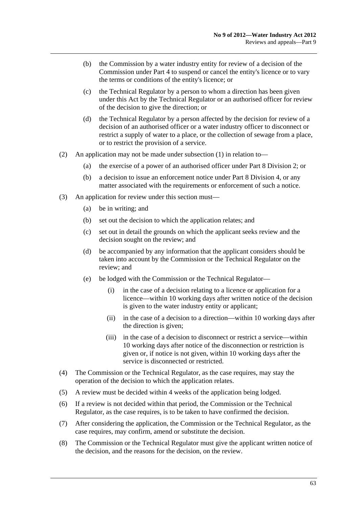- (b) the Commission by a water industry entity for review of a decision of the Commission under [Part 4](#page-16-0) to suspend or cancel the entity's licence or to vary the terms or conditions of the entity's licence; or
- (c) the Technical Regulator by a person to whom a direction has been given under this Act by the Technical Regulator or an authorised officer for review of the decision to give the direction; or
- (d) the Technical Regulator by a person affected by the decision for review of a decision of an authorised officer or a water industry officer to disconnect or restrict a supply of water to a place, or the collection of sewage from a place, or to restrict the provision of a service.
- (2) An application may not be made under [subsection \(1\)](#page-61-0) in relation to—
	- (a) the exercise of a power of an authorised officer under [Part 8 Division 2;](#page-54-0) or
	- (b) a decision to issue an enforcement notice under [Part 8 Division 4,](#page-56-0) or any matter associated with the requirements or enforcement of such a notice.
- (3) An application for review under this section must—
	- (a) be in writing; and
	- (b) set out the decision to which the application relates; and
	- (c) set out in detail the grounds on which the applicant seeks review and the decision sought on the review; and
	- (d) be accompanied by any information that the applicant considers should be taken into account by the Commission or the Technical Regulator on the review; and
	- (e) be lodged with the Commission or the Technical Regulator—
		- (i) in the case of a decision relating to a licence or application for a licence—within 10 working days after written notice of the decision is given to the water industry entity or applicant;
		- (ii) in the case of a decision to a direction—within 10 working days after the direction is given;
		- (iii) in the case of a decision to disconnect or restrict a service—within 10 working days after notice of the disconnection or restriction is given or, if notice is not given, within 10 working days after the service is disconnected or restricted.
- (4) The Commission or the Technical Regulator, as the case requires, may stay the operation of the decision to which the application relates.
- (5) A review must be decided within 4 weeks of the application being lodged.
- (6) If a review is not decided within that period, the Commission or the Technical Regulator, as the case requires, is to be taken to have confirmed the decision.
- (7) After considering the application, the Commission or the Technical Regulator, as the case requires, may confirm, amend or substitute the decision.
- (8) The Commission or the Technical Regulator must give the applicant written notice of the decision, and the reasons for the decision, on the review.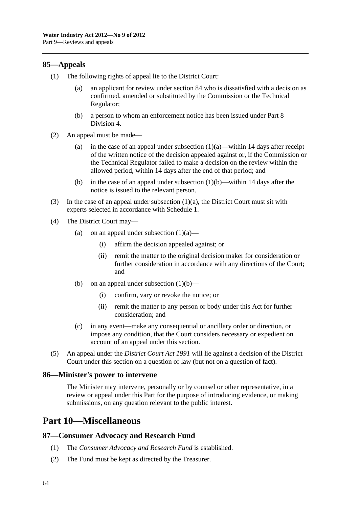### <span id="page-63-0"></span>**85—Appeals**

- (1) The following rights of appeal lie to the District Court:
	- (a) an applicant for review under [section 84](#page-61-0) who is dissatisfied with a decision as confirmed, amended or substituted by the Commission or the Technical Regulator;
	- (b) a person to whom an enforcement notice has been issued under [Part 8](#page-56-0)  [Division 4.](#page-56-0)
- (2) An appeal must be made—
	- (a) in the case of an appeal under subsection  $(1)(a)$ —within 14 days after receipt of the written notice of the decision appealed against or, if the Commission or the Technical Regulator failed to make a decision on the review within the allowed period, within 14 days after the end of that period; and
	- (b) in the case of an appeal under [subsection \(1\)\(b\)](#page-63-0)—within 14 days after the notice is issued to the relevant person.
- (3) In the case of an appeal under subsection  $(1)(a)$ , the District Court must sit with experts selected in accordance with [Schedule 1](#page-79-0).
- (4) The District Court may—
	- (a) on an appeal under subsection  $(1)(a)$ 
		- (i) affirm the decision appealed against; or
		- (ii) remit the matter to the original decision maker for consideration or further consideration in accordance with any directions of the Court; and
	- (b) on an appeal under subsection  $(1)(b)$ 
		- (i) confirm, vary or revoke the notice; or
		- (ii) remit the matter to any person or body under this Act for further consideration; and
	- (c) in any event—make any consequential or ancillary order or direction, or impose any condition, that the Court considers necessary or expedient on account of an appeal under this section.
- (5) An appeal under the *[District Court Act 1991](http://www.legislation.sa.gov.au/index.aspx?action=legref&type=act&legtitle=District%20Court%20Act%201991)* will lie against a decision of the District Court under this section on a question of law (but not on a question of fact).

### **86—Minister's power to intervene**

The Minister may intervene, personally or by counsel or other representative, in a review or appeal under this Part for the purpose of introducing evidence, or making submissions, on any question relevant to the public interest.

# **Part 10—Miscellaneous**

### **87—Consumer Advocacy and Research Fund**

- (1) The *Consumer Advocacy and Research Fund* is established.
- (2) The Fund must be kept as directed by the Treasurer.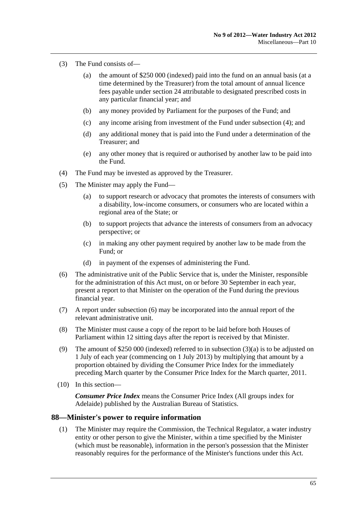- <span id="page-64-0"></span> (3) The Fund consists of—
	- (a) the amount of \$250 000 (indexed) paid into the fund on an annual basis (at a time determined by the Treasurer) from the total amount of annual licence fees payable under [section 24](#page-19-0) attributable to designated prescribed costs in any particular financial year; and
	- (b) any money provided by Parliament for the purposes of the Fund; and
	- (c) any income arising from investment of the Fund under [subsection \(4\)](#page-64-0); and
	- (d) any additional money that is paid into the Fund under a determination of the Treasurer; and
	- (e) any other money that is required or authorised by another law to be paid into the Fund.
- (4) The Fund may be invested as approved by the Treasurer.
- (5) The Minister may apply the Fund—
	- (a) to support research or advocacy that promotes the interests of consumers with a disability, low-income consumers, or consumers who are located within a regional area of the State; or
	- (b) to support projects that advance the interests of consumers from an advocacy perspective; or
	- (c) in making any other payment required by another law to be made from the Fund; or
	- (d) in payment of the expenses of administering the Fund.
- (6) The administrative unit of the Public Service that is, under the Minister, responsible for the administration of this Act must, on or before 30 September in each year, present a report to that Minister on the operation of the Fund during the previous financial year.
- (7) A report under [subsection \(6\)](#page-64-0) may be incorporated into the annual report of the relevant administrative unit.
- (8) The Minister must cause a copy of the report to be laid before both Houses of Parliament within 12 sitting days after the report is received by that Minister.
- (9) The amount of \$250 000 (indexed) referred to in [subsection \(3\)\(a\)](#page-64-0) is to be adjusted on 1 July of each year (commencing on 1 July 2013) by multiplying that amount by a proportion obtained by dividing the Consumer Price Index for the immediately preceding March quarter by the Consumer Price Index for the March quarter, 2011.
- (10) In this section—

*Consumer Price Index* means the Consumer Price Index (All groups index for Adelaide) published by the Australian Bureau of Statistics.

#### **88—Minister's power to require information**

 (1) The Minister may require the Commission, the Technical Regulator, a water industry entity or other person to give the Minister, within a time specified by the Minister (which must be reasonable), information in the person's possession that the Minister reasonably requires for the performance of the Minister's functions under this Act.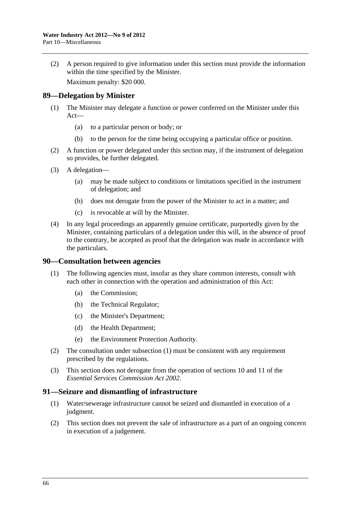<span id="page-65-0"></span> (2) A person required to give information under this section must provide the information within the time specified by the Minister.

Maximum penalty: \$20 000.

### **89—Delegation by Minister**

- (1) The Minister may delegate a function or power conferred on the Minister under this Act—
	- (a) to a particular person or body; or
	- (b) to the person for the time being occupying a particular office or position.
- (2) A function or power delegated under this section may, if the instrument of delegation so provides, be further delegated.
- (3) A delegation—
	- (a) may be made subject to conditions or limitations specified in the instrument of delegation; and
	- (b) does not derogate from the power of the Minister to act in a matter; and
	- (c) is revocable at will by the Minister.
- (4) In any legal proceedings an apparently genuine certificate, purportedly given by the Minister, containing particulars of a delegation under this will, in the absence of proof to the contrary, be accepted as proof that the delegation was made in accordance with the particulars.

### **90—Consultation between agencies**

- (1) The following agencies must, insofar as they share common interests, consult with each other in connection with the operation and administration of this Act:
	- (a) the Commission;
	- (b) the Technical Regulator;
	- (c) the Minister's Department;
	- (d) the Health Department;
	- (e) the Environment Protection Authority.
- (2) The consultation under [subsection \(1\)](#page-65-0) must be consistent with any requirement prescribed by the regulations.
- (3) This section does not derogate from the operation of sections 10 and 11 of the *[Essential Services Commission Act 2002](http://www.legislation.sa.gov.au/index.aspx?action=legref&type=act&legtitle=Essential%20Services%20Commission%20Act%202002)*.

### **91—Seizure and dismantling of infrastructure**

- (1) Water/sewerage infrastructure cannot be seized and dismantled in execution of a judgment.
- (2) This section does not prevent the sale of infrastructure as a part of an ongoing concern in execution of a judgement.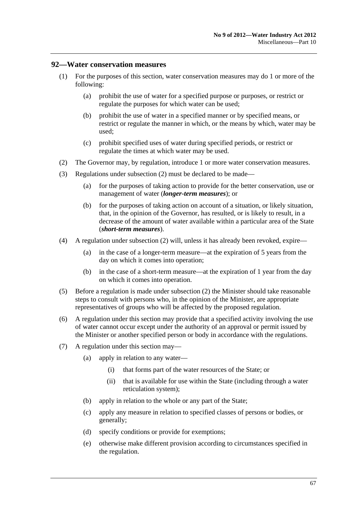### <span id="page-66-0"></span>**92—Water conservation measures**

- (1) For the purposes of this section, water conservation measures may do 1 or more of the following:
	- (a) prohibit the use of water for a specified purpose or purposes, or restrict or regulate the purposes for which water can be used;
	- (b) prohibit the use of water in a specified manner or by specified means, or restrict or regulate the manner in which, or the means by which, water may be used;
	- (c) prohibit specified uses of water during specified periods, or restrict or regulate the times at which water may be used.
- (2) The Governor may, by regulation, introduce 1 or more water conservation measures.
- (3) Regulations under [subsection \(2\)](#page-66-0) must be declared to be made—
	- (a) for the purposes of taking action to provide for the better conservation, use or management of water (*longer-term measures*); or
	- (b) for the purposes of taking action on account of a situation, or likely situation, that, in the opinion of the Governor, has resulted, or is likely to result, in a decrease of the amount of water available within a particular area of the State (*short-term measures*).
- (4) A regulation under [subsection \(2\)](#page-66-0) will, unless it has already been revoked, expire—
	- (a) in the case of a longer-term measure—at the expiration of 5 years from the day on which it comes into operation;
	- (b) in the case of a short-term measure—at the expiration of 1 year from the day on which it comes into operation.
- (5) Before a regulation is made under [subsection \(2\)](#page-66-0) the Minister should take reasonable steps to consult with persons who, in the opinion of the Minister, are appropriate representatives of groups who will be affected by the proposed regulation.
- (6) A regulation under this section may provide that a specified activity involving the use of water cannot occur except under the authority of an approval or permit issued by the Minister or another specified person or body in accordance with the regulations.
- (7) A regulation under this section may—
	- (a) apply in relation to any water—
		- (i) that forms part of the water resources of the State; or
		- (ii) that is available for use within the State (including through a water reticulation system);
	- (b) apply in relation to the whole or any part of the State;
	- (c) apply any measure in relation to specified classes of persons or bodies, or generally;
	- (d) specify conditions or provide for exemptions;
	- (e) otherwise make different provision according to circumstances specified in the regulation.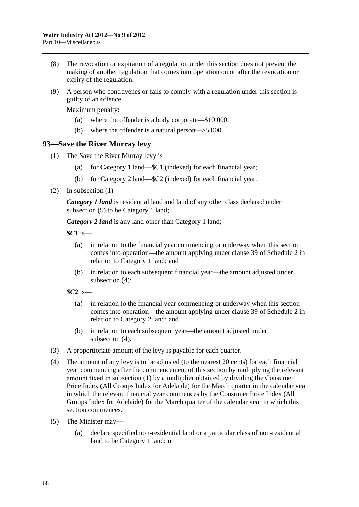- <span id="page-67-0"></span> (8) The revocation or expiration of a regulation under this section does not prevent the making of another regulation that comes into operation on or after the revocation or expiry of the regulation.
- (9) A person who contravenes or fails to comply with a regulation under this section is guilty of an offence.

Maximum penalty:

- (a) where the offender is a body corporate—\$10 000;
- (b) where the offender is a natural person—\$5 000.

### **93—Save the River Murray levy**

- (1) The Save the River Murray levy is—
	- (a) for Category 1 land—\$C1 (indexed) for each financial year;
	- (b) for Category 2 land—\$C2 (indexed) for each financial year.
- $(2)$  In subsection  $(1)$ —

*Category 1 land* is residential land and land of any other class declared under [subsection \(5\)](#page-67-0) to be Category 1 land;

*Category 2 land* is any land other than Category 1 land;

*\$C1* is—

- (a) in relation to the financial year commencing or underway when this section comes into operation—the amount applying under [clause 39](#page-94-0) of [Schedule 2](#page-80-0) in relation to Category 1 land; and
- (b) in relation to each subsequent financial year—the amount adjusted under [subsection \(4\)](#page-67-0);

*\$C2* is—

- (a) in relation to the financial year commencing or underway when this section comes into operation—the amount applying under [clause 39](#page-94-0) of [Schedule 2](#page-80-0) in relation to Category 2 land; and
- (b) in relation to each subsequent year—the amount adjusted under [subsection \(4\)](#page-67-0).
- (3) A proportionate amount of the levy is payable for each quarter.
- (4) The amount of any levy is to be adjusted (to the nearest 20 cents) for each financial year commencing after the commencement of this section by multiplying the relevant amount fixed in [subsection \(1\)](#page-67-0) by a multiplier obtained by dividing the Consumer Price Index (All Groups Index for Adelaide) for the March quarter in the calendar year in which the relevant financial year commences by the Consumer Price Index (All Groups Index for Adelaide) for the March quarter of the calendar year in which this section commences.
- (5) The Minister may—
	- (a) declare specified non-residential land or a particular class of non-residential land to be Category 1 land; or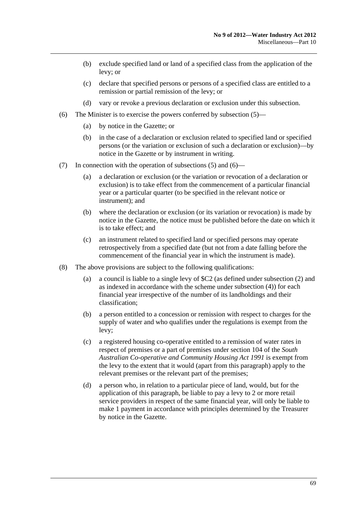- <span id="page-68-0"></span> (b) exclude specified land or land of a specified class from the application of the levy; or
- (c) declare that specified persons or persons of a specified class are entitled to a remission or partial remission of the levy; or
- (d) vary or revoke a previous declaration or exclusion under this subsection.
- (6) The Minister is to exercise the powers conferred by [subsection \(5\)](#page-67-0)
	- (a) by notice in the Gazette; or
	- (b) in the case of a declaration or exclusion related to specified land or specified persons (or the variation or exclusion of such a declaration or exclusion)—by notice in the Gazette or by instrument in writing.
- (7) In connection with the operation of [subsections \(5\)](#page-67-0) and [\(6\)—](#page-68-0)
	- (a) a declaration or exclusion (or the variation or revocation of a declaration or exclusion) is to take effect from the commencement of a particular financial year or a particular quarter (to be specified in the relevant notice or instrument); and
	- (b) where the declaration or exclusion (or its variation or revocation) is made by notice in the Gazette, the notice must be published before the date on which it is to take effect; and
	- (c) an instrument related to specified land or specified persons may operate retrospectively from a specified date (but not from a date falling before the commencement of the financial year in which the instrument is made).
- (8) The above provisions are subject to the following qualifications:
	- (a) a council is liable to a single levy of \$C2 (as defined under [subsection \(2\)](#page-67-0) and as indexed in accordance with the scheme under [subsection \(4\)](#page-67-0)) for each financial year irrespective of the number of its landholdings and their classification;
	- (b) a person entitled to a concession or remission with respect to charges for the supply of water and who qualifies under the regulations is exempt from the levy;
	- (c) a registered housing co-operative entitled to a remission of water rates in respect of premises or a part of premises under section 104 of the *[South](http://www.legislation.sa.gov.au/index.aspx?action=legref&type=act&legtitle=South%20Australian%20Co-operative%20and%20Community%20Housing%20Act%201991)  [Australian Co-operative and Community Housing Act 1991](http://www.legislation.sa.gov.au/index.aspx?action=legref&type=act&legtitle=South%20Australian%20Co-operative%20and%20Community%20Housing%20Act%201991)* is exempt from the levy to the extent that it would (apart from this paragraph) apply to the relevant premises or the relevant part of the premises;
	- (d) a person who, in relation to a particular piece of land, would, but for the application of this paragraph, be liable to pay a levy to 2 or more retail service providers in respect of the same financial year, will only be liable to make 1 payment in accordance with principles determined by the Treasurer by notice in the Gazette.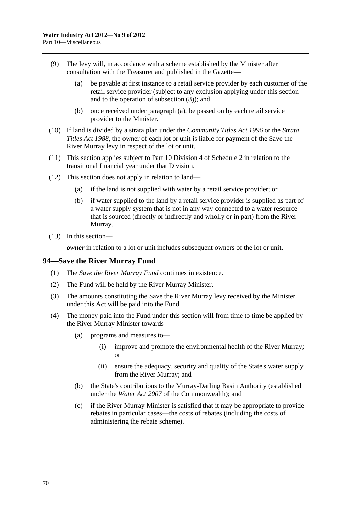- <span id="page-69-0"></span> (9) The levy will, in accordance with a scheme established by the Minister after consultation with the Treasurer and published in the Gazette—
	- (a) be payable at first instance to a retail service provider by each customer of the retail service provider (subject to any exclusion applying under this section and to the operation of [subsection \(8\)](#page-68-0)); and
	- (b) once received under [paragraph \(a\)](#page-69-0), be passed on by each retail service provider to the Minister.
- (10) If land is divided by a strata plan under the *[Community Titles Act 1996](http://www.legislation.sa.gov.au/index.aspx?action=legref&type=act&legtitle=Community%20Titles%20Act%201996)* or the *[Strata](http://www.legislation.sa.gov.au/index.aspx?action=legref&type=act&legtitle=Strata%20Titles%20Act%201988)  [Titles Act 1988](http://www.legislation.sa.gov.au/index.aspx?action=legref&type=act&legtitle=Strata%20Titles%20Act%201988)*, the owner of each lot or unit is liable for payment of the Save the River Murray levy in respect of the lot or unit.
- (11) This section applies subject to [Part 10 Division 4](#page-0-0) of [Schedule 2](#page-80-0) in relation to the transitional financial year under that Division.
- (12) This section does not apply in relation to land—
	- (a) if the land is not supplied with water by a retail service provider; or
	- (b) if water supplied to the land by a retail service provider is supplied as part of a water supply system that is not in any way connected to a water resource that is sourced (directly or indirectly and wholly or in part) from the River Murray.
- (13) In this section—

*owner* in relation to a lot or unit includes subsequent owners of the lot or unit.

### **94—Save the River Murray Fund**

- (1) The *Save the River Murray Fund* continues in existence.
- (2) The Fund will be held by the River Murray Minister.
- (3) The amounts constituting the Save the River Murray levy received by the Minister under this Act will be paid into the Fund.
- (4) The money paid into the Fund under this section will from time to time be applied by the River Murray Minister towards—
	- (a) programs and measures to—
		- (i) improve and promote the environmental health of the River Murray; or
		- (ii) ensure the adequacy, security and quality of the State's water supply from the River Murray; and
	- (b) the State's contributions to the Murray-Darling Basin Authority (established under the *Water Act 2007* of the Commonwealth); and
	- (c) if the River Murray Minister is satisfied that it may be appropriate to provide rebates in particular cases—the costs of rebates (including the costs of administering the rebate scheme).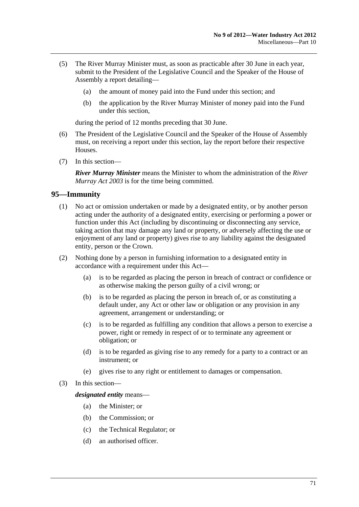- (5) The River Murray Minister must, as soon as practicable after 30 June in each year, submit to the President of the Legislative Council and the Speaker of the House of Assembly a report detailing—
	- (a) the amount of money paid into the Fund under this section; and
	- (b) the application by the River Murray Minister of money paid into the Fund under this section,

during the period of 12 months preceding that 30 June.

- (6) The President of the Legislative Council and the Speaker of the House of Assembly must, on receiving a report under this section, lay the report before their respective Houses.
- (7) In this section—

*River Murray Minister* means the Minister to whom the administration of the *[River](http://www.legislation.sa.gov.au/index.aspx?action=legref&type=act&legtitle=River%20Murray%20Act%202003)  [Murray Act 2003](http://www.legislation.sa.gov.au/index.aspx?action=legref&type=act&legtitle=River%20Murray%20Act%202003)* is for the time being committed.

### **95—Immunity**

- (1) No act or omission undertaken or made by a designated entity, or by another person acting under the authority of a designated entity, exercising or performing a power or function under this Act (including by discontinuing or disconnecting any service, taking action that may damage any land or property, or adversely affecting the use or enjoyment of any land or property) gives rise to any liability against the designated entity, person or the Crown.
- (2) Nothing done by a person in furnishing information to a designated entity in accordance with a requirement under this Act—
	- (a) is to be regarded as placing the person in breach of contract or confidence or as otherwise making the person guilty of a civil wrong; or
	- (b) is to be regarded as placing the person in breach of, or as constituting a default under, any Act or other law or obligation or any provision in any agreement, arrangement or understanding; or
	- (c) is to be regarded as fulfilling any condition that allows a person to exercise a power, right or remedy in respect of or to terminate any agreement or obligation; or
	- (d) is to be regarded as giving rise to any remedy for a party to a contract or an instrument; or
	- (e) gives rise to any right or entitlement to damages or compensation.
- (3) In this section—

*designated entity* means—

- (a) the Minister; or
- (b) the Commission; or
- (c) the Technical Regulator; or
- (d) an authorised officer.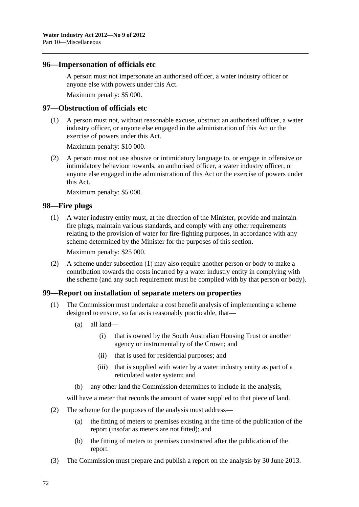### <span id="page-71-0"></span>**96—Impersonation of officials etc**

A person must not impersonate an authorised officer, a water industry officer or anyone else with powers under this Act.

Maximum penalty: \$5 000.

### **97—Obstruction of officials etc**

 (1) A person must not, without reasonable excuse, obstruct an authorised officer, a water industry officer, or anyone else engaged in the administration of this Act or the exercise of powers under this Act.

Maximum penalty: \$10 000.

 (2) A person must not use abusive or intimidatory language to, or engage in offensive or intimidatory behaviour towards, an authorised officer, a water industry officer, or anyone else engaged in the administration of this Act or the exercise of powers under this Act.

Maximum penalty: \$5 000.

### **98—Fire plugs**

 (1) A water industry entity must, at the direction of the Minister, provide and maintain fire plugs, maintain various standards, and comply with any other requirements relating to the provision of water for fire-fighting purposes, in accordance with any scheme determined by the Minister for the purposes of this section.

Maximum penalty: \$25 000.

 (2) A scheme under [subsection \(1\)](#page-71-0) may also require another person or body to make a contribution towards the costs incurred by a water industry entity in complying with the scheme (and any such requirement must be complied with by that person or body).

### **99—Report on installation of separate meters on properties**

- (1) The Commission must undertake a cost benefit analysis of implementing a scheme designed to ensure, so far as is reasonably practicable, that—
	- (a) all land—
		- (i) that is owned by the South Australian Housing Trust or another agency or instrumentality of the Crown; and
		- (ii) that is used for residential purposes; and
		- (iii) that is supplied with water by a water industry entity as part of a reticulated water system; and
	- (b) any other land the Commission determines to include in the analysis,

will have a meter that records the amount of water supplied to that piece of land.

- (2) The scheme for the purposes of the analysis must address—
	- (a) the fitting of meters to premises existing at the time of the publication of the report (insofar as meters are not fitted); and
	- (b) the fitting of meters to premises constructed after the publication of the report.
- (3) The Commission must prepare and publish a report on the analysis by 30 June 2013.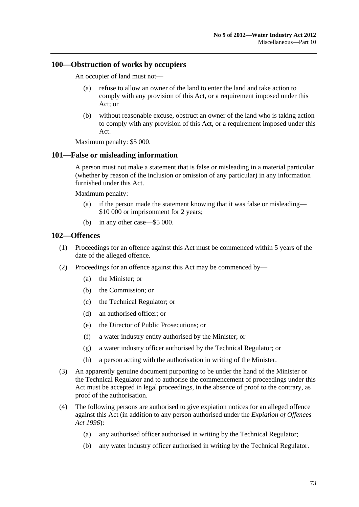#### <span id="page-72-0"></span>**100—Obstruction of works by occupiers**

An occupier of land must not—

- (a) refuse to allow an owner of the land to enter the land and take action to comply with any provision of this Act, or a requirement imposed under this Act; or
- (b) without reasonable excuse, obstruct an owner of the land who is taking action to comply with any provision of this Act, or a requirement imposed under this Act.

Maximum penalty: \$5 000.

#### **101—False or misleading information**

A person must not make a statement that is false or misleading in a material particular (whether by reason of the inclusion or omission of any particular) in any information furnished under this Act.

Maximum penalty:

- (a) if the person made the statement knowing that it was false or misleading— \$10 000 or imprisonment for 2 years;
- (b) in any other case—\$5 000.

#### **102—Offences**

- (1) Proceedings for an offence against this Act must be commenced within 5 years of the date of the alleged offence.
- (2) Proceedings for an offence against this Act may be commenced by—
	- (a) the Minister; or
	- (b) the Commission; or
	- (c) the Technical Regulator; or
	- (d) an authorised officer; or
	- (e) the Director of Public Prosecutions; or
	- (f) a water industry entity authorised by the Minister; or
	- (g) a water industry officer authorised by the Technical Regulator; or
	- (h) a person acting with the authorisation in writing of the Minister.
- (3) An apparently genuine document purporting to be under the hand of the Minister or the Technical Regulator and to authorise the commencement of proceedings under this Act must be accepted in legal proceedings, in the absence of proof to the contrary, as proof of the authorisation.
- (4) The following persons are authorised to give expiation notices for an alleged offence against this Act (in addition to any person authorised under the *[Expiation of Offences](http://www.legislation.sa.gov.au/index.aspx?action=legref&type=act&legtitle=Expiation%20of%20Offences%20Act%201996)  [Act 1996](http://www.legislation.sa.gov.au/index.aspx?action=legref&type=act&legtitle=Expiation%20of%20Offences%20Act%201996)*):
	- (a) any authorised officer authorised in writing by the Technical Regulator;
	- (b) any water industry officer authorised in writing by the Technical Regulator.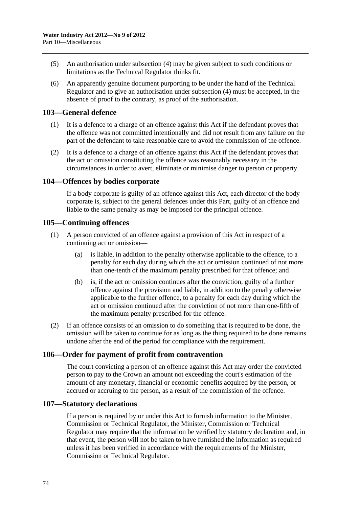- (5) An authorisation under [subsection \(4\)](#page-72-0) may be given subject to such conditions or limitations as the Technical Regulator thinks fit.
- (6) An apparently genuine document purporting to be under the hand of the Technical Regulator and to give an authorisation under [subsection \(4\)](#page-72-0) must be accepted, in the absence of proof to the contrary, as proof of the authorisation.

#### **103—General defence**

- (1) It is a defence to a charge of an offence against this Act if the defendant proves that the offence was not committed intentionally and did not result from any failure on the part of the defendant to take reasonable care to avoid the commission of the offence.
- (2) It is a defence to a charge of an offence against this Act if the defendant proves that the act or omission constituting the offence was reasonably necessary in the circumstances in order to avert, eliminate or minimise danger to person or property.

#### **104—Offences by bodies corporate**

If a body corporate is guilty of an offence against this Act, each director of the body corporate is, subject to the general defences under this Part, guilty of an offence and liable to the same penalty as may be imposed for the principal offence.

#### **105—Continuing offences**

- (1) A person convicted of an offence against a provision of this Act in respect of a continuing act or omission—
	- (a) is liable, in addition to the penalty otherwise applicable to the offence, to a penalty for each day during which the act or omission continued of not more than one-tenth of the maximum penalty prescribed for that offence; and
	- (b) is, if the act or omission continues after the conviction, guilty of a further offence against the provision and liable, in addition to the penalty otherwise applicable to the further offence, to a penalty for each day during which the act or omission continued after the conviction of not more than one-fifth of the maximum penalty prescribed for the offence.
- (2) If an offence consists of an omission to do something that is required to be done, the omission will be taken to continue for as long as the thing required to be done remains undone after the end of the period for compliance with the requirement.

### **106—Order for payment of profit from contravention**

The court convicting a person of an offence against this Act may order the convicted person to pay to the Crown an amount not exceeding the court's estimation of the amount of any monetary, financial or economic benefits acquired by the person, or accrued or accruing to the person, as a result of the commission of the offence.

#### **107—Statutory declarations**

If a person is required by or under this Act to furnish information to the Minister, Commission or Technical Regulator, the Minister, Commission or Technical Regulator may require that the information be verified by statutory declaration and, in that event, the person will not be taken to have furnished the information as required unless it has been verified in accordance with the requirements of the Minister, Commission or Technical Regulator.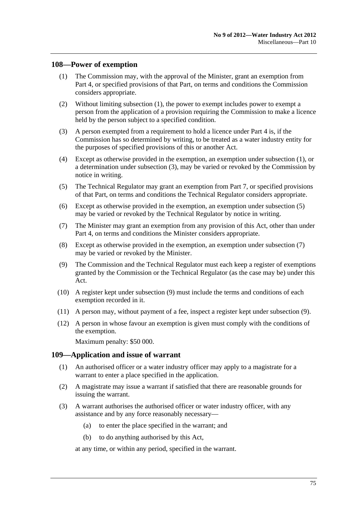#### <span id="page-74-0"></span>**108—Power of exemption**

- (1) The Commission may, with the approval of the Minister, grant an exemption from [Part 4,](#page-16-0) or specified provisions of that Part, on terms and conditions the Commission considers appropriate.
- (2) Without limiting [subsection \(1\),](#page-74-0) the power to exempt includes power to exempt a person from the application of a provision requiring the Commission to make a licence held by the person subject to a specified condition.
- (3) A person exempted from a requirement to hold a licence under [Part 4](#page-16-0) is, if the Commission has so determined by writing, to be treated as a water industry entity for the purposes of specified provisions of this or another Act.
- (4) Except as otherwise provided in the exemption, an exemption under [subsection \(1\),](#page-74-0) or a determination under [subsection \(3\)](#page-74-0), may be varied or revoked by the Commission by notice in writing.
- (5) The Technical Regulator may grant an exemption from [Part 7,](#page-47-0) or specified provisions of that Part, on terms and conditions the Technical Regulator considers appropriate.
- (6) Except as otherwise provided in the exemption, an exemption under [subsection \(5\)](#page-74-0)  may be varied or revoked by the Technical Regulator by notice in writing.
- (7) The Minister may grant an exemption from any provision of this Act, other than under [Part 4,](#page-16-0) on terms and conditions the Minister considers appropriate.
- (8) Except as otherwise provided in the exemption, an exemption under [subsection \(7\)](#page-74-0)  may be varied or revoked by the Minister.
- (9) The Commission and the Technical Regulator must each keep a register of exemptions granted by the Commission or the Technical Regulator (as the case may be) under this Act.
- (10) A register kept under [subsection \(9\)](#page-74-0) must include the terms and conditions of each exemption recorded in it.
- (11) A person may, without payment of a fee, inspect a register kept under [subsection \(9\)](#page-74-0).
- (12) A person in whose favour an exemption is given must comply with the conditions of the exemption.

Maximum penalty: \$50 000.

#### **109—Application and issue of warrant**

- (1) An authorised officer or a water industry officer may apply to a magistrate for a warrant to enter a place specified in the application.
- (2) A magistrate may issue a warrant if satisfied that there are reasonable grounds for issuing the warrant.
- (3) A warrant authorises the authorised officer or water industry officer, with any assistance and by any force reasonably necessary—
	- (a) to enter the place specified in the warrant; and
	- (b) to do anything authorised by this Act,

at any time, or within any period, specified in the warrant.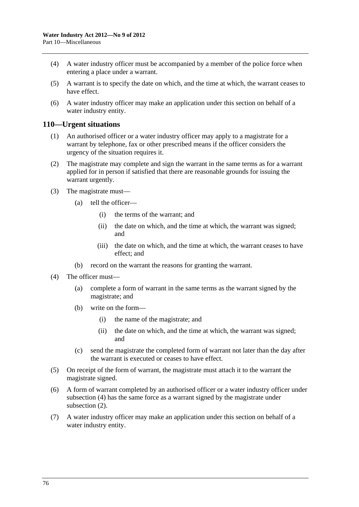- <span id="page-75-0"></span> (4) A water industry officer must be accompanied by a member of the police force when entering a place under a warrant.
- (5) A warrant is to specify the date on which, and the time at which, the warrant ceases to have effect.
- (6) A water industry officer may make an application under this section on behalf of a water industry entity.

#### **110—Urgent situations**

- (1) An authorised officer or a water industry officer may apply to a magistrate for a warrant by telephone, fax or other prescribed means if the officer considers the urgency of the situation requires it.
- (2) The magistrate may complete and sign the warrant in the same terms as for a warrant applied for in person if satisfied that there are reasonable grounds for issuing the warrant urgently.
- (3) The magistrate must—
	- (a) tell the officer—
		- (i) the terms of the warrant; and
		- (ii) the date on which, and the time at which, the warrant was signed; and
		- (iii) the date on which, and the time at which, the warrant ceases to have effect; and
	- (b) record on the warrant the reasons for granting the warrant.
- (4) The officer must—
	- (a) complete a form of warrant in the same terms as the warrant signed by the magistrate; and
	- (b) write on the form—
		- (i) the name of the magistrate; and
		- (ii) the date on which, and the time at which, the warrant was signed; and
	- (c) send the magistrate the completed form of warrant not later than the day after the warrant is executed or ceases to have effect.
- (5) On receipt of the form of warrant, the magistrate must attach it to the warrant the magistrate signed.
- (6) A form of warrant completed by an authorised officer or a water industry officer under [subsection \(4\)](#page-75-0) has the same force as a warrant signed by the magistrate under [subsection \(2\).](#page-75-0)
- (7) A water industry officer may make an application under this section on behalf of a water industry entity.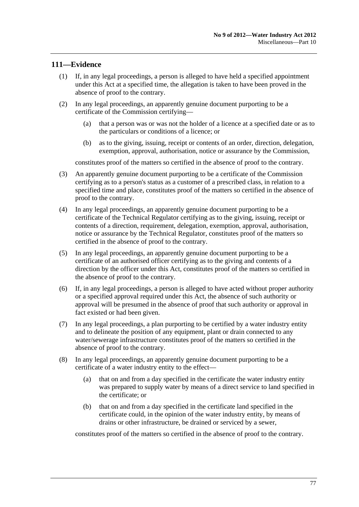# **111—Evidence**

- (1) If, in any legal proceedings, a person is alleged to have held a specified appointment under this Act at a specified time, the allegation is taken to have been proved in the absence of proof to the contrary.
- (2) In any legal proceedings, an apparently genuine document purporting to be a certificate of the Commission certifying—
	- (a) that a person was or was not the holder of a licence at a specified date or as to the particulars or conditions of a licence; or
	- (b) as to the giving, issuing, receipt or contents of an order, direction, delegation, exemption, approval, authorisation, notice or assurance by the Commission,

constitutes proof of the matters so certified in the absence of proof to the contrary.

- (3) An apparently genuine document purporting to be a certificate of the Commission certifying as to a person's status as a customer of a prescribed class, in relation to a specified time and place, constitutes proof of the matters so certified in the absence of proof to the contrary.
- (4) In any legal proceedings, an apparently genuine document purporting to be a certificate of the Technical Regulator certifying as to the giving, issuing, receipt or contents of a direction, requirement, delegation, exemption, approval, authorisation, notice or assurance by the Technical Regulator, constitutes proof of the matters so certified in the absence of proof to the contrary.
- (5) In any legal proceedings, an apparently genuine document purporting to be a certificate of an authorised officer certifying as to the giving and contents of a direction by the officer under this Act, constitutes proof of the matters so certified in the absence of proof to the contrary.
- (6) If, in any legal proceedings, a person is alleged to have acted without proper authority or a specified approval required under this Act, the absence of such authority or approval will be presumed in the absence of proof that such authority or approval in fact existed or had been given.
- (7) In any legal proceedings, a plan purporting to be certified by a water industry entity and to delineate the position of any equipment, plant or drain connected to any water/sewerage infrastructure constitutes proof of the matters so certified in the absence of proof to the contrary.
- (8) In any legal proceedings, an apparently genuine document purporting to be a certificate of a water industry entity to the effect—
	- (a) that on and from a day specified in the certificate the water industry entity was prepared to supply water by means of a direct service to land specified in the certificate; or
	- (b) that on and from a day specified in the certificate land specified in the certificate could, in the opinion of the water industry entity, by means of drains or other infrastructure, be drained or serviced by a sewer,

constitutes proof of the matters so certified in the absence of proof to the contrary.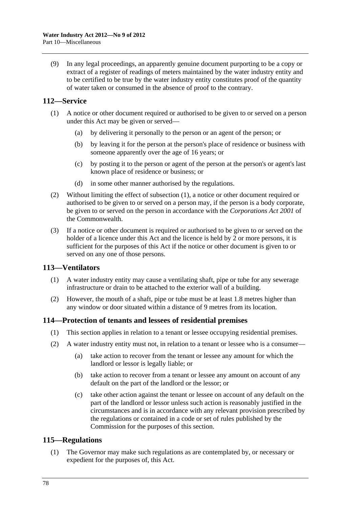<span id="page-77-0"></span> (9) In any legal proceedings, an apparently genuine document purporting to be a copy or extract of a register of readings of meters maintained by the water industry entity and to be certified to be true by the water industry entity constitutes proof of the quantity of water taken or consumed in the absence of proof to the contrary.

### **112—Service**

- (1) A notice or other document required or authorised to be given to or served on a person under this Act may be given or served—
	- (a) by delivering it personally to the person or an agent of the person; or
	- (b) by leaving it for the person at the person's place of residence or business with someone apparently over the age of 16 years; or
	- (c) by posting it to the person or agent of the person at the person's or agent's last known place of residence or business; or
	- (d) in some other manner authorised by the regulations.
- (2) Without limiting the effect of [subsection \(1\),](#page-77-0) a notice or other document required or authorised to be given to or served on a person may, if the person is a body corporate, be given to or served on the person in accordance with the *Corporations Act 2001* of the Commonwealth.
- (3) If a notice or other document is required or authorised to be given to or served on the holder of a licence under this Act and the licence is held by 2 or more persons, it is sufficient for the purposes of this Act if the notice or other document is given to or served on any one of those persons.

#### **113—Ventilators**

- (1) A water industry entity may cause a ventilating shaft, pipe or tube for any sewerage infrastructure or drain to be attached to the exterior wall of a building.
- (2) However, the mouth of a shaft, pipe or tube must be at least 1.8 metres higher than any window or door situated within a distance of 9 metres from its location.

#### **114—Protection of tenants and lessees of residential premises**

- (1) This section applies in relation to a tenant or lessee occupying residential premises.
- (2) A water industry entity must not, in relation to a tenant or lessee who is a consumer—
	- (a) take action to recover from the tenant or lessee any amount for which the landlord or lessor is legally liable; or
	- (b) take action to recover from a tenant or lessee any amount on account of any default on the part of the landlord or the lessor; or
	- (c) take other action against the tenant or lessee on account of any default on the part of the landlord or lessor unless such action is reasonably justified in the circumstances and is in accordance with any relevant provision prescribed by the regulations or contained in a code or set of rules published by the Commission for the purposes of this section.

#### **115—Regulations**

 (1) The Governor may make such regulations as are contemplated by, or necessary or expedient for the purposes of, this Act.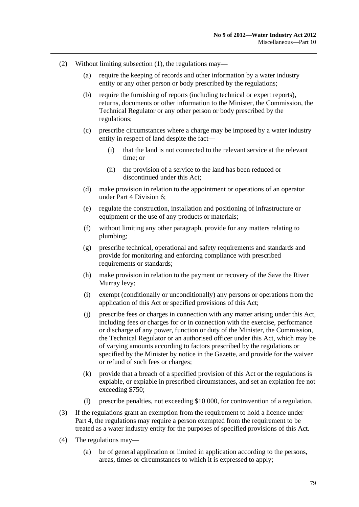- (2) Without limiting [subsection \(1\),](#page-77-0) the regulations may—
	- (a) require the keeping of records and other information by a water industry entity or any other person or body prescribed by the regulations;
	- (b) require the furnishing of reports (including technical or expert reports), returns, documents or other information to the Minister, the Commission, the Technical Regulator or any other person or body prescribed by the regulations;
	- (c) prescribe circumstances where a charge may be imposed by a water industry entity in respect of land despite the fact—
		- (i) that the land is not connected to the relevant service at the relevant time; or
		- (ii) the provision of a service to the land has been reduced or discontinued under this Act;
	- (d) make provision in relation to the appointment or operations of an operator under [Part 4 Division 6;](#page-26-0)
	- (e) regulate the construction, installation and positioning of infrastructure or equipment or the use of any products or materials;
	- (f) without limiting any other paragraph, provide for any matters relating to plumbing;
	- (g) prescribe technical, operational and safety requirements and standards and provide for monitoring and enforcing compliance with prescribed requirements or standards:
	- (h) make provision in relation to the payment or recovery of the Save the River Murray levy;
	- (i) exempt (conditionally or unconditionally) any persons or operations from the application of this Act or specified provisions of this Act;
	- (j) prescribe fees or charges in connection with any matter arising under this Act, including fees or charges for or in connection with the exercise, performance or discharge of any power, function or duty of the Minister, the Commission, the Technical Regulator or an authorised officer under this Act, which may be of varying amounts according to factors prescribed by the regulations or specified by the Minister by notice in the Gazette, and provide for the waiver or refund of such fees or charges;
	- (k) provide that a breach of a specified provision of this Act or the regulations is expiable, or expiable in prescribed circumstances, and set an expiation fee not exceeding \$750;
	- (l) prescribe penalties, not exceeding \$10 000, for contravention of a regulation.
- (3) If the regulations grant an exemption from the requirement to hold a licence under [Part 4,](#page-16-0) the regulations may require a person exempted from the requirement to be treated as a water industry entity for the purposes of specified provisions of this Act.
- (4) The regulations may—
	- (a) be of general application or limited in application according to the persons, areas, times or circumstances to which it is expressed to apply;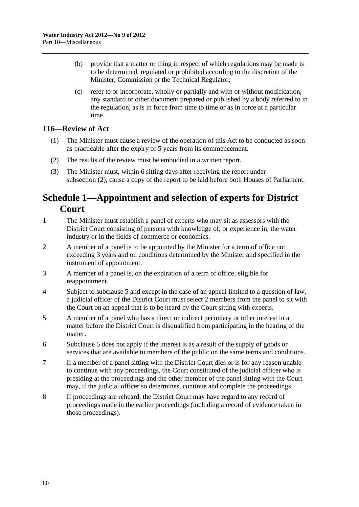- <span id="page-79-0"></span> (b) provide that a matter or thing in respect of which regulations may be made is to be determined, regulated or prohibited according to the discretion of the Minister, Commission or the Technical Regulator;
- (c) refer to or incorporate, wholly or partially and with or without modification, any standard or other document prepared or published by a body referred to in the regulation, as is in force from time to time or as in force at a particular time.

### **116—Review of Act**

- (1) The Minister must cause a review of the operation of this Act to be conducted as soon as practicable after the expiry of 5 years from its commencement.
- (2) The results of the review must be embodied in a written report.
- (3) The Minister must, within 6 sitting days after receiving the report under [subsection \(2\)](#page-79-0), cause a copy of the report to be laid before both Houses of Parliament.

# **Schedule 1—Appointment and selection of experts for District Court**

- 1 The Minister must establish a panel of experts who may sit as assessors with the District Court consisting of persons with knowledge of, or experience in, the water industry or in the fields of commerce or economics.
- 2 A member of a panel is to be appointed by the Minister for a term of office not exceeding 3 years and on conditions determined by the Minister and specified in the instrument of appointment.
- 3 A member of a panel is, on the expiration of a term of office, eligible for reappointment.
- 4 Subject to [subclause 5](#page-79-0) and except in the case of an appeal limited to a question of law, a judicial officer of the District Court must select 2 members from the panel to sit with the Court on an appeal that is to be heard by the Court sitting with experts.
- 5 A member of a panel who has a direct or indirect pecuniary or other interest in a matter before the District Court is disqualified from participating in the hearing of the matter.
- 6 [Subclause 5](#page-79-0) does not apply if the interest is as a result of the supply of goods or services that are available to members of the public on the same terms and conditions.
- 7 If a member of a panel sitting with the District Court dies or is for any reason unable to continue with any proceedings, the Court constituted of the judicial officer who is presiding at the proceedings and the other member of the panel sitting with the Court may, if the judicial officer so determines, continue and complete the proceedings.
- 8 If proceedings are reheard, the District Court may have regard to any record of proceedings made in the earlier proceedings (including a record of evidence taken in those proceedings).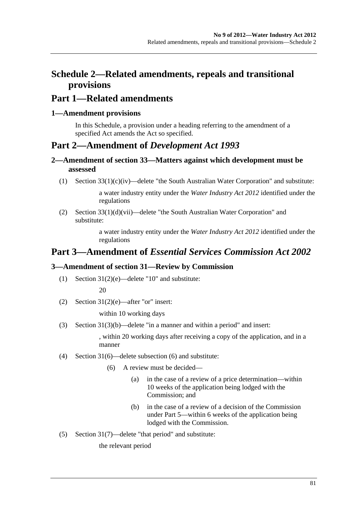# **Part 1—Related amendments**

### **1—Amendment provisions**

In this Schedule, a provision under a heading referring to the amendment of a specified Act amends the Act so specified.

# **Part 2—Amendment of** *Development Act 1993*

### **2—Amendment of section 33—Matters against which development must be assessed**

(1) Section 33(1)(c)(iv)—delete "the South Australian Water Corporation" and substitute:

a water industry entity under the *[Water Industry Act 2012](http://www.legislation.sa.gov.au/index.aspx?action=legref&type=act&legtitle=Water%20Industry%20Act%202012)* identified under the regulations

(2) Section  $33(1)(d)(vii)$ —delete "the South Australian Water Corporation" and substitute:

> a water industry entity under the *[Water Industry Act 2012](http://www.legislation.sa.gov.au/index.aspx?action=legref&type=act&legtitle=Water%20Industry%20Act%202012)* identified under the regulations

# **Part 3—Amendment of** *Essential Services Commission Act 2002*

# **3—Amendment of section 31—Review by Commission**

(1) Section 31(2)(e)—delete "10" and substitute:

20

(2) Section  $31(2)(e)$ —after "or" insert:

within 10 working days

(3) Section 31(3)(b)—delete "in a manner and within a period" and insert:

, within 20 working days after receiving a copy of the application, and in a manner

- (4) Section 31(6)—delete subsection (6) and substitute:
	- (6) A review must be decided—
		- (a) in the case of a review of a price determination—within 10 weeks of the application being lodged with the Commission; and
		- (b) in the case of a review of a decision of the Commission under Part 5—within 6 weeks of the application being lodged with the Commission.
- (5) Section 31(7)—delete "that period" and substitute:

the relevant period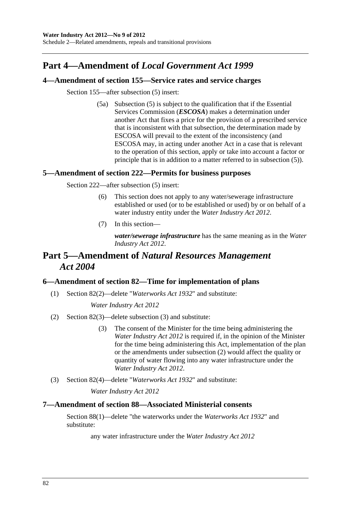# **Part 4—Amendment of** *Local Government Act 1999*

### **4—Amendment of section 155—Service rates and service charges**

Section 155—after subsection (5) insert:

 (5a) Subsection (5) is subject to the qualification that if the Essential Services Commission (*ESCOSA*) makes a determination under another Act that fixes a price for the provision of a prescribed service that is inconsistent with that subsection, the determination made by ESCOSA will prevail to the extent of the inconsistency (and ESCOSA may, in acting under another Act in a case that is relevant to the operation of this section, apply or take into account a factor or principle that is in addition to a matter referred to in subsection (5)).

### **5—Amendment of section 222—Permits for business purposes**

Section 222—after subsection (5) insert:

- (6) This section does not apply to any water/sewerage infrastructure established or used (or to be established or used) by or on behalf of a water industry entity under the *[Water Industry Act 2012](http://www.legislation.sa.gov.au/index.aspx?action=legref&type=act&legtitle=Water%20Industry%20Act%202012)*.
- (7) In this section—

*water/sewerage infrastructure* has the same meaning as in the *[Water](http://www.legislation.sa.gov.au/index.aspx?action=legref&type=act&legtitle=Water%20Industry%20Act%202012)  [Industry Act 2012](http://www.legislation.sa.gov.au/index.aspx?action=legref&type=act&legtitle=Water%20Industry%20Act%202012)*.

# **Part 5—Amendment of** *Natural Resources Management Act 2004*

### **6—Amendment of section 82—Time for implementation of plans**

(1) Section 82(2)—delete "*[Waterworks Act 1932](http://www.legislation.sa.gov.au/index.aspx?action=legref&type=act&legtitle=Waterworks%20Act%201932)*" and substitute:

*[Water Industry Act 2012](http://www.legislation.sa.gov.au/index.aspx?action=legref&type=act&legtitle=Water%20Industry%20Act%202012)*

- (2) Section 82(3)—delete subsection (3) and substitute:
	- (3) The consent of the Minister for the time being administering the *[Water Industry Act 2012](http://www.legislation.sa.gov.au/index.aspx?action=legref&type=act&legtitle=Water%20Industry%20Act%202012)* is required if, in the opinion of the Minister for the time being administering this Act, implementation of the plan or the amendments under subsection (2) would affect the quality or quantity of water flowing into any water infrastructure under the *[Water Industry Act 2012](http://www.legislation.sa.gov.au/index.aspx?action=legref&type=act&legtitle=Water%20Industry%20Act%202012)*.
- (3) Section 82(4)—delete "*[Waterworks Act 1932](http://www.legislation.sa.gov.au/index.aspx?action=legref&type=act&legtitle=Waterworks%20Act%201932)*" and substitute:

*[Water Industry Act 2012](http://www.legislation.sa.gov.au/index.aspx?action=legref&type=act&legtitle=Water%20Industry%20Act%202012)*

#### **7—Amendment of section 88—Associated Ministerial consents**

Section 88(1)—delete "the waterworks under the *[Waterworks Act 1932](http://www.legislation.sa.gov.au/index.aspx?action=legref&type=act&legtitle=Waterworks%20Act%201932)*" and substitute:

any water infrastructure under the *[Water Industry Act 2012](http://www.legislation.sa.gov.au/index.aspx?action=legref&type=act&legtitle=Water%20Industry%20Act%202012)*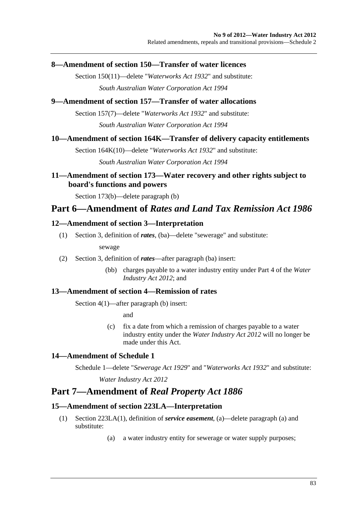### **8—Amendment of section 150—Transfer of water licences**

Section 150(11)—delete "*[Waterworks Act 1932](http://www.legislation.sa.gov.au/index.aspx?action=legref&type=act&legtitle=Waterworks%20Act%201932)*" and substitute: *[South Australian Water Corporation Act 1994](http://www.legislation.sa.gov.au/index.aspx?action=legref&type=act&legtitle=South%20Australian%20Water%20Corporation%20Act%201994)*

### **9—Amendment of section 157—Transfer of water allocations**

Section 157(7)—delete "*[Waterworks Act 1932](http://www.legislation.sa.gov.au/index.aspx?action=legref&type=act&legtitle=Waterworks%20Act%201932)*" and substitute:

*[South Australian Water Corporation Act 1994](http://www.legislation.sa.gov.au/index.aspx?action=legref&type=act&legtitle=South%20Australian%20Water%20Corporation%20Act%201994)*

### **10—Amendment of section 164K—Transfer of delivery capacity entitlements**

Section 164K(10)—delete "*[Waterworks Act 1932](http://www.legislation.sa.gov.au/index.aspx?action=legref&type=act&legtitle=Waterworks%20Act%201932)*" and substitute:

*[South Australian Water Corporation Act 1994](http://www.legislation.sa.gov.au/index.aspx?action=legref&type=act&legtitle=South%20Australian%20Water%20Corporation%20Act%201994)*

# **11—Amendment of section 173—Water recovery and other rights subject to board's functions and powers**

Section 173(b)—delete paragraph (b)

# **Part 6—Amendment of** *Rates and Land Tax Remission Act 1986*

### **12—Amendment of section 3—Interpretation**

(1) Section 3, definition of *rates*, (ba)—delete "sewerage" and substitute:

sewage

- (2) Section 3, definition of *rates*—after paragraph (ba) insert:
	- (bb) charges payable to a water industry entity under Part 4 of the *[Water](http://www.legislation.sa.gov.au/index.aspx?action=legref&type=act&legtitle=Water%20Industry%20Act%202012)  [Industry Act 2012](http://www.legislation.sa.gov.au/index.aspx?action=legref&type=act&legtitle=Water%20Industry%20Act%202012)*; and

### **13—Amendment of section 4—Remission of rates**

Section 4(1)—after paragraph (b) insert:

and

 (c) fix a date from which a remission of charges payable to a water industry entity under the *[Water Industry Act 2012](http://www.legislation.sa.gov.au/index.aspx?action=legref&type=act&legtitle=Water%20Industry%20Act%202012)* will no longer be made under this Act.

# **14—Amendment of Schedule 1**

Schedule 1—delete "*[Sewerage Act 1929](http://www.legislation.sa.gov.au/index.aspx?action=legref&type=act&legtitle=Sewerage%20Act%201929)*" and "*[Waterworks Act 1932](http://www.legislation.sa.gov.au/index.aspx?action=legref&type=act&legtitle=Waterworks%20Act%201932)*" and substitute:

*[Water Industry Act 2012](http://www.legislation.sa.gov.au/index.aspx?action=legref&type=act&legtitle=Water%20Industry%20Act%202012)*

# **Part 7—Amendment of** *Real Property Act 1886*

### **15—Amendment of section 223LA—Interpretation**

- (1) Section 223LA(1), definition of *service easement*, (a)—delete paragraph (a) and substitute:
	- (a) a water industry entity for sewerage or water supply purposes;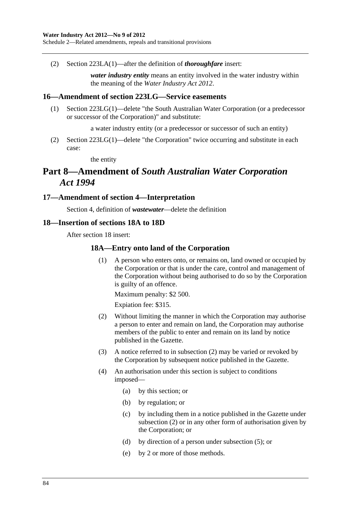#### <span id="page-83-0"></span>**Water Industry Act 2012—No 9 of 2012**

Schedule 2—Related amendments, repeals and transitional provisions

(2) Section 223LA(1)—after the definition of *thoroughfare* insert:

*water industry entity* means an entity involved in the water industry within the meaning of the *[Water Industry Act 2012](http://www.legislation.sa.gov.au/index.aspx?action=legref&type=act&legtitle=Water%20Industry%20Act%202012)*.

#### **16—Amendment of section 223LG—Service easements**

 (1) Section 223LG(1)—delete "the South Australian Water Corporation (or a predecessor or successor of the Corporation)" and substitute:

a water industry entity (or a predecessor or successor of such an entity)

 (2) Section 223LG(1)—delete "the Corporation" twice occurring and substitute in each case:

the entity

# **Part 8—Amendment of** *South Australian Water Corporation Act 1994*

#### **17—Amendment of section 4—Interpretation**

Section 4, definition of *wastewater*—delete the definition

#### **18—Insertion of sections 18A to 18D**

After section 18 insert:

#### **18A—Entry onto land of the Corporation**

 (1) A person who enters onto, or remains on, land owned or occupied by the Corporation or that is under the care, control and management of the Corporation without being authorised to do so by the Corporation is guilty of an offence.

Maximum penalty: \$2 500.

Expiation fee: \$315.

- (2) Without limiting the manner in which the Corporation may authorise a person to enter and remain on land, the Corporation may authorise members of the public to enter and remain on its land by notice published in the Gazette.
- (3) A notice referred to in [subsection \(2\)](#page-83-0) may be varied or revoked by the Corporation by subsequent notice published in the Gazette.
- (4) An authorisation under this section is subject to conditions imposed—
	- (a) by this section; or
	- (b) by regulation; or
	- (c) by including them in a notice published in the Gazette under [subsection \(2\)](#page-83-0) or in any other form of authorisation given by the Corporation; or
	- (d) by direction of a person under [subsection \(5\);](#page-84-0) or
	- (e) by 2 or more of those methods.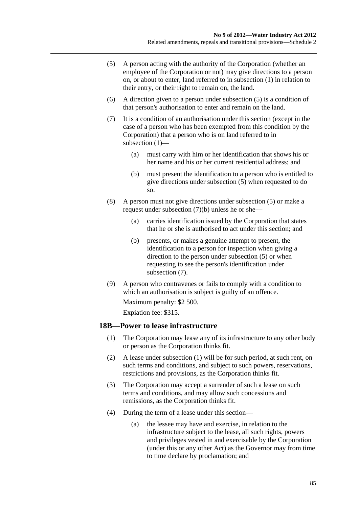- <span id="page-84-0"></span> (5) A person acting with the authority of the Corporation (whether an employee of the Corporation or not) may give directions to a person on, or about to enter, land referred to in [subsection \(1\)](#page-83-0) in relation to their entry, or their right to remain on, the land.
- (6) A direction given to a person under [subsection \(5\)](#page-84-0) is a condition of that person's authorisation to enter and remain on the land.
- (7) It is a condition of an authorisation under this section (except in the case of a person who has been exempted from this condition by the Corporation) that a person who is on land referred to in subsection  $(1)$ —
	- (a) must carry with him or her identification that shows his or her name and his or her current residential address; and
	- (b) must present the identification to a person who is entitled to give directions under [subsection \(5\)](#page-84-0) when requested to do so.
- (8) A person must not give directions under [subsection \(5\)](#page-84-0) or make a request under [subsection \(7\)\(b\)](#page-84-0) unless he or she—
	- (a) carries identification issued by the Corporation that states that he or she is authorised to act under this section; and
	- (b) presents, or makes a genuine attempt to present, the identification to a person for inspection when giving a direction to the person under [subsection \(5\)](#page-84-0) or when requesting to see the person's identification under [subsection \(7\).](#page-84-0)
- (9) A person who contravenes or fails to comply with a condition to which an authorisation is subject is guilty of an offence.

Maximum penalty: \$2 500.

Expiation fee: \$315.

#### **18B—Power to lease infrastructure**

- (1) The Corporation may lease any of its infrastructure to any other body or person as the Corporation thinks fit.
- (2) A lease under [subsection \(1\)](#page-84-0) will be for such period, at such rent, on such terms and conditions, and subject to such powers, reservations, restrictions and provisions, as the Corporation thinks fit.
- (3) The Corporation may accept a surrender of such a lease on such terms and conditions, and may allow such concessions and remissions, as the Corporation thinks fit.
- (4) During the term of a lease under this section—
	- (a) the lessee may have and exercise, in relation to the infrastructure subject to the lease, all such rights, powers and privileges vested in and exercisable by the Corporation (under this or any other Act) as the Governor may from time to time declare by proclamation; and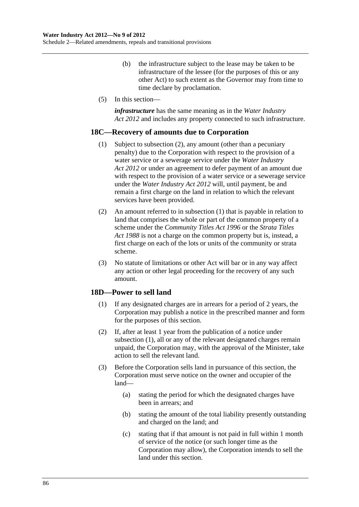- <span id="page-85-0"></span> (b) the infrastructure subject to the lease may be taken to be infrastructure of the lessee (for the purposes of this or any other Act) to such extent as the Governor may from time to time declare by proclamation.
- (5) In this section—

*infrastructure* has the same meaning as in the *[Water Industry](http://www.legislation.sa.gov.au/index.aspx?action=legref&type=act&legtitle=Water%20Industry%20Act%202012)  [Act 2012](http://www.legislation.sa.gov.au/index.aspx?action=legref&type=act&legtitle=Water%20Industry%20Act%202012)* and includes any property connected to such infrastructure.

#### **18C—Recovery of amounts due to Corporation**

- (1) Subject to [subsection \(2\)](#page-85-0), any amount (other than a pecuniary penalty) due to the Corporation with respect to the provision of a water service or a sewerage service under the *[Water Industry](http://www.legislation.sa.gov.au/index.aspx?action=legref&type=act&legtitle=Water%20Industry%20Act%202012)  [Act 2012](http://www.legislation.sa.gov.au/index.aspx?action=legref&type=act&legtitle=Water%20Industry%20Act%202012)* or under an agreement to defer payment of an amount due with respect to the provision of a water service or a sewerage service under the *[Water Industry Act 2012](http://www.legislation.sa.gov.au/index.aspx?action=legref&type=act&legtitle=Water%20Industry%20Act%202012)* will, until payment, be and remain a first charge on the land in relation to which the relevant services have been provided.
- (2) An amount referred to in [subsection \(1\)](#page-85-0) that is payable in relation to land that comprises the whole or part of the common property of a scheme under the *[Community Titles Act 1996](http://www.legislation.sa.gov.au/index.aspx?action=legref&type=act&legtitle=Community%20Titles%20Act%201996)* or the *[Strata Titles](http://www.legislation.sa.gov.au/index.aspx?action=legref&type=act&legtitle=Strata%20Titles%20Act%201988)  [Act 1988](http://www.legislation.sa.gov.au/index.aspx?action=legref&type=act&legtitle=Strata%20Titles%20Act%201988)* is not a charge on the common property but is, instead, a first charge on each of the lots or units of the community or strata scheme.
- (3) No statute of limitations or other Act will bar or in any way affect any action or other legal proceeding for the recovery of any such amount.

#### **18D—Power to sell land**

- (1) If any designated charges are in arrears for a period of 2 years, the Corporation may publish a notice in the prescribed manner and form for the purposes of this section.
- (2) If, after at least 1 year from the publication of a notice under [subsection \(1\),](#page-85-0) all or any of the relevant designated charges remain unpaid, the Corporation may, with the approval of the Minister, take action to sell the relevant land.
- (3) Before the Corporation sells land in pursuance of this section, the Corporation must serve notice on the owner and occupier of the land—
	- (a) stating the period for which the designated charges have been in arrears; and
	- (b) stating the amount of the total liability presently outstanding and charged on the land; and
	- (c) stating that if that amount is not paid in full within 1 month of service of the notice (or such longer time as the Corporation may allow), the Corporation intends to sell the land under this section.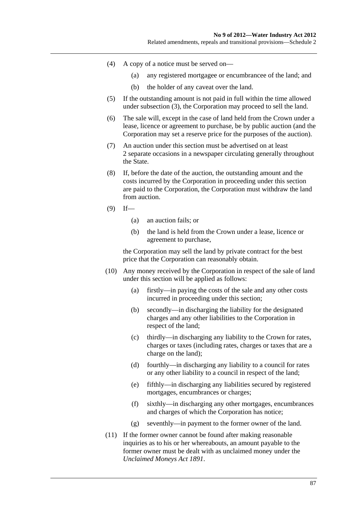Related amendments, repeals and transitional provisions—Schedule 2

- (4) A copy of a notice must be served on—
	- (a) any registered mortgagee or encumbrancee of the land; and
	- (b) the holder of any caveat over the land.
- (5) If the outstanding amount is not paid in full within the time allowed under [subsection \(3\)](#page-85-0), the Corporation may proceed to sell the land.
- (6) The sale will, except in the case of land held from the Crown under a lease, licence or agreement to purchase, be by public auction (and the Corporation may set a reserve price for the purposes of the auction).
- (7) An auction under this section must be advertised on at least 2 separate occasions in a newspaper circulating generally throughout the State.
- (8) If, before the date of the auction, the outstanding amount and the costs incurred by the Corporation in proceeding under this section are paid to the Corporation, the Corporation must withdraw the land from auction.
- $(9)$  If—
	- (a) an auction fails; or
	- (b) the land is held from the Crown under a lease, licence or agreement to purchase,

the Corporation may sell the land by private contract for the best price that the Corporation can reasonably obtain.

- (10) Any money received by the Corporation in respect of the sale of land under this section will be applied as follows:
	- (a) firstly—in paying the costs of the sale and any other costs incurred in proceeding under this section;
	- (b) secondly—in discharging the liability for the designated charges and any other liabilities to the Corporation in respect of the land;
	- (c) thirdly—in discharging any liability to the Crown for rates, charges or taxes (including rates, charges or taxes that are a charge on the land);
	- (d) fourthly—in discharging any liability to a council for rates or any other liability to a council in respect of the land;
	- (e) fifthly—in discharging any liabilities secured by registered mortgages, encumbrances or charges;
	- (f) sixthly—in discharging any other mortgages, encumbrances and charges of which the Corporation has notice;
	- (g) seventhly—in payment to the former owner of the land.
- (11) If the former owner cannot be found after making reasonable inquiries as to his or her whereabouts, an amount payable to the former owner must be dealt with as unclaimed money under the *[Unclaimed Moneys Act 1891](http://www.legislation.sa.gov.au/index.aspx?action=legref&type=act&legtitle=Unclaimed%20Moneys%20Act%201891)*.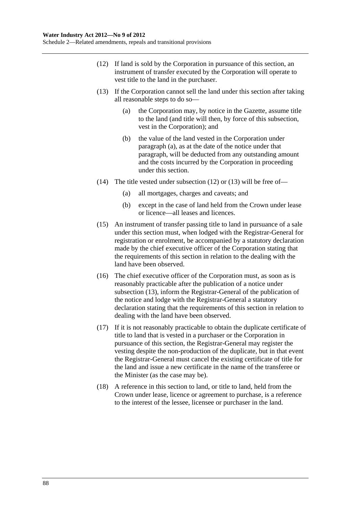- <span id="page-87-0"></span> (12) If land is sold by the Corporation in pursuance of this section, an instrument of transfer executed by the Corporation will operate to vest title to the land in the purchaser.
- (13) If the Corporation cannot sell the land under this section after taking all reasonable steps to do so—
	- (a) the Corporation may, by notice in the Gazette, assume title to the land (and title will then, by force of this subsection, vest in the Corporation); and
	- (b) the value of the land vested in the Corporation under [paragraph \(a\)](#page-87-0), as at the date of the notice under that paragraph, will be deducted from any outstanding amount and the costs incurred by the Corporation in proceeding under this section.
- (14) The title vested under [subsection \(12\)](#page-87-0) or [\(13\)](#page-87-0) will be free of—
	- (a) all mortgages, charges and caveats; and
	- (b) except in the case of land held from the Crown under lease or licence—all leases and licences.
- (15) An instrument of transfer passing title to land in pursuance of a sale under this section must, when lodged with the Registrar-General for registration or enrolment, be accompanied by a statutory declaration made by the chief executive officer of the Corporation stating that the requirements of this section in relation to the dealing with the land have been observed.
- (16) The chief executive officer of the Corporation must, as soon as is reasonably practicable after the publication of a notice under [subsection \(13\),](#page-87-0) inform the Registrar-General of the publication of the notice and lodge with the Registrar-General a statutory declaration stating that the requirements of this section in relation to dealing with the land have been observed.
- (17) If it is not reasonably practicable to obtain the duplicate certificate of title to land that is vested in a purchaser or the Corporation in pursuance of this section, the Registrar-General may register the vesting despite the non-production of the duplicate, but in that event the Registrar-General must cancel the existing certificate of title for the land and issue a new certificate in the name of the transferee or the Minister (as the case may be).
- (18) A reference in this section to land, or title to land, held from the Crown under lease, licence or agreement to purchase, is a reference to the interest of the lessee, licensee or purchaser in the land.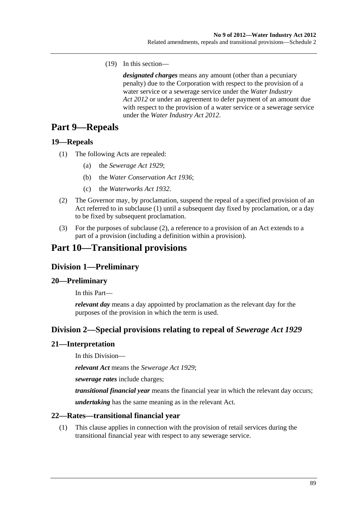<span id="page-88-0"></span>(19) In this section—

*designated charges* means any amount (other than a pecuniary penalty) due to the Corporation with respect to the provision of a water service or a sewerage service under the *[Water Industry](http://www.legislation.sa.gov.au/index.aspx?action=legref&type=act&legtitle=Water%20Industry%20Act%202012)  [Act 2012](http://www.legislation.sa.gov.au/index.aspx?action=legref&type=act&legtitle=Water%20Industry%20Act%202012)* or under an agreement to defer payment of an amount due with respect to the provision of a water service or a sewerage service under the *[Water Industry Act 2012](http://www.legislation.sa.gov.au/index.aspx?action=legref&type=act&legtitle=Water%20Industry%20Act%202012)*.

# **Part 9—Repeals**

### **19—Repeals**

- (1) The following Acts are repealed:
	- (a) the *[Sewerage Act 1929](http://www.legislation.sa.gov.au/index.aspx?action=legref&type=act&legtitle=Sewerage%20Act%201929)*;
	- (b) the *[Water Conservation Act 1936](http://www.legislation.sa.gov.au/index.aspx?action=legref&type=act&legtitle=Water%20Conservation%20Act%201936)*;
	- (c) the *[Waterworks Act 1932](http://www.legislation.sa.gov.au/index.aspx?action=legref&type=act&legtitle=Waterworks%20Act%201932)*.
- (2) The Governor may, by proclamation, suspend the repeal of a specified provision of an Act referred to in [subclause \(1\)](#page-88-0) until a subsequent day fixed by proclamation, or a day to be fixed by subsequent proclamation.
- (3) For the purposes of [subclause \(2\),](#page-88-0) a reference to a provision of an Act extends to a part of a provision (including a definition within a provision).

# **Part 10—Transitional provisions**

# **Division 1—Preliminary**

### **20—Preliminary**

In this Part—

*relevant day* means a day appointed by proclamation as the relevant day for the purposes of the provision in which the term is used.

# **Division 2—Special provisions relating to repeal of** *Sewerage Act 1929*

### **21—Interpretation**

In this Division—

*relevant Act* means the *[Sewerage Act 1929](http://www.legislation.sa.gov.au/index.aspx?action=legref&type=act&legtitle=Sewerage%20Act%201929)*;

*sewerage rates* include charges;

*transitional financial year* means the financial year in which the relevant day occurs;

*undertaking* has the same meaning as in the relevant Act.

### **22—Rates—transitional financial year**

 (1) This clause applies in connection with the provision of retail services during the transitional financial year with respect to any sewerage service.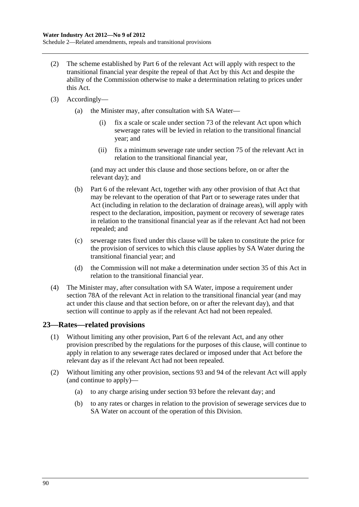- (2) The scheme established by Part 6 of the relevant Act will apply with respect to the transitional financial year despite the repeal of that Act by this Act and despite the ability of the Commission otherwise to make a determination relating to prices under this Act.
- (3) Accordingly—
	- (a) the Minister may, after consultation with SA Water—
		- (i) fix a scale or scale under section 73 of the relevant Act upon which sewerage rates will be levied in relation to the transitional financial year; and
		- (ii) fix a minimum sewerage rate under section 75 of the relevant Act in relation to the transitional financial year,

(and may act under this clause and those sections before, on or after the relevant day); and

- (b) Part 6 of the relevant Act, together with any other provision of that Act that may be relevant to the operation of that Part or to sewerage rates under that Act (including in relation to the declaration of drainage areas), will apply with respect to the declaration, imposition, payment or recovery of sewerage rates in relation to the transitional financial year as if the relevant Act had not been repealed; and
- (c) sewerage rates fixed under this clause will be taken to constitute the price for the provision of services to which this clause applies by SA Water during the transitional financial year; and
- (d) the Commission will not make a determination under [section 35](#page-24-0) of this Act in relation to the transitional financial year.
- (4) The Minister may, after consultation with SA Water, impose a requirement under section 78A of the relevant Act in relation to the transitional financial year (and may act under this clause and that section before, on or after the relevant day), and that section will continue to apply as if the relevant Act had not been repealed.

### **23—Rates—related provisions**

- (1) Without limiting any other provision, Part 6 of the relevant Act, and any other provision prescribed by the regulations for the purposes of this clause, will continue to apply in relation to any sewerage rates declared or imposed under that Act before the relevant day as if the relevant Act had not been repealed.
- (2) Without limiting any other provision, sections 93 and 94 of the relevant Act will apply (and continue to apply)—
	- (a) to any charge arising under section 93 before the relevant day; and
	- (b) to any rates or charges in relation to the provision of sewerage services due to SA Water on account of the operation of this Division.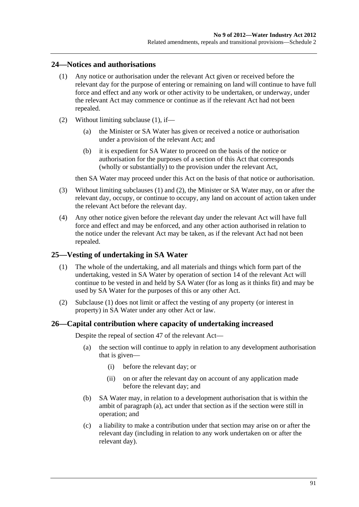#### <span id="page-90-0"></span>**24—Notices and authorisations**

- (1) Any notice or authorisation under the relevant Act given or received before the relevant day for the purpose of entering or remaining on land will continue to have full force and effect and any work or other activity to be undertaken, or underway, under the relevant Act may commence or continue as if the relevant Act had not been repealed.
- (2) Without limiting [subclause \(1\),](#page-90-0) if—
	- (a) the Minister or SA Water has given or received a notice or authorisation under a provision of the relevant Act; and
	- (b) it is expedient for SA Water to proceed on the basis of the notice or authorisation for the purposes of a section of this Act that corresponds (wholly or substantially) to the provision under the relevant Act,

then SA Water may proceed under this Act on the basis of that notice or authorisation.

- (3) Without limiting [subclauses \(1\)](#page-90-0) and [\(2\),](#page-90-0) the Minister or SA Water may, on or after the relevant day, occupy, or continue to occupy, any land on account of action taken under the relevant Act before the relevant day.
- (4) Any other notice given before the relevant day under the relevant Act will have full force and effect and may be enforced, and any other action authorised in relation to the notice under the relevant Act may be taken, as if the relevant Act had not been repealed.

#### **25—Vesting of undertaking in SA Water**

- (1) The whole of the undertaking, and all materials and things which form part of the undertaking, vested in SA Water by operation of section 14 of the relevant Act will continue to be vested in and held by SA Water (for as long as it thinks fit) and may be used by SA Water for the purposes of this or any other Act.
- (2) [Subclause \(1\)](#page-90-0) does not limit or affect the vesting of any property (or interest in property) in SA Water under any other Act or law.

#### **26—Capital contribution where capacity of undertaking increased**

Despite the repeal of section 47 of the relevant Act—

- (a) the section will continue to apply in relation to any development authorisation that is given—
	- (i) before the relevant day; or
	- (ii) on or after the relevant day on account of any application made before the relevant day; and
- (b) SA Water may, in relation to a development authorisation that is within the ambit of [paragraph \(a\),](#page-90-0) act under that section as if the section were still in operation; and
- (c) a liability to make a contribution under that section may arise on or after the relevant day (including in relation to any work undertaken on or after the relevant day).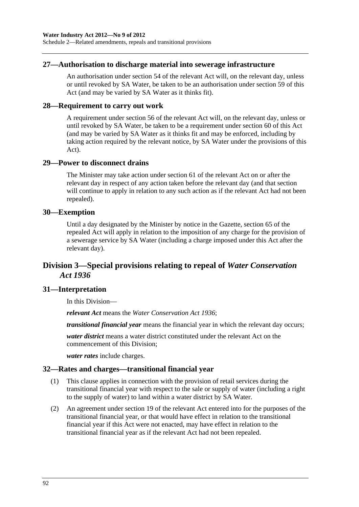### **27—Authorisation to discharge material into sewerage infrastructure**

An authorisation under section 54 of the relevant Act will, on the relevant day, unless or until revoked by SA Water, be taken to be an authorisation under [section 59](#page-42-0) of this Act (and may be varied by SA Water as it thinks fit).

#### **28—Requirement to carry out work**

A requirement under section 56 of the relevant Act will, on the relevant day, unless or until revoked by SA Water, be taken to be a requirement under [section 60](#page-43-0) of this Act (and may be varied by SA Water as it thinks fit and may be enforced, including by taking action required by the relevant notice, by SA Water under the provisions of this Act).

#### **29—Power to disconnect drains**

The Minister may take action under section 61 of the relevant Act on or after the relevant day in respect of any action taken before the relevant day (and that section will continue to apply in relation to any such action as if the relevant Act had not been repealed).

#### **30—Exemption**

Until a day designated by the Minister by notice in the Gazette, section 65 of the repealed Act will apply in relation to the imposition of any charge for the provision of a sewerage service by SA Water (including a charge imposed under this Act after the relevant day).

# **Division 3—Special provisions relating to repeal of** *Water Conservation Act 1936*

### **31—Interpretation**

In this Division—

*relevant Act* means the *[Water Conservation Act 1936](http://www.legislation.sa.gov.au/index.aspx?action=legref&type=act&legtitle=Water%20Conservation%20Act%201936)*;

*transitional financial year* means the financial year in which the relevant day occurs;

*water district* means a water district constituted under the relevant Act on the commencement of this Division;

*water rates* include charges.

### **32—Rates and charges—transitional financial year**

- (1) This clause applies in connection with the provision of retail services during the transitional financial year with respect to the sale or supply of water (including a right to the supply of water) to land within a water district by SA Water.
- (2) An agreement under section 19 of the relevant Act entered into for the purposes of the transitional financial year, or that would have effect in relation to the transitional financial year if this Act were not enacted, may have effect in relation to the transitional financial year as if the relevant Act had not been repealed.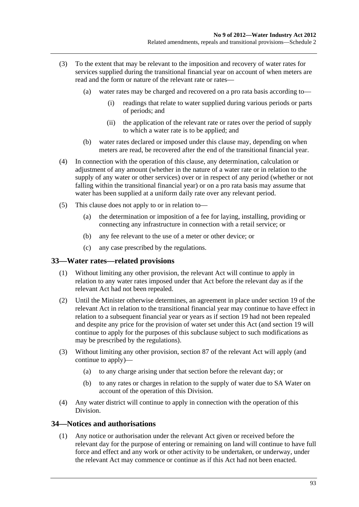- <span id="page-92-0"></span> (3) To the extent that may be relevant to the imposition and recovery of water rates for services supplied during the transitional financial year on account of when meters are read and the form or nature of the relevant rate or rates—
	- (a) water rates may be charged and recovered on a pro rata basis according to—
		- (i) readings that relate to water supplied during various periods or parts of periods; and
		- (ii) the application of the relevant rate or rates over the period of supply to which a water rate is to be applied; and
	- (b) water rates declared or imposed under this clause may, depending on when meters are read, be recovered after the end of the transitional financial year.
- (4) In connection with the operation of this clause, any determination, calculation or adjustment of any amount (whether in the nature of a water rate or in relation to the supply of any water or other services) over or in respect of any period (whether or not falling within the transitional financial year) or on a pro rata basis may assume that water has been supplied at a uniform daily rate over any relevant period.
- (5) This clause does not apply to or in relation to—
	- (a) the determination or imposition of a fee for laying, installing, providing or connecting any infrastructure in connection with a retail service; or
	- (b) any fee relevant to the use of a meter or other device; or
	- (c) any case prescribed by the regulations.

#### **33—Water rates—related provisions**

- (1) Without limiting any other provision, the relevant Act will continue to apply in relation to any water rates imposed under that Act before the relevant day as if the relevant Act had not been repealed.
- (2) Until the Minister otherwise determines, an agreement in place under section 19 of the relevant Act in relation to the transitional financial year may continue to have effect in relation to a subsequent financial year or years as if section 19 had not been repealed and despite any price for the provision of water set under this Act (and section 19 will continue to apply for the purposes of this subclause subject to such modifications as may be prescribed by the regulations).
- (3) Without limiting any other provision, section 87 of the relevant Act will apply (and continue to apply)—
	- (a) to any charge arising under that section before the relevant day; or
	- (b) to any rates or charges in relation to the supply of water due to SA Water on account of the operation of this Division.
- (4) Any water district will continue to apply in connection with the operation of this Division.

#### **34—Notices and authorisations**

 (1) Any notice or authorisation under the relevant Act given or received before the relevant day for the purpose of entering or remaining on land will continue to have full force and effect and any work or other activity to be undertaken, or underway, under the relevant Act may commence or continue as if this Act had not been enacted.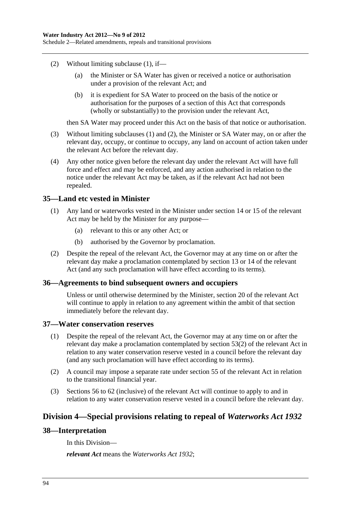- <span id="page-93-0"></span> (2) Without limiting [subclause \(1\),](#page-92-0) if—
	- (a) the Minister or SA Water has given or received a notice or authorisation under a provision of the relevant Act; and
	- (b) it is expedient for SA Water to proceed on the basis of the notice or authorisation for the purposes of a section of this Act that corresponds (wholly or substantially) to the provision under the relevant Act,

then SA Water may proceed under this Act on the basis of that notice or authorisation.

- (3) Without limiting [subclauses \(1\)](#page-92-0) and [\(2\),](#page-93-0) the Minister or SA Water may, on or after the relevant day, occupy, or continue to occupy, any land on account of action taken under the relevant Act before the relevant day.
- (4) Any other notice given before the relevant day under the relevant Act will have full force and effect and may be enforced, and any action authorised in relation to the notice under the relevant Act may be taken, as if the relevant Act had not been repealed.

#### **35—Land etc vested in Minister**

- (1) Any land or waterworks vested in the Minister under section 14 or 15 of the relevant Act may be held by the Minister for any purpose—
	- (a) relevant to this or any other Act; or
	- (b) authorised by the Governor by proclamation.
- (2) Despite the repeal of the relevant Act, the Governor may at any time on or after the relevant day make a proclamation contemplated by section 13 or 14 of the relevant Act (and any such proclamation will have effect according to its terms).

#### **36—Agreements to bind subsequent owners and occupiers**

Unless or until otherwise determined by the Minister, section 20 of the relevant Act will continue to apply in relation to any agreement within the ambit of that section immediately before the relevant day.

#### **37—Water conservation reserves**

- (1) Despite the repeal of the relevant Act, the Governor may at any time on or after the relevant day make a proclamation contemplated by section 53(2) of the relevant Act in relation to any water conservation reserve vested in a council before the relevant day (and any such proclamation will have effect according to its terms).
- (2) A council may impose a separate rate under section 55 of the relevant Act in relation to the transitional financial year.
- (3) Sections 56 to 62 (inclusive) of the relevant Act will continue to apply to and in relation to any water conservation reserve vested in a council before the relevant day.

### **Division 4—Special provisions relating to repeal of** *Waterworks Act 1932*

#### **38—Interpretation**

In this Division—

*relevant Act* means the *[Waterworks Act 1932](http://www.legislation.sa.gov.au/index.aspx?action=legref&type=act&legtitle=Waterworks%20Act%201932)*;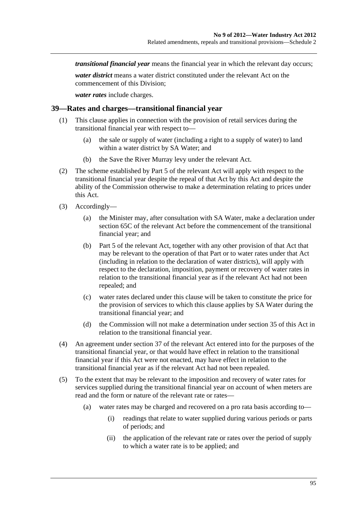*transitional financial year* means the financial year in which the relevant day occurs;

*water district* means a water district constituted under the relevant Act on the commencement of this Division;

*water rates* include charges.

#### **39—Rates and charges—transitional financial year**

- (1) This clause applies in connection with the provision of retail services during the transitional financial year with respect to—
	- (a) the sale or supply of water (including a right to a supply of water) to land within a water district by SA Water; and
	- (b) the Save the River Murray levy under the relevant Act.
- (2) The scheme established by Part 5 of the relevant Act will apply with respect to the transitional financial year despite the repeal of that Act by this Act and despite the ability of the Commission otherwise to make a determination relating to prices under this Act.
- (3) Accordingly—
	- (a) the Minister may, after consultation with SA Water, make a declaration under section 65C of the relevant Act before the commencement of the transitional financial year; and
	- (b) Part 5 of the relevant Act, together with any other provision of that Act that may be relevant to the operation of that Part or to water rates under that Act (including in relation to the declaration of water districts), will apply with respect to the declaration, imposition, payment or recovery of water rates in relation to the transitional financial year as if the relevant Act had not been repealed; and
	- (c) water rates declared under this clause will be taken to constitute the price for the provision of services to which this clause applies by SA Water during the transitional financial year; and
	- (d) the Commission will not make a determination under [section 35](#page-24-0) of this Act in relation to the transitional financial year.
- (4) An agreement under section 37 of the relevant Act entered into for the purposes of the transitional financial year, or that would have effect in relation to the transitional financial year if this Act were not enacted, may have effect in relation to the transitional financial year as if the relevant Act had not been repealed.
- (5) To the extent that may be relevant to the imposition and recovery of water rates for services supplied during the transitional financial year on account of when meters are read and the form or nature of the relevant rate or rates—
	- (a) water rates may be charged and recovered on a pro rata basis according to—
		- (i) readings that relate to water supplied during various periods or parts of periods; and
		- (ii) the application of the relevant rate or rates over the period of supply to which a water rate is to be applied; and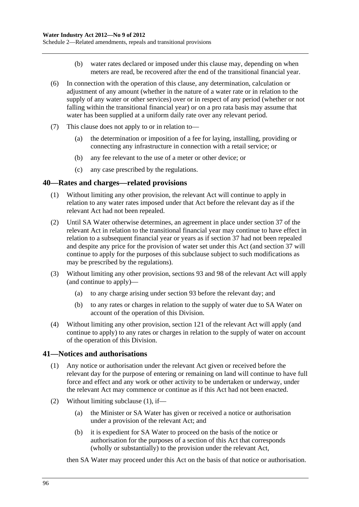- (b) water rates declared or imposed under this clause may, depending on when meters are read, be recovered after the end of the transitional financial year.
- <span id="page-95-0"></span> (6) In connection with the operation of this clause, any determination, calculation or adjustment of any amount (whether in the nature of a water rate or in relation to the supply of any water or other services) over or in respect of any period (whether or not falling within the transitional financial year) or on a pro rata basis may assume that water has been supplied at a uniform daily rate over any relevant period.
- (7) This clause does not apply to or in relation to—
	- (a) the determination or imposition of a fee for laying, installing, providing or connecting any infrastructure in connection with a retail service; or
	- (b) any fee relevant to the use of a meter or other device; or
	- (c) any case prescribed by the regulations.

#### **40—Rates and charges—related provisions**

- (1) Without limiting any other provision, the relevant Act will continue to apply in relation to any water rates imposed under that Act before the relevant day as if the relevant Act had not been repealed.
- (2) Until SA Water otherwise determines, an agreement in place under section 37 of the relevant Act in relation to the transitional financial year may continue to have effect in relation to a subsequent financial year or years as if section 37 had not been repealed and despite any price for the provision of water set under this Act (and section 37 will continue to apply for the purposes of this subclause subject to such modifications as may be prescribed by the regulations).
- (3) Without limiting any other provision, sections 93 and 98 of the relevant Act will apply (and continue to apply)—
	- (a) to any charge arising under section 93 before the relevant day; and
	- (b) to any rates or charges in relation to the supply of water due to SA Water on account of the operation of this Division.
- (4) Without limiting any other provision, section 121 of the relevant Act will apply (and continue to apply) to any rates or charges in relation to the supply of water on account of the operation of this Division.

#### **41—Notices and authorisations**

- (1) Any notice or authorisation under the relevant Act given or received before the relevant day for the purpose of entering or remaining on land will continue to have full force and effect and any work or other activity to be undertaken or underway, under the relevant Act may commence or continue as if this Act had not been enacted.
- (2) Without limiting [subclause \(1\),](#page-95-0) if—
	- (a) the Minister or SA Water has given or received a notice or authorisation under a provision of the relevant Act; and
	- (b) it is expedient for SA Water to proceed on the basis of the notice or authorisation for the purposes of a section of this Act that corresponds (wholly or substantially) to the provision under the relevant Act,

then SA Water may proceed under this Act on the basis of that notice or authorisation.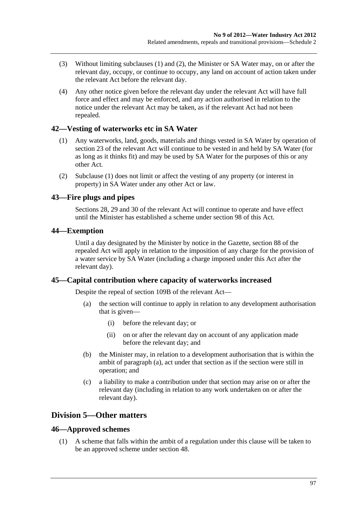- <span id="page-96-0"></span> (3) Without limiting [subclauses \(1\)](#page-95-0) and [\(2\),](#page-95-0) the Minister or SA Water may, on or after the relevant day, occupy, or continue to occupy, any land on account of action taken under the relevant Act before the relevant day.
- (4) Any other notice given before the relevant day under the relevant Act will have full force and effect and may be enforced, and any action authorised in relation to the notice under the relevant Act may be taken, as if the relevant Act had not been repealed.

### **42—Vesting of waterworks etc in SA Water**

- (1) Any waterworks, land, goods, materials and things vested in SA Water by operation of section 23 of the relevant Act will continue to be vested in and held by SA Water (for as long as it thinks fit) and may be used by SA Water for the purposes of this or any other Act.
- (2) [Subclause \(1\)](#page-96-0) does not limit or affect the vesting of any property (or interest in property) in SA Water under any other Act or law.

#### **43—Fire plugs and pipes**

Sections 28, 29 and 30 of the relevant Act will continue to operate and have effect until the Minister has established a scheme under [section 98](#page-71-0) of this Act.

#### **44—Exemption**

Until a day designated by the Minister by notice in the Gazette, section 88 of the repealed Act will apply in relation to the imposition of any charge for the provision of a water service by SA Water (including a charge imposed under this Act after the relevant day).

#### **45—Capital contribution where capacity of waterworks increased**

Despite the repeal of section 109B of the relevant Act—

- (a) the section will continue to apply in relation to any development authorisation that is given—
	- (i) before the relevant day; or
	- (ii) on or after the relevant day on account of any application made before the relevant day; and
- (b) the Minister may, in relation to a development authorisation that is within the ambit of [paragraph \(a\),](#page-96-0) act under that section as if the section were still in operation; and
- (c) a liability to make a contribution under that section may arise on or after the relevant day (including in relation to any work undertaken on or after the relevant day).

### **Division 5—Other matters**

#### **46—Approved schemes**

 (1) A scheme that falls within the ambit of a regulation under this clause will be taken to be an approved scheme under [section 48](#page-32-0).